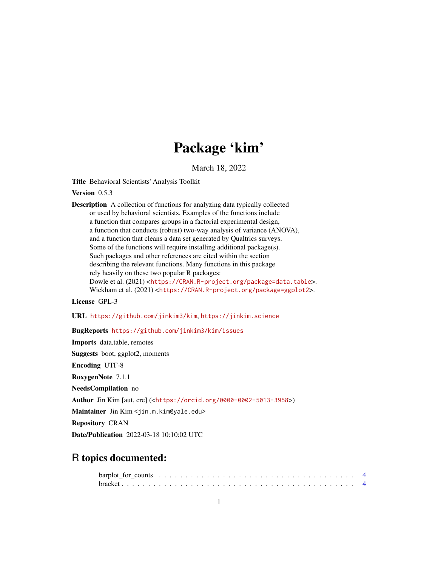# Package 'kim'

March 18, 2022

Title Behavioral Scientists' Analysis Toolkit

Version 0.5.3

Description A collection of functions for analyzing data typically collected or used by behavioral scientists. Examples of the functions include a function that compares groups in a factorial experimental design, a function that conducts (robust) two-way analysis of variance (ANOVA), and a function that cleans a data set generated by Qualtrics surveys. Some of the functions will require installing additional package(s). Such packages and other references are cited within the section describing the relevant functions. Many functions in this package rely heavily on these two popular R packages: Dowle et al. (2021) <<https://CRAN.R-project.org/package=data.table>>. Wickham et al. (2021) <<https://CRAN.R-project.org/package=ggplot2>>.

License GPL-3

URL <https://github.com/jinkim3/kim>, <https://jinkim.science>

BugReports <https://github.com/jinkim3/kim/issues>

Imports data.table, remotes Suggests boot, ggplot2, moments Encoding UTF-8 RoxygenNote 7.1.1 NeedsCompilation no Author Jin Kim [aut, cre] (<<https://orcid.org/0000-0002-5013-3958>>) Maintainer Jin Kim <jin.m.kim@yale.edu> Repository CRAN Date/Publication 2022-03-18 10:10:02 UTC

## R topics documented: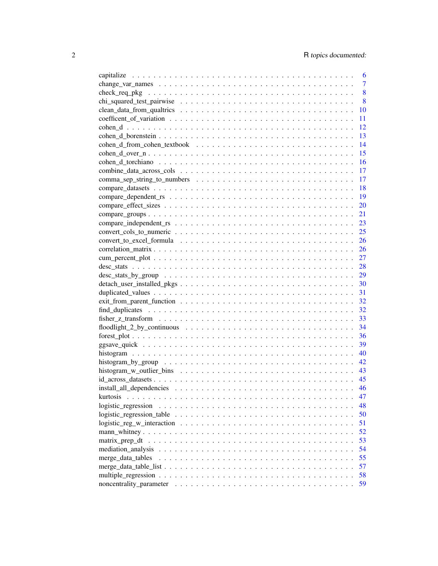|                                                                                                       | 6              |
|-------------------------------------------------------------------------------------------------------|----------------|
|                                                                                                       | $\overline{7}$ |
|                                                                                                       | 8              |
|                                                                                                       | 8              |
|                                                                                                       | 10             |
|                                                                                                       | 11             |
|                                                                                                       | 12             |
|                                                                                                       | 13             |
|                                                                                                       | 14             |
|                                                                                                       | 15             |
|                                                                                                       | 16             |
|                                                                                                       | 17             |
|                                                                                                       | 17             |
|                                                                                                       | 18             |
|                                                                                                       | 19             |
|                                                                                                       | 20             |
|                                                                                                       | 21             |
|                                                                                                       | 23             |
|                                                                                                       | 25             |
|                                                                                                       | 26             |
|                                                                                                       | 26             |
|                                                                                                       |                |
|                                                                                                       |                |
|                                                                                                       |                |
|                                                                                                       |                |
|                                                                                                       |                |
|                                                                                                       |                |
|                                                                                                       |                |
|                                                                                                       |                |
|                                                                                                       |                |
|                                                                                                       |                |
|                                                                                                       |                |
|                                                                                                       | 40             |
|                                                                                                       | 42             |
|                                                                                                       | 43             |
|                                                                                                       |                |
|                                                                                                       | 45             |
|                                                                                                       | 46             |
|                                                                                                       | 47             |
|                                                                                                       | 48             |
| $logistic\_regression\_table \dots \dots \dots \dots \dots \dots \dots \dots \dots \dots \dots \dots$ | 50             |
|                                                                                                       | 51             |
|                                                                                                       | 52             |
|                                                                                                       | 53             |
|                                                                                                       | 54             |
|                                                                                                       | 55             |
|                                                                                                       | 57             |
|                                                                                                       | 58             |
|                                                                                                       | 59             |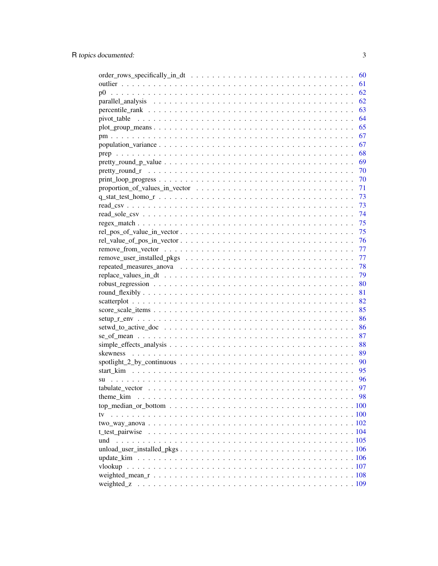|                                                                                                                 | 60 |
|-----------------------------------------------------------------------------------------------------------------|----|
|                                                                                                                 | 61 |
| p <sub>0</sub>                                                                                                  | 62 |
|                                                                                                                 | 62 |
|                                                                                                                 | 63 |
|                                                                                                                 | 64 |
|                                                                                                                 | 65 |
|                                                                                                                 | 67 |
|                                                                                                                 | 67 |
|                                                                                                                 | 68 |
|                                                                                                                 | 69 |
|                                                                                                                 | 70 |
|                                                                                                                 | 70 |
|                                                                                                                 | 71 |
|                                                                                                                 | 73 |
|                                                                                                                 | 73 |
|                                                                                                                 | 74 |
|                                                                                                                 | 75 |
| $rel\_pos\_of\_value\_in\_vector \dots \dots \dots \dots \dots \dots \dots \dots \dots \dots \dots \dots \dots$ | 75 |
| $rel\_value_of_pos_in\_vector \dots \dots \dots \dots \dots \dots \dots \dots \dots \dots \dots \dots \dots$    | 76 |
|                                                                                                                 | 77 |
|                                                                                                                 | 77 |
|                                                                                                                 | 78 |
|                                                                                                                 | 79 |
|                                                                                                                 | 80 |
|                                                                                                                 | 81 |
|                                                                                                                 | 82 |
|                                                                                                                 | 85 |
|                                                                                                                 | 86 |
|                                                                                                                 | 86 |
|                                                                                                                 | 87 |
|                                                                                                                 | 88 |
|                                                                                                                 | 89 |
|                                                                                                                 | 90 |
|                                                                                                                 | 95 |
|                                                                                                                 | 96 |
|                                                                                                                 | 97 |
| theme kim                                                                                                       | 98 |
|                                                                                                                 |    |
|                                                                                                                 |    |
|                                                                                                                 |    |
|                                                                                                                 |    |
| und                                                                                                             |    |
|                                                                                                                 |    |
|                                                                                                                 |    |
|                                                                                                                 |    |
|                                                                                                                 |    |
| weighted z                                                                                                      |    |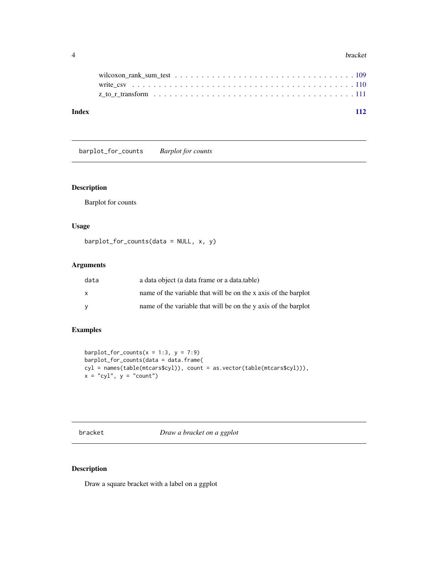<span id="page-3-0"></span>

| Index | 112 |  |
|-------|-----|--|
|       |     |  |
|       |     |  |
|       |     |  |

barplot\_for\_counts *Barplot for counts*

## Description

Barplot for counts

## Usage

 $barplot_for_counts(data = NULL, x, y)$ 

## Arguments

| data         | a data object (a data frame or a data table)                   |
|--------------|----------------------------------------------------------------|
| $\mathsf{x}$ | name of the variable that will be on the x axis of the barplot |
| - V          | name of the variable that will be on the y axis of the barplot |

## Examples

```
barplot_for_counts(x = 1:3, y = 7:9)
barplot_for_counts(data = data.frame(
cyl = names(table(mtcars$cyl)), count = as.vector(table(mtcars$cyl))),
x = "cyl", y = "count")
```
bracket *Draw a bracket on a ggplot*

## Description

Draw a square bracket with a label on a ggplot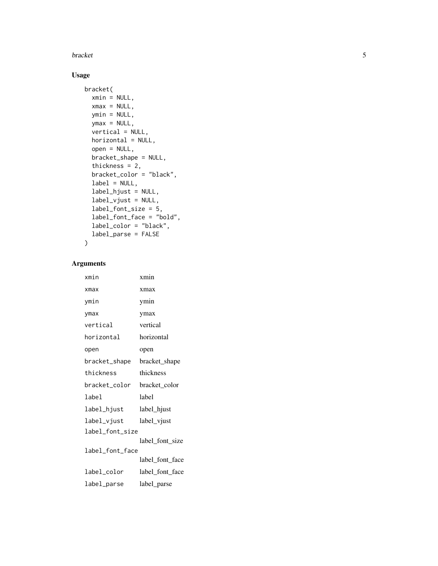## bracket

## Usage

```
bracket(
  xmin = NULL,
 xmax = NULL,
 ymin = NULL,
 ymax = NULL,vertical = NULL,
 horizontal = NULL,
 open = NULL,
 bracket_shape = NULL,
  thickness = 2,
 bracket_color = "black",
  label = NULL,label_hjust = NULL,
  label_vjust = NULL,
  label_font_size = 5,
  label_font_face = "bold",
  label_color = "black",
  label_parse = FALSE
\mathcal{L}
```

| xmin            | xmin            |
|-----------------|-----------------|
| xmax            | xmax            |
| ymin            | ymin            |
| ymax            | ymax            |
| vertical        | vertical        |
| horizontal      | horizontal      |
| open            | open            |
| bracket_shape   | bracket_shape   |
| thickness       | thickness       |
| bracket_color   | bracket_color   |
| label           | label           |
| label_hjust     | label_hjust     |
| label_vjust     | label_vjust     |
| label_font_size |                 |
|                 | label_font_size |
| label_font_face | label_font_face |
| label_color     | label_font_face |
| label_parse     | label_parse     |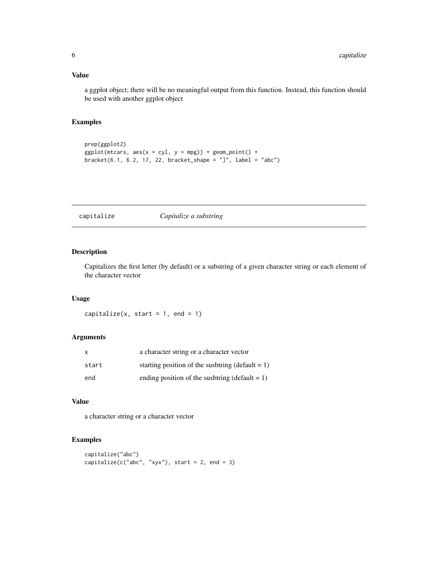## <span id="page-5-0"></span>Value

a ggplot object; there will be no meaningful output from this function. Instead, this function should be used with another ggplot object

## Examples

```
prep(ggplot2)
ggplot(mtcars, aes(x = cyl, y = mpg)) + geom-point() +bracket(6.1, 6.2, 17, 22, bracket_shape = "]", label = "abc")
```
capitalize *Capitalize a substring*

## Description

Capitalizes the first letter (by default) or a substring of a given character string or each element of the character vector

#### Usage

capitalize(x, start =  $1$ , end =  $1$ )

#### Arguments

| x     | a character string or a character vector            |
|-------|-----------------------------------------------------|
| start | starting position of the susbtring (default $= 1$ ) |
| end   | ending position of the suspection (default = 1)     |

#### Value

a character string or a character vector

```
capitalize("abc")
capitalize(c("abc", "xyx"), start = 2, end = 3)
```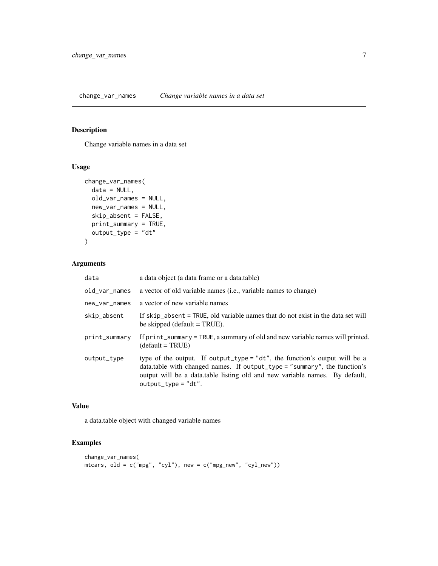## <span id="page-6-0"></span>Description

Change variable names in a data set

## Usage

```
change_var_names(
  data = NULL,old_var_names = NULL,
  new_var_names = NULL,
  skip_absent = FALSE,
  print_summary = TRUE,
  output_type = "dt"
\mathcal{L}
```
## Arguments

| a data object (a data frame or a data.table)                                                                                                                                                                                                                      |
|-------------------------------------------------------------------------------------------------------------------------------------------------------------------------------------------------------------------------------------------------------------------|
| a vector of old variable names (i.e., variable names to change)                                                                                                                                                                                                   |
| a vector of new variable names                                                                                                                                                                                                                                    |
| If skip absent = TRUE, old variable names that do not exist in the data set will<br>be skipped (default $=$ TRUE).                                                                                                                                                |
| If print_summary = TRUE, a summary of old and new variable names will printed.<br>$(detault = TRUE)$                                                                                                                                                              |
| type of the output. If output_type = "dt", the function's output will be a<br>data.table with changed names. If output_type = "summary", the function's<br>output will be a data table listing old and new variable names. By default,<br>$output_{xype} = "dt".$ |
|                                                                                                                                                                                                                                                                   |

#### Value

a data.table object with changed variable names

```
change_var_names(
mtcars, old = c("mpg", "cyl"), new = c("mpg_new", "cyl_new"))
```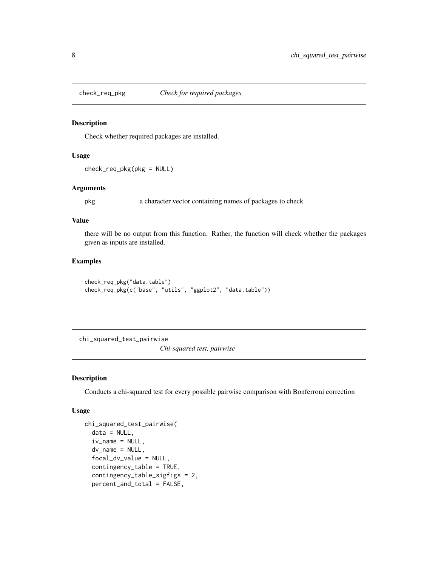<span id="page-7-0"></span>

## Description

Check whether required packages are installed.

#### Usage

check\_req\_pkg(pkg = NULL)

## Arguments

pkg a character vector containing names of packages to check

## Value

there will be no output from this function. Rather, the function will check whether the packages given as inputs are installed.

## Examples

```
check_req_pkg("data.table")
check_req_pkg(c("base", "utils", "ggplot2", "data.table"))
```
chi\_squared\_test\_pairwise

*Chi-squared test, pairwise*

### Description

Conducts a chi-squared test for every possible pairwise comparison with Bonferroni correction

#### Usage

```
chi_squared_test_pairwise(
  data = NULL,iv_name = NULL,dv_name = NULL,focal_dv_value = NULL,
  contingency_table = TRUE,
  contingency_table_sigfigs = 2,
 percent_and_total = FALSE,
```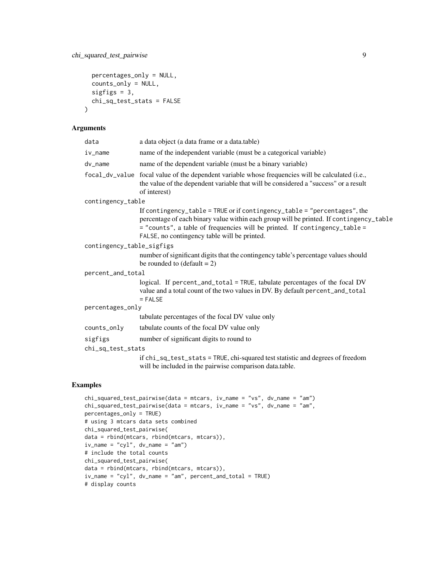```
percentages_only = NULL,
 counts_only = NULL,
 sigfigs = 3,
 chi_sq_test_stats = FALSE
\mathcal{L}
```
### Arguments

| data                      | a data object (a data frame or a data.table)                                                                                                                                                                                                                                                      |
|---------------------------|---------------------------------------------------------------------------------------------------------------------------------------------------------------------------------------------------------------------------------------------------------------------------------------------------|
| i∨_name                   | name of the independent variable (must be a categorical variable)                                                                                                                                                                                                                                 |
| dv_name                   | name of the dependent variable (must be a binary variable)                                                                                                                                                                                                                                        |
|                           | focal_dv_value focal value of the dependent variable whose frequencies will be calculated (i.e.,<br>the value of the dependent variable that will be considered a "success" or a result<br>of interest)                                                                                           |
| contingency_table         |                                                                                                                                                                                                                                                                                                   |
|                           | If contingency_table = TRUE or if contingency_table = "percentages", the<br>percentage of each binary value within each group will be printed. If contingency_table<br>= "counts", a table of frequencies will be printed. If contingency_table =<br>FALSE, no contingency table will be printed. |
| contingency_table_sigfigs |                                                                                                                                                                                                                                                                                                   |
|                           | number of significant digits that the contingency table's percentage values should<br>be rounded to $(\text{default} = 2)$                                                                                                                                                                        |
| percent_and_total         |                                                                                                                                                                                                                                                                                                   |
|                           | logical. If percent_and_total = TRUE, tabulate percentages of the focal DV<br>value and a total count of the two values in DV. By default percent_and_total<br>$=$ FALSE                                                                                                                          |
| percentages_only          |                                                                                                                                                                                                                                                                                                   |
|                           | tabulate percentages of the focal DV value only                                                                                                                                                                                                                                                   |
| counts_only               | tabulate counts of the focal DV value only                                                                                                                                                                                                                                                        |
| sigfigs                   | number of significant digits to round to                                                                                                                                                                                                                                                          |
| chi_sq_test_stats         |                                                                                                                                                                                                                                                                                                   |
|                           | if chi_sq_test_stats = TRUE, chi-squared test statistic and degrees of freedom<br>will be included in the pairwise comparison data.table.                                                                                                                                                         |
|                           |                                                                                                                                                                                                                                                                                                   |

```
chi_squared_test_pairwise(data = mtcars, iv_name = "vs", dv_name = "am")
chi_squared_test_pairwise(data = mtcars, iv_name = "vs", dv_name = "am",
percentages_only = TRUE)
# using 3 mtcars data sets combined
chi_squared_test_pairwise(
data = rbind(mtcars, rbind(mtcars, mtcars)),
iv_name = "cyl", dv_name = "am")# include the total counts
chi_squared_test_pairwise(
data = rbind(mtcars, rbind(mtcars, mtcars)),
iv_name = "cyl", dv_name = "am", percent_and_total = TRUE)
# display counts
```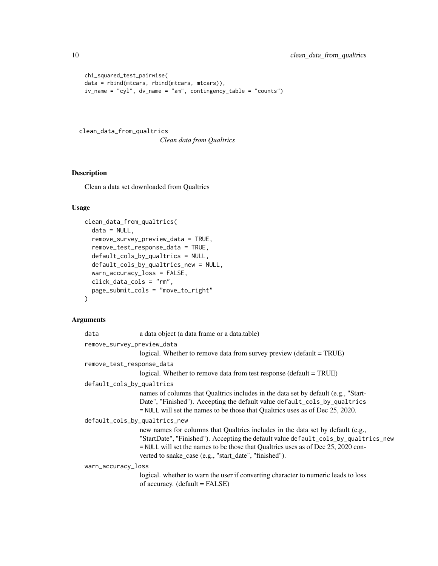```
chi_squared_test_pairwise(
data = rbind(mtcars, rbind(mtcars, mtcars)),
iv_name = "cyl", dv_name = "am", contingency_table = "counts")
```
clean\_data\_from\_qualtrics

*Clean data from Qualtrics*

#### Description

Clean a data set downloaded from Qualtrics

#### Usage

```
clean_data_from_qualtrics(
  data = NULL.
  remove_survey_preview_data = TRUE,
  remove_test_response_data = TRUE,
  default_cols_by_qualtrics = NULL,
  default_cols_by_qualtrics_new = NULL,
  warn_accuracy_loss = FALSE,
  click_data_cols = "rm",
  page_submit_cols = "move_to_right"
)
```

```
data a data object (a data frame or a data.table)
remove_survey_preview_data
                  logical. Whether to remove data from survey preview (default = TRUE)
remove_test_response_data
                  logical. Whether to remove data from test response (default = TRUE)
default_cols_by_qualtrics
                  names of columns that Qualtrics includes in the data set by default (e.g., "Start-
                  Date", "Finished"). Accepting the default value default_cols_by_qualtrics
                  = NULL will set the names to be those that Qualtrics uses as of Dec 25, 2020.
default_cols_by_qualtrics_new
                  new names for columns that Qualtrics includes in the data set by default (e.g.,
                  "StartDate", "Finished"). Accepting the default value default_cols_by_qualtrics_new
                  = NULL will set the names to be those that Qualtrics uses as of Dec 25, 2020 con-
                  verted to snake_case (e.g., "start_date", "finished").
warn_accuracy_loss
                  logical. whether to warn the user if converting character to numeric leads to loss
                  of accuracy. (default = FALSE)
```
<span id="page-9-0"></span>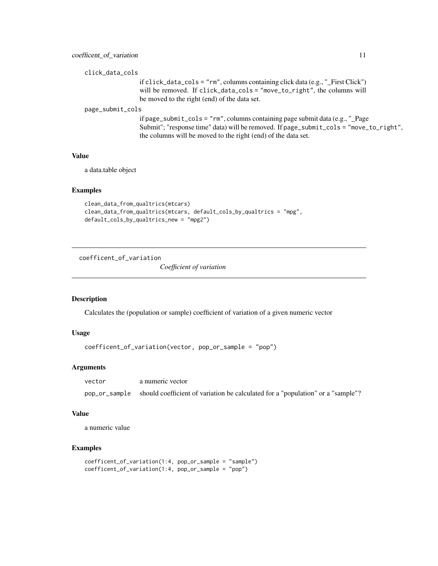```
click_data_cols
```
if click\_data\_cols = "rm", columns containing click data (e.g., "\_First Click") will be removed. If click\_data\_cols = "move\_to\_right", the columns will be moved to the right (end) of the data set.

page\_submit\_cols

if page\_submit\_cols = "rm", columns containing page submit data (e.g., "\_Page Submit"; "response time" data) will be removed. If page\_submit\_cols = "move\_to\_right", the columns will be moved to the right (end) of the data set.

#### Value

a data.table object

#### Examples

```
clean_data_from_qualtrics(mtcars)
clean_data_from_qualtrics(mtcars, default_cols_by_qualtrics = "mpg",
default_cols_by_qualtrics_new = "mpg2")
```
coefficent\_of\_variation

*Coefficient of variation*

## Description

Calculates the (population or sample) coefficient of variation of a given numeric vector

### Usage

```
coefficent_of_variation(vector, pop_or_sample = "pop")
```
#### **Arguments**

| vector | a numeric vector                                                                              |
|--------|-----------------------------------------------------------------------------------------------|
|        | pop_or_sample should coefficient of variation be calculated for a "population" or a "sample"? |

#### Value

a numeric value

```
coefficent_of_variation(1:4, pop_or_sample = "sample")
coefficent_of_variation(1:4, pop_or_sample = "pop")
```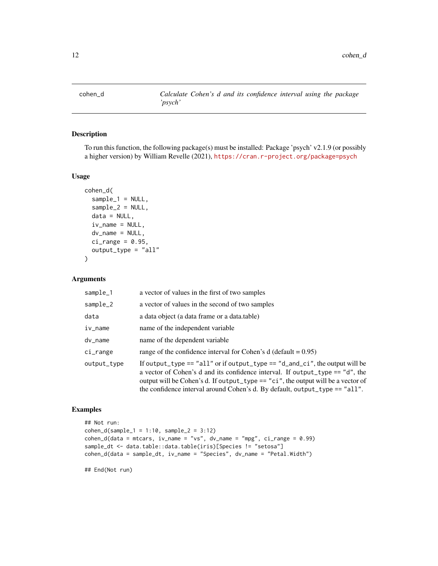<span id="page-11-0"></span>

## Description

To run this function, the following package(s) must be installed: Package 'psych' v2.1.9 (or possibly a higher version) by William Revelle (2021), <https://cran.r-project.org/package=psych>

#### Usage

```
cohen_d(
  sample_1 = NULL,sample_2 = NULL,data = NULL,
  iv_name = NULL,dv_name = NULL,
  ci_range = 0.95,
  output_type = "all"
)
```
## Arguments

| sample_1    | a vector of values in the first of two samples                                                                                                                                                                                                                                                                                             |
|-------------|--------------------------------------------------------------------------------------------------------------------------------------------------------------------------------------------------------------------------------------------------------------------------------------------------------------------------------------------|
| sample_2    | a vector of values in the second of two samples                                                                                                                                                                                                                                                                                            |
| data        | a data object (a data frame or a data.table)                                                                                                                                                                                                                                                                                               |
| iv_name     | name of the independent variable                                                                                                                                                                                                                                                                                                           |
| dv_name     | name of the dependent variable                                                                                                                                                                                                                                                                                                             |
| ci_range    | range of the confidence interval for Cohen's $d$ (default = 0.95)                                                                                                                                                                                                                                                                          |
| output_type | If output_type == "all" or if output_type == "d_and_ci", the output will be<br>a vector of Cohen's d and its confidence interval. If output_type == $\degree$ d", the<br>output will be Cohen's d. If output_type == "ci", the output will be a vector of<br>the confidence interval around Cohen's d. By default, output_type $==$ "all". |

#### Examples

```
## Not run:
cohen_d(sample_1 = 1:10, sample_2 = 3:12)cohen_d(data = mtcars, iv_name = "vs", dv_name = "mpg", ci_range = 0.99)
sample_dt <- data.table::data.table(iris)[Species != "setosa"]
cohen_d(data = sample_dt, iv_name = "Species", dv_name = "Petal.Width")
```
## End(Not run)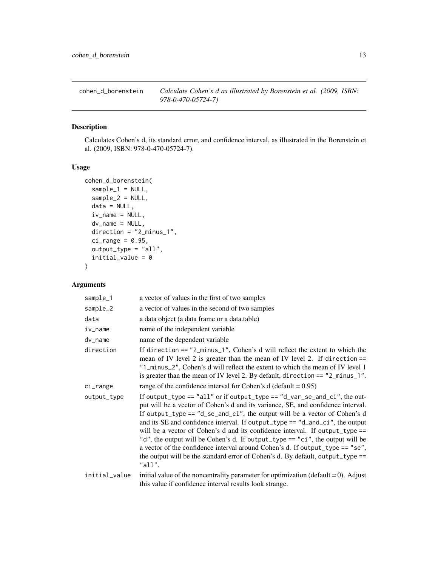<span id="page-12-0"></span>cohen\_d\_borenstein *Calculate Cohen's d as illustrated by Borenstein et al. (2009, ISBN: 978-0-470-05724-7)*

## Description

Calculates Cohen's d, its standard error, and confidence interval, as illustrated in the Borenstein et al. (2009, ISBN: 978-0-470-05724-7).

#### Usage

```
cohen_d_borenstein(
  sample_1 = NULL,sample_2 = NULL,data = NULL,
  iv_name = NULL,dv_name = NULL,
 direction = "2_minus_1",
 ci_range = 0.95,output_type = "all",
  initial_value = 0
)
```

| sample_1      | a vector of values in the first of two samples                                                                                                                                                                                                                                                                                                                                                                                                                                                                                                                                                                                                                                       |
|---------------|--------------------------------------------------------------------------------------------------------------------------------------------------------------------------------------------------------------------------------------------------------------------------------------------------------------------------------------------------------------------------------------------------------------------------------------------------------------------------------------------------------------------------------------------------------------------------------------------------------------------------------------------------------------------------------------|
| sample_2      | a vector of values in the second of two samples                                                                                                                                                                                                                                                                                                                                                                                                                                                                                                                                                                                                                                      |
| data          | a data object (a data frame or a data.table)                                                                                                                                                                                                                                                                                                                                                                                                                                                                                                                                                                                                                                         |
| iv_name       | name of the independent variable                                                                                                                                                                                                                                                                                                                                                                                                                                                                                                                                                                                                                                                     |
| dv_name       | name of the dependent variable                                                                                                                                                                                                                                                                                                                                                                                                                                                                                                                                                                                                                                                       |
| direction     | If direction $==$ "2_minus_1", Cohen's d will reflect the extent to which the<br>mean of IV level 2 is greater than the mean of IV level 2. If direction $==$<br>"1_minus_2", Cohen's d will reflect the extent to which the mean of IV level 1<br>is greater than the mean of IV level 2. By default, direction $==$ "2_minus_1".                                                                                                                                                                                                                                                                                                                                                   |
| ci_range      | range of the confidence interval for Cohen's $d$ (default = 0.95)                                                                                                                                                                                                                                                                                                                                                                                                                                                                                                                                                                                                                    |
| output_type   | If output_type == $"all"$ or if output_type == $"d$ _var_se_and_ci", the out-<br>put will be a vector of Cohen's d and its variance, SE, and confidence interval.<br>If output_type == $"d$ _se_and_ci", the output will be a vector of Cohen's d<br>and its SE and confidence interval. If output_type == $"d$ _and_ci", the output<br>will be a vector of Cohen's d and its confidence interval. If output_type $==$<br>"d", the output will be Cohen's d. If output_type == "ci", the output will be<br>a vector of the confidence interval around Cohen's d. If output_type == "se",<br>the output will be the standard error of Cohen's d. By default, output_type ==<br>"all". |
| initial_value | initial value of the noncentrality parameter for optimization ( $default = 0$ ). Adjust<br>this value if confidence interval results look strange.                                                                                                                                                                                                                                                                                                                                                                                                                                                                                                                                   |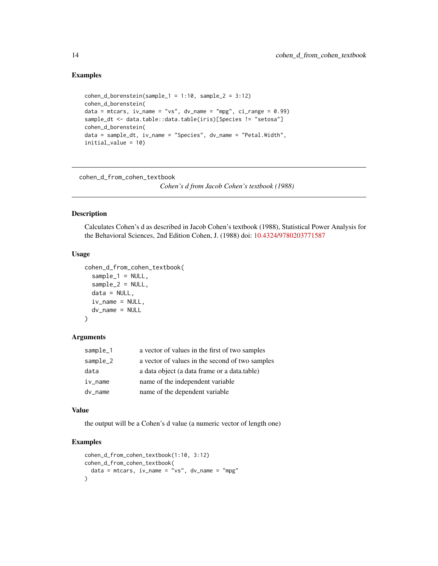#### Examples

```
cohen_d_borenstein(sample_1 = 1:10, sample_2 = 3:12)cohen_d_borenstein(
data = mtcars, iv_name = "vs", dv_name = "mpg", ci_range = 0.99)sample_dt <- data.table::data.table(iris)[Species != "setosa"]
cohen_d_borenstein(
data = sample_dt, iv_name = "Species", dv_name = "Petal.Width",
initial_value = 10)
```
cohen\_d\_from\_cohen\_textbook

*Cohen's d from Jacob Cohen's textbook (1988)*

#### Description

Calculates Cohen's d as described in Jacob Cohen's textbook (1988), Statistical Power Analysis for the Behavioral Sciences, 2nd Edition Cohen, J. (1988) doi: [10.4324/9780203771587](https://doi.org/10.4324/9780203771587)

#### Usage

```
cohen_d_from_cohen_textbook(
  sample_1 = NULL,sample_2 = NULL,data = NULL,
  iv_name = NULL,dv_name = NULL
\mathcal{L}
```
#### Arguments

| sample_1   | a vector of values in the first of two samples  |
|------------|-------------------------------------------------|
| $sample_2$ | a vector of values in the second of two samples |
| data       | a data object (a data frame or a data table)    |
| iv_name    | name of the independent variable                |
| dv_name    | name of the dependent variable                  |

#### Value

the output will be a Cohen's d value (a numeric vector of length one)

```
cohen_d_from_cohen_textbook(1:10, 3:12)
cohen_d_from_cohen_textbook(
  data = mtcars, iv_name = "vs", dv_name = "mpg")
```
<span id="page-13-0"></span>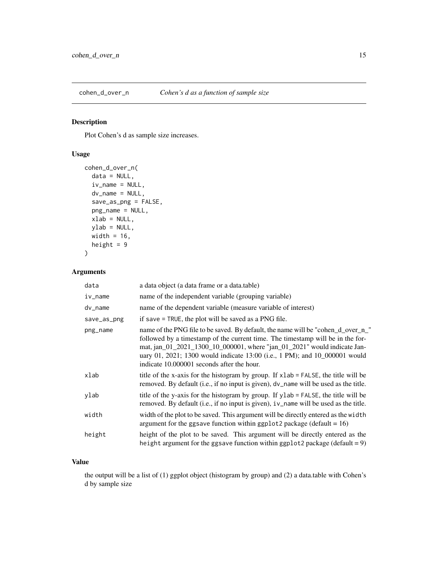<span id="page-14-0"></span>

## Description

Plot Cohen's d as sample size increases.

## Usage

```
cohen_d_over_n(
 data = NULL,iv_name = NULL,dv_name = NULL,save_as_png = FALSE,
 png_name = NULL,
 xlab = NULL,ylab = NULL,
 width = 16,
 height = 9)
```
## Arguments

| data        | a data object (a data frame or a data.table)                                                                                                                                                                                                                                                                                                                               |
|-------------|----------------------------------------------------------------------------------------------------------------------------------------------------------------------------------------------------------------------------------------------------------------------------------------------------------------------------------------------------------------------------|
| $iv_name$   | name of the independent variable (grouping variable)                                                                                                                                                                                                                                                                                                                       |
| $dv_$ name  | name of the dependent variable (measure variable of interest)                                                                                                                                                                                                                                                                                                              |
| save_as_png | if save $=$ TRUE, the plot will be saved as a PNG file.                                                                                                                                                                                                                                                                                                                    |
| png_name    | name of the PNG file to be saved. By default, the name will be "cohen_d_over_n_"<br>followed by a timestamp of the current time. The timestamp will be in the for-<br>mat, jan_01_2021_1300_10_000001, where "jan_01_2021" would indicate Jan-<br>uary 01, 2021; 1300 would indicate 13:00 (i.e., 1 PM); and 10_000001 would<br>indicate 10,000001 seconds after the hour. |
| xlab        | title of the x-axis for the histogram by group. If xlab = FALSE, the title will be<br>removed. By default (i.e., if no input is given), dv_name will be used as the title.                                                                                                                                                                                                 |
| ylab        | title of the y-axis for the histogram by group. If ylab = FALSE, the title will be<br>removed. By default (i.e., if no input is given), iv_name will be used as the title.                                                                                                                                                                                                 |
| width       | width of the plot to be saved. This argument will be directly entered as the width<br>argument for the ggsave function within ggplot2 package (default = $16$ )                                                                                                                                                                                                            |
| height      | height of the plot to be saved. This argument will be directly entered as the<br>height argument for the ggsave function within ggplot2 package (default = 9)                                                                                                                                                                                                              |

#### Value

the output will be a list of (1) ggplot object (histogram by group) and (2) a data.table with Cohen's d by sample size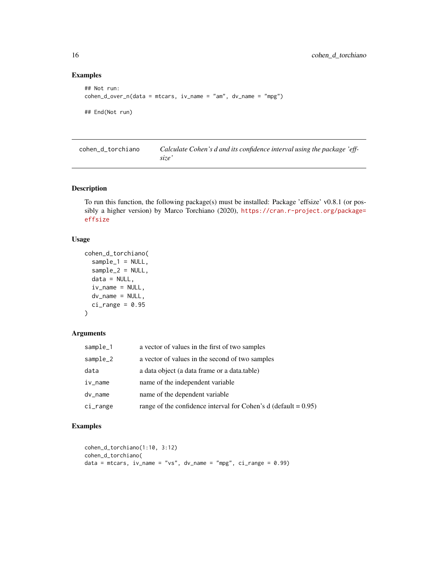## Examples

```
## Not run:
cohen_d_over_n(data = mtrans, iv_name = "am", dv_name = "mpg")## End(Not run)
```
cohen\_d\_torchiano *Calculate Cohen's d and its confidence interval using the package 'effsize'*

## Description

To run this function, the following package(s) must be installed: Package 'effsize' v0.8.1 (or possibly a higher version) by Marco Torchiano (2020), [https://cran.r-project.org/package=](https://cran.r-project.org/package=effsize) [effsize](https://cran.r-project.org/package=effsize)

## Usage

```
cohen_d_torchiano(
  sample_1 = NULL,sample_2 = NULL,data = NULL,
  iv_name = NULL,dv_name = NULL,ci_range = 0.95\lambda
```
#### Arguments

| sample_1 | a vector of values in the first of two samples                    |
|----------|-------------------------------------------------------------------|
| sample_2 | a vector of values in the second of two samples                   |
| data     | a data object (a data frame or a data.table)                      |
| iv_name  | name of the independent variable                                  |
| dv_name  | name of the dependent variable                                    |
| ci_range | range of the confidence interval for Cohen's $d$ (default = 0.95) |

```
cohen_d_torchiano(1:10, 3:12)
cohen_d_torchiano(
data = mtcars, iv_name = "vs", dv_name = "mpg", ci_range = 0.99)
```
<span id="page-15-0"></span>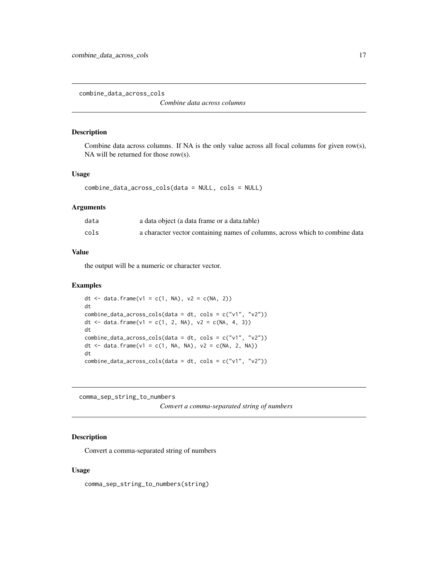<span id="page-16-0"></span>combine\_data\_across\_cols

*Combine data across columns*

#### Description

Combine data across columns. If NA is the only value across all focal columns for given row(s), NA will be returned for those row(s).

## Usage

```
combine_data_across_cols(data = NULL, cols = NULL)
```
#### Arguments

| data | a data object (a data frame or a data.table)                                 |
|------|------------------------------------------------------------------------------|
| cols | a character vector containing names of columns, across which to combine data |

#### Value

the output will be a numeric or character vector.

#### Examples

```
dt <- data.frame(v1 = c(1, NA), v2 = c(NA, 2))
dt
combine_data_across_cols(data = dt, cols = c("v1", "v2"))
dt <- data.frame(v1 = c(1, 2, NA), v2 = c(NA, 4, 3))
dt
combine_data_across_cols(data = dt, cols = c("v1", "v2"))
dt <- data.frame(v1 = c(1, NA, NA), v2 = c(NA, 2, NA))
dt
combine_data_across_cols(data = dt, cols = c("v1", "v2"))
```
comma\_sep\_string\_to\_numbers

```
Convert a comma-separated string of numbers
```
#### Description

Convert a comma-separated string of numbers

#### Usage

comma\_sep\_string\_to\_numbers(string)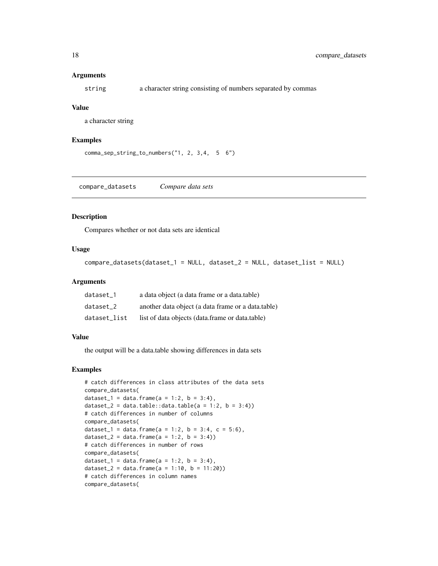#### <span id="page-17-0"></span>**Arguments**

string a character string consisting of numbers separated by commas

#### Value

a character string

#### Examples

```
comma_sep_string_to_numbers("1, 2, 3,4, 5 6")
```
compare\_datasets *Compare data sets*

## Description

Compares whether or not data sets are identical

#### Usage

compare\_datasets(dataset\_1 = NULL, dataset\_2 = NULL, dataset\_list = NULL)

#### Arguments

| dataset 1    | a data object (a data frame or a data.table)       |
|--------------|----------------------------------------------------|
| dataset 2    | another data object (a data frame or a data.table) |
| dataset_list | list of data objects (data.frame or data.table)    |

#### Value

the output will be a data.table showing differences in data sets

```
# catch differences in class attributes of the data sets
compare_datasets(
dataset_1 = data.frame(a = 1:2, b = 3:4),
dataset_2 = data.table::data.table(a = 1:2, b = 3:4))
# catch differences in number of columns
compare_datasets(
dataset_1 = data.frame(a = 1:2, b = 3:4, c = 5:6),
dataset_2 = data.frame(a = 1:2, b = 3:4))
# catch differences in number of rows
compare_datasets(
dataset_1 = data.frame(a = 1:2, b = 3:4),
dataset_2 = data.frame(a = 1:10, b = 11:20))
# catch differences in column names
compare_datasets(
```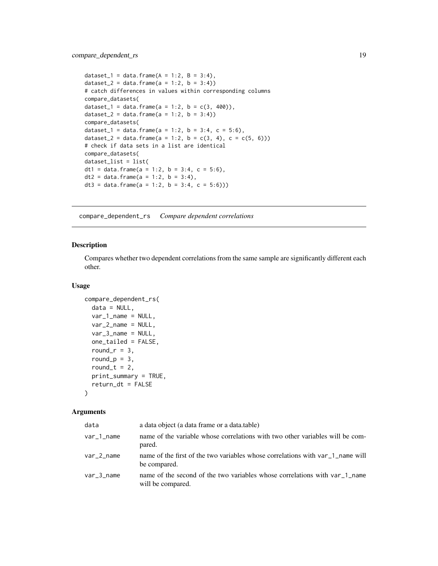```
dataset_1 = data.frame(A = 1:2, B = 3:4),
dataset_2 = data.frame(a = 1:2, b = 3:4))
# catch differences in values within corresponding columns
compare_datasets(
dataset_1 = data.frame(a = 1:2, b = c(3, 400)),
dataset_2 = data.frame(a = 1:2, b = 3:4))
compare_datasets(
dataset_1 = data.frame(a = 1:2, b = 3:4, c = 5:6),
dataset_2 = data.frame(a = 1:2, b = c(3, 4), c = c(5, 6)))
# check if data sets in a list are identical
compare_datasets(
dataset_list = list(
dt1 = data.frame(a = 1:2, b = 3:4, c = 5:6),
dt2 = data.frame(a = 1:2, b = 3:4),
dt3 = data.frame(a = 1:2, b = 3:4, c = 5:6)))
```
compare\_dependent\_rs *Compare dependent correlations*

#### Description

Compares whether two dependent correlations from the same sample are significantly different each other.

#### Usage

```
compare_dependent_rs(
  data = NULL,
  var_1_name = NULL,
  var_2_name = NULL,
  var_3_name = NULL,
  one_tailed = FALSE,
  round_r = 3,
  round_p = 3,
  round_t = 2,
 print_summary = TRUE,
  return_dt = FALSE
)
```

| data          | a data object (a data frame or a data table)                                                    |
|---------------|-------------------------------------------------------------------------------------------------|
| var_1_name    | name of the variable whose correlations with two other variables will be com-<br>pared.         |
| $var_2$ _name | name of the first of the two variables whose correlations with var 1 name will<br>be compared.  |
| $var_3$ _name | name of the second of the two variables whose correlations with var 1 name<br>will be compared. |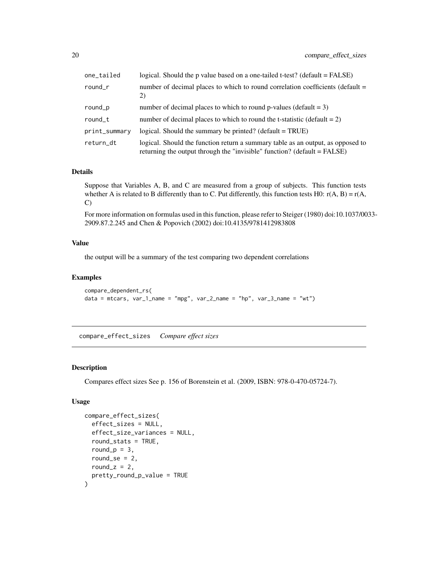<span id="page-19-0"></span>

| one_tailed    | logical. Should the p value based on a one-tailed t-test? (default = FALSE)                                                                                 |
|---------------|-------------------------------------------------------------------------------------------------------------------------------------------------------------|
| $round_r$     | number of decimal places to which to round correlation coefficients (default =<br>2)                                                                        |
| round_p       | number of decimal places to which to round p-values (default $= 3$ )                                                                                        |
| round_t       | number of decimal places to which to round the t-statistic (default $= 2$ )                                                                                 |
| print_summary | logical. Should the summary be printed? (default $= TRUE$ )                                                                                                 |
| return_dt     | logical. Should the function return a summary table as an output, as opposed to<br>returning the output through the "invisible" function? (default = FALSE) |

#### Details

Suppose that Variables A, B, and C are measured from a group of subjects. This function tests whether A is related to B differently than to C. Put differently, this function tests H0:  $r(A, B) = r(A, B)$ C)

For more information on formulas used in this function, please refer to Steiger (1980) doi:10.1037/0033- 2909.87.2.245 and Chen & Popovich (2002) doi:10.4135/9781412983808

#### Value

the output will be a summary of the test comparing two dependent correlations

#### Examples

```
compare_dependent_rs(
data = mtcars, var_1_name = "mpg", var_2_name = "hp", var_3_name = "wt")
```
compare\_effect\_sizes *Compare effect sizes*

#### Description

Compares effect sizes See p. 156 of Borenstein et al. (2009, ISBN: 978-0-470-05724-7).

#### Usage

```
compare_effect_sizes(
  effect_sizes = NULL,
  effect_size_variances = NULL,
  round_stats = TRUE,
  round_p = 3,
  round_se = 2,
  round_z = 2,
  pretty_round_p_value = TRUE
)
```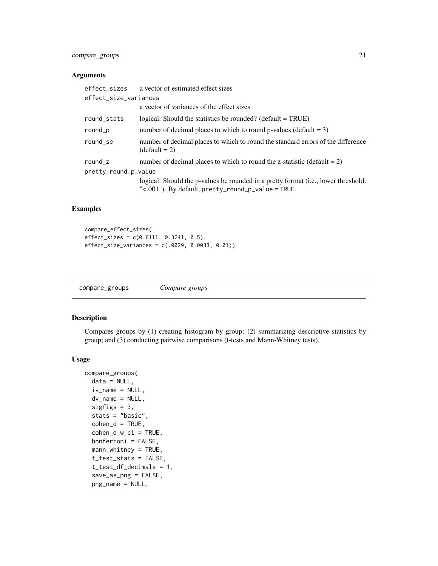## <span id="page-20-0"></span>compare\_groups 21

### Arguments

|                       | effect_sizes a vector of estimated effect sizes                                                                                                 |
|-----------------------|-------------------------------------------------------------------------------------------------------------------------------------------------|
| effect_size_variances |                                                                                                                                                 |
|                       | a vector of variances of the effect sizes                                                                                                       |
| round_stats           | logical. Should the statistics be rounded? (default $= TRUE$ )                                                                                  |
| round_p               | number of decimal places to which to round p-values (default $= 3$ )                                                                            |
| round_se              | number of decimal places to which to round the standard errors of the difference<br>$(detault = 2)$                                             |
| round_ $z$            | number of decimal places to which to round the z-statistic (default $= 2$ )                                                                     |
| pretty_round_p_value  |                                                                                                                                                 |
|                       | logical. Should the p-values be rounded in a pretty format (i.e., lower threshold:<br>" $\leq$ .001"). By default, pretty_round_p_value = TRUE. |

## Examples

```
compare_effect_sizes(
effect_sizes = c(0.6111, 0.3241, 0.5),
effect_size_variances = c(.0029, 0.0033, 0.01))
```
compare\_groups *Compare groups*

## Description

Compares groups by (1) creating histogram by group; (2) summarizing descriptive statistics by group; and (3) conducting pairwise comparisons (t-tests and Mann-Whitney tests).

#### Usage

```
compare_groups(
  data = NULL,
  iv_name = NULL,dv_name = NULL,
  sigfigs = 3,
  stats = "basic",
  \text{cohen}_d = \text{TRUE},
  cohen_d_w_ci = TRUE,
  bonferroni = FALSE,
 mann_whitney = TRUE,
  t_test_stats = FALSE,
  t_test_df_decimals = 1,
  save_as_png = FALSE,
  png_name = NULL,
```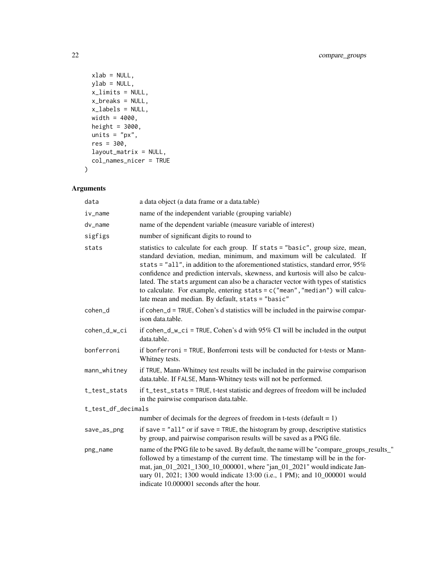```
xlab = NULL,
  ylab = NULL,
  x_limits = NULL,
  x_breaks = NULL,
 x<sup>l</sup>abels = NULL,
  width = 4000,
 height = 3000,
  units = "px",res = 300,
  layout_matrix = NULL,
  col_names_nicer = TRUE
\mathcal{L}
```

| data               | a data object (a data frame or a data.table)                                                                                                                                                                                                                                                                                                                                                                                                                                                                                                                    |
|--------------------|-----------------------------------------------------------------------------------------------------------------------------------------------------------------------------------------------------------------------------------------------------------------------------------------------------------------------------------------------------------------------------------------------------------------------------------------------------------------------------------------------------------------------------------------------------------------|
| iv_name            | name of the independent variable (grouping variable)                                                                                                                                                                                                                                                                                                                                                                                                                                                                                                            |
| dv_name            | name of the dependent variable (measure variable of interest)                                                                                                                                                                                                                                                                                                                                                                                                                                                                                                   |
| sigfigs            | number of significant digits to round to                                                                                                                                                                                                                                                                                                                                                                                                                                                                                                                        |
| stats              | statistics to calculate for each group. If stats = "basic", group size, mean,<br>standard deviation, median, minimum, and maximum will be calculated. If<br>stats = $"all",$ in addition to the aforementioned statistics, standard error, $95\%$<br>confidence and prediction intervals, skewness, and kurtosis will also be calcu-<br>lated. The stats argument can also be a character vector with types of statistics<br>to calculate. For example, entering $stats = c("mean", "median")$ will calcu-<br>late mean and median. By default, stats = "basic" |
| cohen_d            | if cohen_d = TRUE, Cohen's d statistics will be included in the pairwise compar-<br>ison data.table.                                                                                                                                                                                                                                                                                                                                                                                                                                                            |
| cohen_d_w_ci       | if cohen_d_w_ci = TRUE, Cohen's d with $95\%$ CI will be included in the output<br>data.table.                                                                                                                                                                                                                                                                                                                                                                                                                                                                  |
| bonferroni         | if bonferroni = TRUE, Bonferroni tests will be conducted for t-tests or Mann-<br>Whitney tests.                                                                                                                                                                                                                                                                                                                                                                                                                                                                 |
| mann_whitney       | if TRUE, Mann-Whitney test results will be included in the pairwise comparison<br>data.table. If FALSE, Mann-Whitney tests will not be performed.                                                                                                                                                                                                                                                                                                                                                                                                               |
| t_test_stats       | if t_test_stats = TRUE, t-test statistic and degrees of freedom will be included<br>in the pairwise comparison data.table.                                                                                                                                                                                                                                                                                                                                                                                                                                      |
| t_test_df_decimals |                                                                                                                                                                                                                                                                                                                                                                                                                                                                                                                                                                 |
|                    | number of decimals for the degrees of freedom in t-tests (default $= 1$ )                                                                                                                                                                                                                                                                                                                                                                                                                                                                                       |
| save_as_png        | if save $=$ "all" or if save $=$ TRUE, the histogram by group, descriptive statistics<br>by group, and pairwise comparison results will be saved as a PNG file.                                                                                                                                                                                                                                                                                                                                                                                                 |
| png_name           | name of the PNG file to be saved. By default, the name will be "compare_groups_results_"<br>followed by a timestamp of the current time. The timestamp will be in the for-<br>mat, jan_01_2021_1300_10_000001, where "jan_01_2021" would indicate Jan-<br>uary 01, 2021; 1300 would indicate 13:00 (i.e., 1 PM); and 10_000001 would<br>indicate 10.000001 seconds after the hour.                                                                                                                                                                              |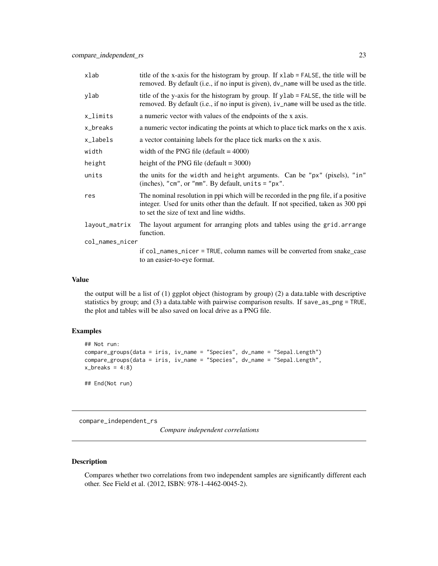<span id="page-22-0"></span>

| xlab            | title of the x-axis for the histogram by group. If xlab = FALSE, the title will be<br>removed. By default (i.e., if no input is given), dv_name will be used as the title.                                            |  |
|-----------------|-----------------------------------------------------------------------------------------------------------------------------------------------------------------------------------------------------------------------|--|
| ylab            | title of the y-axis for the histogram by group. If ylab = FALSE, the title will be<br>removed. By default (i.e., if no input is given), iv_name will be used as the title.                                            |  |
| x_limits        | a numeric vector with values of the endpoints of the x axis.                                                                                                                                                          |  |
| x_breaks        | a numeric vector indicating the points at which to place tick marks on the x axis.                                                                                                                                    |  |
| x_labels        | a vector containing labels for the place tick marks on the x axis.                                                                                                                                                    |  |
| width           | width of the PNG file (default $= 4000$ )                                                                                                                                                                             |  |
| height          | height of the PNG file (default $=$ 3000)                                                                                                                                                                             |  |
| units           | the units for the width and height arguments. Can be "px" (pixels), "in"<br>(inches), "cm", or "mm". By default, units = "px".                                                                                        |  |
| res             | The nominal resolution in ppi which will be recorded in the png file, if a positive<br>integer. Used for units other than the default. If not specified, taken as 300 ppi<br>to set the size of text and line widths. |  |
| layout_matrix   | The layout argument for arranging plots and tables using the grid. arrange<br>function.                                                                                                                               |  |
| col_names_nicer |                                                                                                                                                                                                                       |  |
|                 | if col_names_nicer = TRUE, column names will be converted from snake_case                                                                                                                                             |  |
|                 | to an easier-to-eye format.                                                                                                                                                                                           |  |

#### Value

the output will be a list of (1) ggplot object (histogram by group) (2) a data.table with descriptive statistics by group; and (3) a data.table with pairwise comparison results. If save\_as\_png = TRUE, the plot and tables will be also saved on local drive as a PNG file.

## Examples

```
## Not run:
compare_groups(data = iris, iv_name = "Species", dv_name = "Sepal.Length")
compare_groups(data = iris, iv_name = "Species", dv_name = "Sepal.Length",
x_breaks = 4:8)
```
## End(Not run)

compare\_independent\_rs

*Compare independent correlations*

## Description

Compares whether two correlations from two independent samples are significantly different each other. See Field et al. (2012, ISBN: 978-1-4462-0045-2).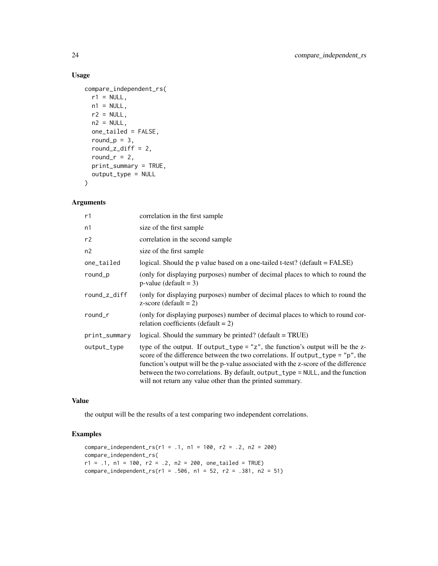## Usage

```
compare_independent_rs(
  r1 = NULL,n1 = NULL,r2 = NULL,n2 = NULL,one_tailed = FALSE,
  round_p = 3,
  round_z_diff = 2,
  round_r = 2,
  print_summary = TRUE,
  output_type = NULL
\mathcal{L}
```
## Arguments

| r1            | correlation in the first sample                                                                                                                                                                                                                                                                                                                                                                               |
|---------------|---------------------------------------------------------------------------------------------------------------------------------------------------------------------------------------------------------------------------------------------------------------------------------------------------------------------------------------------------------------------------------------------------------------|
| n1            | size of the first sample                                                                                                                                                                                                                                                                                                                                                                                      |
| r2            | correlation in the second sample                                                                                                                                                                                                                                                                                                                                                                              |
| n2            | size of the first sample                                                                                                                                                                                                                                                                                                                                                                                      |
| one_tailed    | logical. Should the p value based on a one-tailed t-test? (default = FALSE)                                                                                                                                                                                                                                                                                                                                   |
| round_p       | (only for displaying purposes) number of decimal places to which to round the<br>$p$ -value (default = 3)                                                                                                                                                                                                                                                                                                     |
| round_z_diff  | (only for displaying purposes) number of decimal places to which to round the<br>z-score (default = $2$ )                                                                                                                                                                                                                                                                                                     |
| round $r$     | (only for displaying purposes) number of decimal places to which to round cor-<br>relation coefficients (default = $2$ )                                                                                                                                                                                                                                                                                      |
| print_summary | logical. Should the summary be printed? (default = TRUE)                                                                                                                                                                                                                                                                                                                                                      |
| output_type   | type of the output. If output_type = $"z"$ , the function's output will be the z-<br>score of the difference between the two correlations. If output_type = $"p"$ , the<br>function's output will be the p-value associated with the z-score of the difference<br>between the two correlations. By default, output_type = NULL, and the function<br>will not return any value other than the printed summary. |

## Value

the output will be the results of a test comparing two independent correlations.

```
compare_independent_rs(r1 = .1, n1 = 100, r2 = .2, n2 = 200)
compare_independent_rs(
r1 = .1, n1 = 100, r2 = .2, n2 = 200, one_tailed = TRUE)
compare\_independent_r s(r1 = .506, n1 = 52, r2 = .381, n2 = 51)
```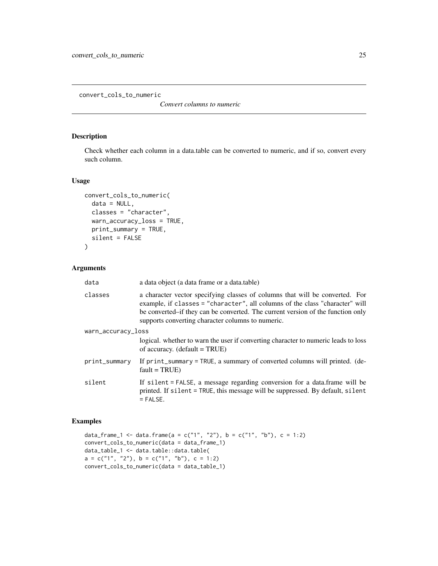<span id="page-24-0"></span>convert\_cols\_to\_numeric

*Convert columns to numeric*

## Description

Check whether each column in a data.table can be converted to numeric, and if so, convert every such column.

## Usage

```
convert_cols_to_numeric(
  data = NULL,classes = "character",
 warn_accuracy_loss = TRUE,
 print_summary = TRUE,
  silent = FALSE
)
```
## Arguments

| data               | a data object (a data frame or a data.table)                                                                                                                                                                                                                                                         |
|--------------------|------------------------------------------------------------------------------------------------------------------------------------------------------------------------------------------------------------------------------------------------------------------------------------------------------|
| classes            | a character vector specifying classes of columns that will be converted. For<br>example, if classes = "character", all columns of the class "character" will<br>be converted–if they can be converted. The current version of the function only<br>supports converting character columns to numeric. |
| warn_accuracy_loss |                                                                                                                                                                                                                                                                                                      |
|                    | logical. whether to warn the user if converting character to numeric leads to loss<br>of accuracy. $(detault = TRUE)$                                                                                                                                                                                |
| print_summary      | If print_summary = TRUE, a summary of converted columns will printed. (de-<br>$fault = TRUE)$                                                                                                                                                                                                        |
| silent             | If silent = FALSE, a message regarding conversion for a data.frame will be<br>printed. If silent = TRUE, this message will be suppressed. By default, silent<br>$=$ FALSE.                                                                                                                           |

```
data_frame_1 <- data.frame(a = c("1", "2"), b = c("1", "b"), c = 1:2)
convert_cols_to_numeric(data = data_frame_1)
data_table_1 <- data.table::data.table(
a = c("1", "2"), b = c("1", "b"), c = 1:2)
convert_cols_to_numeric(data = data_table_1)
```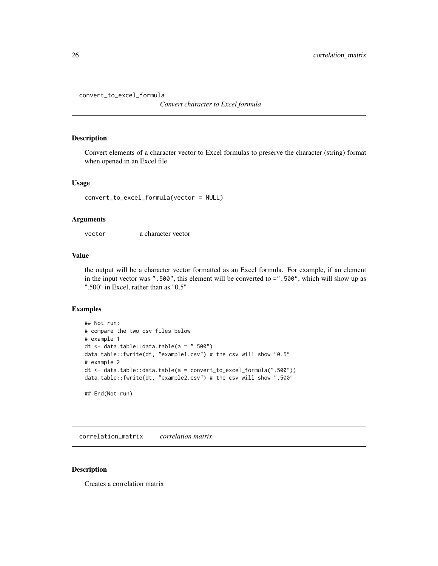```
convert_to_excel_formula
```
*Convert character to Excel formula*

## Description

Convert elements of a character vector to Excel formulas to preserve the character (string) format when opened in an Excel file.

#### Usage

convert\_to\_excel\_formula(vector = NULL)

## Arguments

vector a character vector

## Value

the output will be a character vector formatted as an Excel formula. For example, if an element in the input vector was ".500", this element will be converted to =".500", which will show up as ".500" in Excel, rather than as "0.5"

#### Examples

```
## Not run:
# compare the two csv files below
# example 1
dt \leq data.table::data.table(a = ".500")
data.table::fwrite(dt, "example1.csv") # the csv will show "0.5"
# example 2
dt <- data.table::data.table(a = convert_to_excel_formula(".500"))
data.table::fwrite(dt, "example2.csv") # the csv will show ".500"
## End(Not run)
```
correlation\_matrix *correlation matrix*

#### Description

Creates a correlation matrix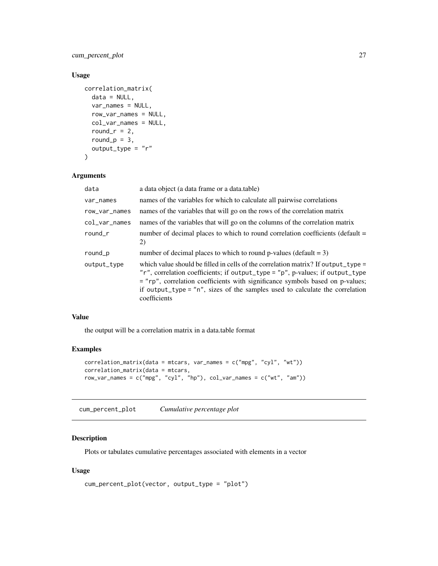<span id="page-26-0"></span>cum\_percent\_plot 27

### Usage

```
correlation_matrix(
 data = NULL,
  var_names = NULL,
 row_var_names = NULL,
  col_var_names = NULL,
  round_r = 2,
  round_p = 3,
 output_type = "r"
)
```
#### Arguments

| data          | a data object (a data frame or a data.table)                                                                                                                                                                                                                                                                                                                        |
|---------------|---------------------------------------------------------------------------------------------------------------------------------------------------------------------------------------------------------------------------------------------------------------------------------------------------------------------------------------------------------------------|
| var_names     | names of the variables for which to calculate all pairwise correlations                                                                                                                                                                                                                                                                                             |
| row_var_names | names of the variables that will go on the rows of the correlation matrix                                                                                                                                                                                                                                                                                           |
| $col_var_n$   | names of the variables that will go on the columns of the correlation matrix                                                                                                                                                                                                                                                                                        |
| round_r       | number of decimal places to which to round correlation coefficients (default $=$<br>2)                                                                                                                                                                                                                                                                              |
| round_p       | number of decimal places to which to round p-values (default $= 3$ )                                                                                                                                                                                                                                                                                                |
| output_type   | which value should be filled in cells of the correlation matrix? If output_type =<br>"r", correlation coefficients; if output_type = "p", p-values; if output_type<br>= "rp", correlation coefficients with significance symbols based on p-values;<br>if output_type = $n^{\prime\prime}$ , sizes of the samples used to calculate the correlation<br>coefficients |

#### Value

the output will be a correlation matrix in a data.table format

## Examples

```
correlation_matrix(data = mtcars, var_names = c("mpg", "cyl", "wt"))
correlation_matrix(data = mtcars,
row_var_names = c("mpg", "cyl", "hp"), col_var_names = c("wt", "am"))
```
cum\_percent\_plot *Cumulative percentage plot*

## Description

Plots or tabulates cumulative percentages associated with elements in a vector

## Usage

```
cum_percent_plot(vector, output_type = "plot")
```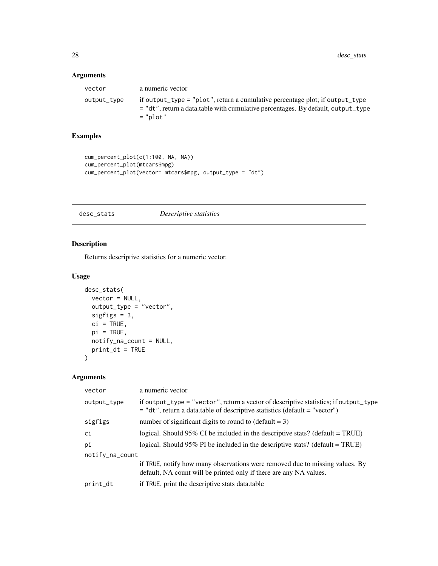## <span id="page-27-0"></span>Arguments

| vector      | a numeric vector                                                                                                                                                               |
|-------------|--------------------------------------------------------------------------------------------------------------------------------------------------------------------------------|
| output_type | if output_type = "plot", return a cumulative percentage plot; if output_type<br>= "dt", return a data.table with cumulative percentages. By default, output_type<br>$=$ "plot" |

## Examples

```
cum_percent_plot(c(1:100, NA, NA))
cum_percent_plot(mtcars$mpg)
cum_percent_plot(vector= mtcars$mpg, output_type = "dt")
```
desc\_stats *Descriptive statistics*

## Description

Returns descriptive statistics for a numeric vector.

## Usage

```
desc_stats(
 vector = NULL,
 output_type = "vector",
 sigfigs = 3,
 ci = TRUE,pi = TRUE,notify_na_count = NULL,
 print_dt = TRUE
)
```

| vector          | a numeric vector                                                                                                                                                       |
|-----------------|------------------------------------------------------------------------------------------------------------------------------------------------------------------------|
| output_type     | if output_type = "vector", return a vector of descriptive statistics; if output_type<br>$=$ "dt", return a data.table of descriptive statistics (default $=$ "vector") |
| sigfigs         | number of significant digits to round to $(\text{default} = 3)$                                                                                                        |
| сi              | logical. Should 95% CI be included in the descriptive stats? (default = TRUE)                                                                                          |
| pi              | logical. Should 95% PI be included in the descriptive stats? (default = $TRUE$ )                                                                                       |
| notify_na_count |                                                                                                                                                                        |
|                 | if TRUE, notify how many observations were removed due to missing values. By<br>default, NA count will be printed only if there are any NA values.                     |
| print_dt        | if TRUE, print the descriptive stats data.table                                                                                                                        |
|                 |                                                                                                                                                                        |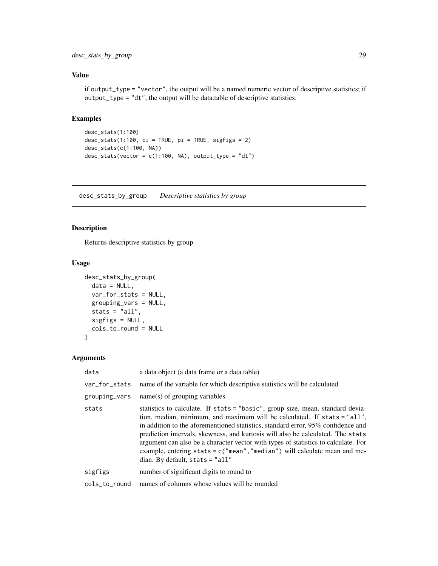## <span id="page-28-0"></span>Value

if output\_type = "vector", the output will be a named numeric vector of descriptive statistics; if output\_type = "dt", the output will be data.table of descriptive statistics.

#### Examples

```
desc_stats(1:100)
desc_stats(1:100, ci = TRUE, pi = TRUE, sigfigs = 2)
desc_stats(c(1:100, NA))
desc\_stats(vector = c(1:100, NA), output_type = "dt")
```
desc\_stats\_by\_group *Descriptive statistics by group*

## Description

Returns descriptive statistics by group

### Usage

```
desc_stats_by_group(
 data = NULL,var_for_stats = NULL,
 grouping_vars = NULL,
 stats = "all",sigfigs = NULL,
 cols_to_round = NULL
)
```

| data          | a data object (a data frame or a data.table)                                                                                                                                                                                                                                                                                                                                                                                                                                                                                                   |
|---------------|------------------------------------------------------------------------------------------------------------------------------------------------------------------------------------------------------------------------------------------------------------------------------------------------------------------------------------------------------------------------------------------------------------------------------------------------------------------------------------------------------------------------------------------------|
| var_for_stats | name of the variable for which descriptive statistics will be calculated                                                                                                                                                                                                                                                                                                                                                                                                                                                                       |
| grouping_vars | $name(s)$ of grouping variables                                                                                                                                                                                                                                                                                                                                                                                                                                                                                                                |
| stats         | statistics to calculate. If stats = "basic", group size, mean, standard devia-<br>tion, median, minimum, and maximum will be calculated. If stats = "all",<br>in addition to the aforementioned statistics, standard error, $95\%$ confidence and<br>prediction intervals, skewness, and kurtosis will also be calculated. The stats<br>argument can also be a character vector with types of statistics to calculate. For<br>example, entering stats = $c("mean", "median")$ will calculate mean and me-<br>dian. By default, stats $=$ "all" |
| sigfigs       | number of significant digits to round to                                                                                                                                                                                                                                                                                                                                                                                                                                                                                                       |
| cols_to_round | names of columns whose values will be rounded                                                                                                                                                                                                                                                                                                                                                                                                                                                                                                  |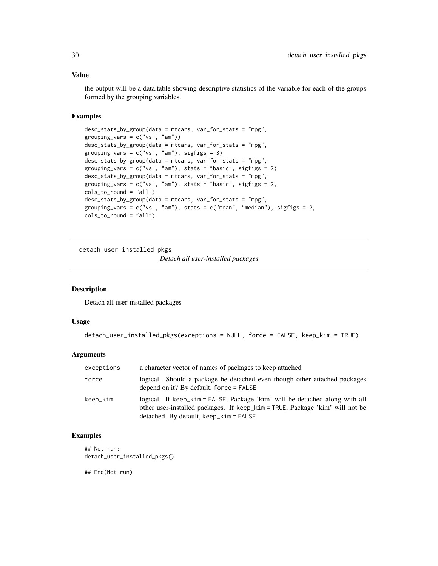#### <span id="page-29-0"></span>Value

the output will be a data.table showing descriptive statistics of the variable for each of the groups formed by the grouping variables.

#### Examples

```
desc_stats_by_group(data = mtcars, var_for_stats = "mpg",
grouping\_vars = c("vs", "am"))desc_stats_by_group(data = mtcars, var_for_stats = "mpg",
grouping_vars = c("vs", "am"), sigfigs = 3)desc_stats_by_group(data = mtcars, var_for_stats = "mpg",
grouping_vars = c("vs", "am"), stats = "basic", sigfigs = 2)
desc_stats_by_group(data = mtcars, var_for_stats = "mpg",
grouping_vars = c("vs", "am"), stats = "basic", sigfigs = 2,
cols_to_round = "all")
desc_stats_by_group(data = mtcars, var_for_stats = "mpg",
grouping_vars = c("vs", "am"), stats = c("mean", "median"), sigfigs = 2,
cols_to_round = "all")
```
detach\_user\_installed\_pkgs

*Detach all user-installed packages*

#### Description

Detach all user-installed packages

## Usage

```
detach_user_installed_pkgs(exceptions = NULL, force = FALSE, keep_kim = TRUE)
```
#### **Arguments**

| exceptions | a character vector of names of packages to keep attached                                                                                                                                                 |
|------------|----------------------------------------------------------------------------------------------------------------------------------------------------------------------------------------------------------|
| force      | logical. Should a package be detached even though other attached packages<br>depend on it? By default, force $=$ FALSE                                                                                   |
| keep_kim   | logical. If keep_kim = FALSE, Package 'kim' will be detached along with all<br>other user-installed packages. If keep_kim = TRUE, Package 'kim' will not be<br>detached. By default, $keep\_kim = FALSE$ |

## Examples

```
## Not run:
detach_user_installed_pkgs()
```
## End(Not run)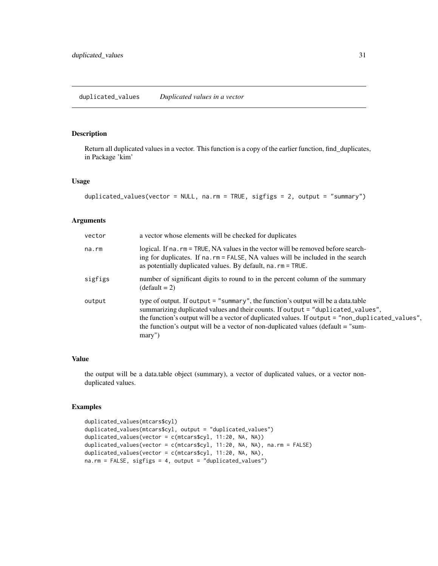<span id="page-30-0"></span>duplicated\_values *Duplicated values in a vector*

## Description

Return all duplicated values in a vector. This function is a copy of the earlier function, find\_duplicates, in Package 'kim'

#### Usage

```
duplicated_values(vector = NULL, na.rm = TRUE, sigfigs = 2, output = "summary")
```
#### Arguments

| vector  | a vector whose elements will be checked for duplicates                                                                                                                                                                                                                                                                                                                     |
|---------|----------------------------------------------------------------------------------------------------------------------------------------------------------------------------------------------------------------------------------------------------------------------------------------------------------------------------------------------------------------------------|
| na.rm   | logical. If na. rm = TRUE, NA values in the vector will be removed before search-<br>ing for duplicates. If na.rm = FALSE, NA values will be included in the search<br>as potentially duplicated values. By default, $na$ . $rm = TRUE$ .                                                                                                                                  |
| sigfigs | number of significant digits to round to in the percent column of the summary<br>$(detault = 2)$                                                                                                                                                                                                                                                                           |
| output  | type of output. If output $=$ "summary", the function's output will be a data.table<br>summarizing duplicated values and their counts. If output = "duplicated_values",<br>the function's output will be a vector of duplicated values. If output = "non_duplicated_values",<br>the function's output will be a vector of non-duplicated values (default = "sum-<br>mary") |

#### Value

the output will be a data.table object (summary), a vector of duplicated values, or a vector nonduplicated values.

```
duplicated_values(mtcars$cyl)
duplicated_values(mtcars$cyl, output = "duplicated_values")
duplicated_values(vector = c(mtcars$cyl, 11:20, NA, NA))
duplicated_values(vector = c(mtcars$cyl, 11:20, NA, NA), na.rm = FALSE)
duplicated_values(vector = c(mtcars$cyl, 11:20, NA, NA),
na.rm = FALSE, sigfigs = 4, output = "duplicated_values")
```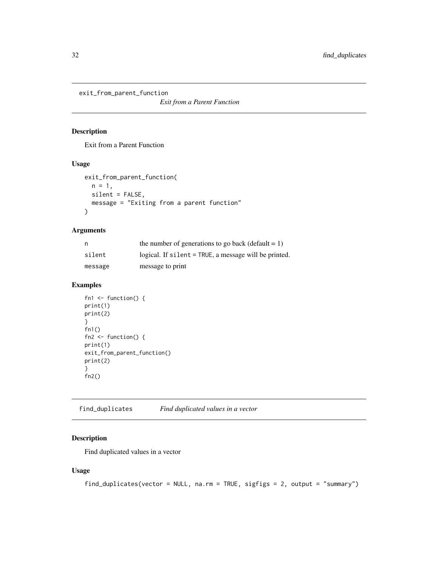<span id="page-31-0"></span>exit\_from\_parent\_function

*Exit from a Parent Function*

#### Description

Exit from a Parent Function

#### Usage

```
exit_from_parent_function(
 n = 1,
 silent = FALSE,
 message = "Exiting from a parent function"
)
```
#### Arguments

| n       | the number of generations to go back (default $= 1$ ) |
|---------|-------------------------------------------------------|
| silent  | logical. If silent = TRUE, a message will be printed. |
| message | message to print                                      |

## Examples

```
fn1 <- function() {
print(1)
print(2)
}
fn1()
fn2 <- function() {
print(1)
exit_from_parent_function()
print(2)
}
fn2()
```
find\_duplicates *Find duplicated values in a vector*

## Description

Find duplicated values in a vector

## Usage

find\_duplicates(vector = NULL, na.rm = TRUE, sigfigs = 2, output = "summary")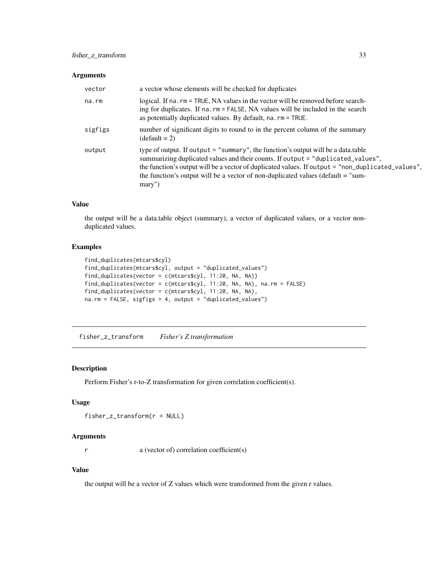#### <span id="page-32-0"></span>Arguments

| vector  | a vector whose elements will be checked for duplicates                                                                                                                                                                                                                                                                                                                       |
|---------|------------------------------------------------------------------------------------------------------------------------------------------------------------------------------------------------------------------------------------------------------------------------------------------------------------------------------------------------------------------------------|
| na.rm   | logical. If na. rm = TRUE, NA values in the vector will be removed before search-<br>ing for duplicates. If na.rm = FALSE, NA values will be included in the search<br>as potentially duplicated values. By default, na. rm = TRUE.                                                                                                                                          |
| sigfigs | number of significant digits to round to in the percent column of the summary<br>$(detault = 2)$                                                                                                                                                                                                                                                                             |
| output  | type of output. If output $=$ "summary", the function's output will be a data.table<br>summarizing duplicated values and their counts. If output = "duplicated_values",<br>the function's output will be a vector of duplicated values. If output = "non_duplicated_values",<br>the function's output will be a vector of non-duplicated values (default $=$ "sum-<br>mary") |

## Value

the output will be a data.table object (summary), a vector of duplicated values, or a vector nonduplicated values.

## Examples

```
find_duplicates(mtcars$cyl)
find_duplicates(mtcars$cyl, output = "duplicated_values")
find_duplicates(vector = c(mtcars$cyl, 11:20, NA, NA))
find_duplicates(vector = c(mtcars$cyl, 11:20, NA, NA), na.rm = FALSE)
find_duplicates(vector = c(mtcars$cyl, 11:20, NA, NA),
na.rm = FALSE, sigfigs = 4, output = "duplicated_values")
```
fisher\_z\_transform *Fisher's Z transformation*

#### Description

Perform Fisher's r-to-Z transformation for given correlation coefficient(s).

#### Usage

```
fisher_z_transform(r = NULL)
```
## Arguments

r a (vector of) correlation coefficient(s)

#### Value

the output will be a vector of Z values which were transformed from the given r values.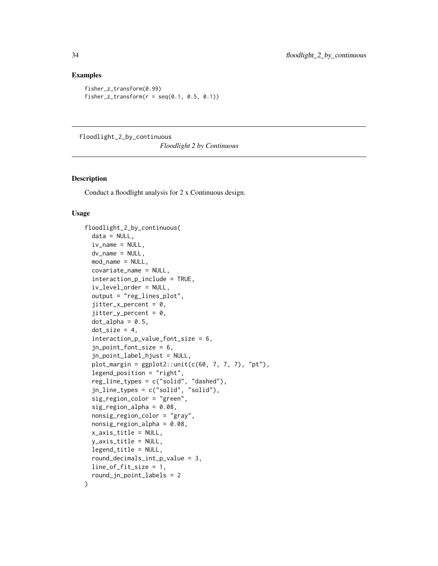#### Examples

```
fisher_z_transform(0.99)
fisher_z_transform(r = \text{seq}(0.1, 0.5, 0.1))
```
floodlight\_2\_by\_continuous

*Floodlight 2 by Continuous*

## Description

Conduct a floodlight analysis for 2 x Continuous design.

#### Usage

```
floodlight_2_by_continuous(
  data = NULL,iv_name = NULL,dv_name = NULL,mod_name = NULL,covariate_name = NULL,
  interaction_p_include = TRUE,
  iv_level_order = NULL,
  output = "reg_lines_plot",
  jitter_x_{percent} = 0,
  jitter_y_{percent} = 0,
  dot\_alpha = 0.5,
  dot\_size = 4,
  interaction_p_value_font_size = 6,
  jn_point_font_size = 6,
  jn_point_label_hjust = NULL,
  plot_margin = ggplot2::unit(c(60, 7, 7, 7), "pt"),legend_position = "right",
  reg_line_types = c("solid", "dashed"),
  jn_line_types = c("solid", "solid"),
  sig_region_color = "green",
  sig_region_alpha = 0.08,
  nonsig_region_color = "gray",
  nonsig\_region\_alpha = 0.08,
  x_axis_title = NULL,
  y_axis_title = NULL,
  legend_title = NULL,
  round_decimals_int_p_value = 3,
  line_of_fit_size = 1,
  round_jn_point_labels = 2
)
```
<span id="page-33-0"></span>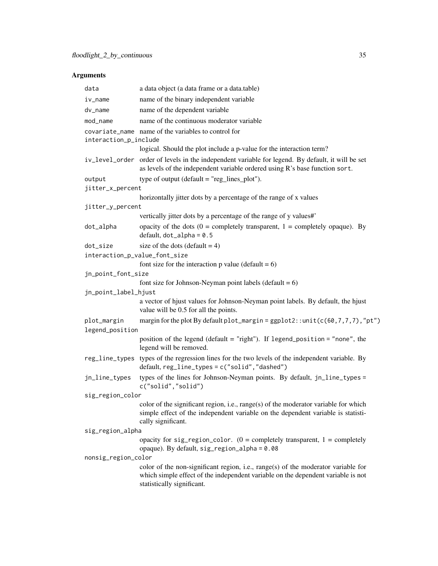| data                           | a data object (a data frame or a data.table)                                                                                                                                                        |
|--------------------------------|-----------------------------------------------------------------------------------------------------------------------------------------------------------------------------------------------------|
| iv_name                        | name of the binary independent variable                                                                                                                                                             |
| dv_name                        | name of the dependent variable                                                                                                                                                                      |
| mod_name                       | name of the continuous moderator variable                                                                                                                                                           |
| interaction_p_include          | covariate_name name of the variables to control for                                                                                                                                                 |
|                                | logical. Should the plot include a p-value for the interaction term?                                                                                                                                |
|                                | iv_level_order order of levels in the independent variable for legend. By default, it will be set<br>as levels of the independent variable ordered using R's base function sort.                    |
| output                         | type of output ( $default = "reg\_lines\_plot").$                                                                                                                                                   |
| jitter_x_percent               |                                                                                                                                                                                                     |
|                                | horizontally jitter dots by a percentage of the range of x values                                                                                                                                   |
| jitter_y_percent               |                                                                                                                                                                                                     |
|                                | vertically jitter dots by a percentage of the range of y values#'                                                                                                                                   |
| dot_alpha                      | opacity of the dots ( $0 =$ completely transparent, $1 =$ completely opaque). By<br>default, $dot_a$ lpha = 0.5                                                                                     |
| dot_size                       | size of the dots (default $= 4$ )                                                                                                                                                                   |
| interaction_p_value_font_size  |                                                                                                                                                                                                     |
|                                | font size for the interaction p value (default = $6$ )                                                                                                                                              |
| jn_point_font_size             |                                                                                                                                                                                                     |
|                                | font size for Johnson-Neyman point labels (default $= 6$ )                                                                                                                                          |
| jn_point_label_hjust           |                                                                                                                                                                                                     |
|                                | a vector of hjust values for Johnson-Neyman point labels. By default, the hjust<br>value will be 0.5 for all the points.                                                                            |
| plot_margin<br>legend_position | margin for the plot By default plot_margin = $ggplot2$ : : unit(c(60,7,7,7),"pt")                                                                                                                   |
|                                | position of the legend (default = "right"). If legend_position = "none", the<br>legend will be removed.                                                                                             |
|                                | reg_line_types types of the regression lines for the two levels of the independent variable. By<br>default, reg_line_types = c("solid", "dashed")                                                   |
| jn_line_types                  | types of the lines for Johnson-Neyman points. By default, jn_line_types =<br>c("solid","solid")                                                                                                     |
| sig_region_color               |                                                                                                                                                                                                     |
|                                | color of the significant region, i.e., $range(s)$ of the moderator variable for which<br>simple effect of the independent variable on the dependent variable is statisti-<br>cally significant.     |
| sig_region_alpha               |                                                                                                                                                                                                     |
|                                | opacity for sig_region_color. $(0 = \text{completely transparent}, 1 = \text{completely})$<br>opaque). By default, sig_region_alpha = 0.08                                                          |
| nonsig_region_color            |                                                                                                                                                                                                     |
|                                | color of the non-significant region, i.e., range(s) of the moderator variable for<br>which simple effect of the independent variable on the dependent variable is not<br>statistically significant. |
|                                |                                                                                                                                                                                                     |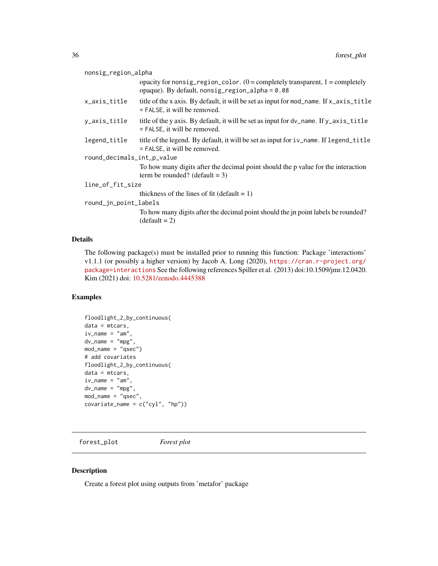<span id="page-35-0"></span>

| nonsig_region_alpha        |                                                                                                                                         |
|----------------------------|-----------------------------------------------------------------------------------------------------------------------------------------|
|                            | opacity for nonsig_region_color. $(0 =$ completely transparent, $1 =$ completely<br>opaque). By default, $nonsig_{region_a}1pha = 0.08$ |
| x_axis_title               | title of the x axis. By default, it will be set as input for mod_name. If x_axis_title<br>$=$ FALSE, it will be removed.                |
| y_axis_title               | title of the y axis. By default, it will be set as input for dy_name. If y_axis_title<br>$=$ FALSE, it will be removed.                 |
| legend_title               | title of the legend. By default, it will be set as input for iv_name. If legend_title<br>$=$ FALSE, it will be removed.                 |
| round_decimals_int_p_value |                                                                                                                                         |
|                            | To how many digits after the decimal point should the p value for the interaction<br>term be rounded? (default $= 3$ )                  |
| line_of_fit_size           |                                                                                                                                         |
|                            | thickness of the lines of fit (default $= 1$ )                                                                                          |
| round_jn_point_labels      |                                                                                                                                         |
|                            | To how many digits after the decimal point should the jn point labels be rounded?<br>$(detault = 2)$                                    |
|                            |                                                                                                                                         |

## Details

The following package(s) must be installed prior to running this function: Package 'interactions' v1.1.1 (or possibly a higher version) by Jacob A. Long (2020), [https://cran.r-project.org/](https://cran.r-project.org/package=interactions) [package=interactions](https://cran.r-project.org/package=interactions) See the following references Spiller et al. (2013) doi:10.1509/jmr.12.0420. Kim (2021) doi: [10.5281/zenodo.4445388](https://doi.org/10.5281/zenodo.4445388)

#### Examples

```
floodlight_2_by_continuous(
data = mtcars,
iv_name = "am",dv_name = "mpg",
mod_name = "qsec")
# add covariates
floodlight_2_by_continuous(
data = mtcars,
iv_name = "am",dv_name = "mpg",
mod_name = "qsec",
covariate_name = c("cyl", "hp"))
```
forest\_plot *Forest plot*

## Description

Create a forest plot using outputs from 'metafor' package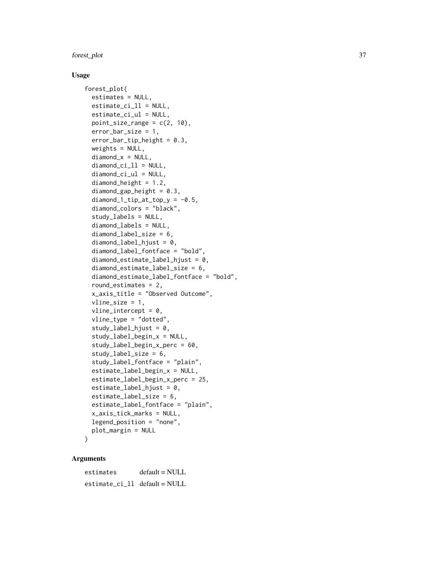#### forest\_plot 37

#### Usage

```
forest_plot(
  estimates = NULL,
  estimate\_ci_l1 = NULL,estimate_ci_ul = NULL,
 point\_size\_range = c(2, 10),
  error_bar_size = 1,
  error_bar_tip_height = 0.3,
  weights = NULL,diamond_x = NULL,
  diamond\_ci_l1 = NULL,diamond_ci_ul = NULL,
  diamondheight = 1.2,
  diamond\_gap\_height = 0.3,
  diamond_1_tip_at_top_y = -0.5,
  diamond_colors = "black",
  study_labels = NULL,
  diamond_labels = NULL,
  diamond_label_size = 6,
  diamondlabel_hjust = 0,
  diamond_label_fontface = "bold",
  diamond\_estimate\_label\_hjust = 0,diamond_estimate_label_size = 6,
  diamond_estimate_label_fontface = "bold",
  round_estimates = 2,
  x_axis_title = "Observed Outcome",
  vline_size = 1,
  vline\_intercept = 0,
  vline_type = "dotted",
  study\_label\_hjust = 0,study_label_begin_x = NULL,
  study_label_begin_x_perc = 60,
  study_label_size = 6,
  study_label_fontface = "plain",
  estimate_label_begin_x = NULL,
  estimate_label_begin_x_perc = 25,
  estimate_labels\_hjust = 0,estimate_label_size = 6,
  estimate_label_fontface = "plain",
  x_axis_tick_marks = NULL,
  legend_position = "none",
 plot_margin = NULL
```

```
)
```

| estimates                   | $default = NULL$ |
|-----------------------------|------------------|
| estimate_ci_ll default=NULL |                  |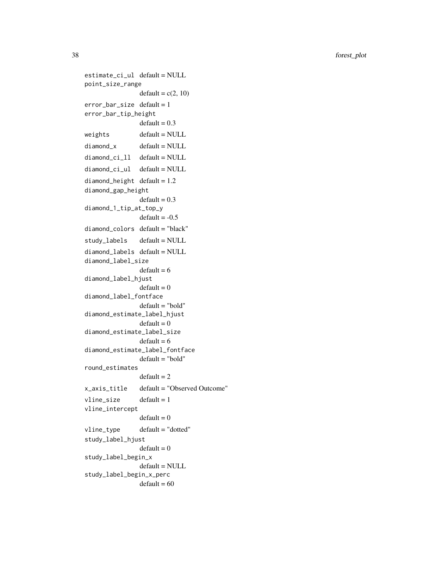estimate\_ci\_ul default = NULL point\_size\_range  $default = c(2, 10)$ error\_bar\_size default = 1 error\_bar\_tip\_height  $default = 0.3$  $weights$  default = NULL  $diamond_x$   $default = NULL$ diamond\_ci\_ll default = NULL diamond\_ci\_ul default = NULL diamond\_height default =  $1.2$ diamond\_gap\_height  $default = 0.3$ diamond\_1\_tip\_at\_top\_y  $default = -0.5$ diamond\_colors default = "black" study\_labels default = NULL diamond\_labels default = NULL diamond\_label\_size  $default = 6$ diamond\_label\_hjust  $default = 0$ diamond\_label\_fontface default = "bold" diamond\_estimate\_label\_hjust  $default = 0$ diamond\_estimate\_label\_size  $default = 6$ diamond\_estimate\_label\_fontface default = "bold" round\_estimates  $default = 2$ x\_axis\_title default = "Observed Outcome"  $vline\_size$  default = 1 vline\_intercept  $default = 0$ vline\_type default = "dotted" study\_label\_hjust  $default = 0$ study\_label\_begin\_x default = NULL study\_label\_begin\_x\_perc  $default = 60$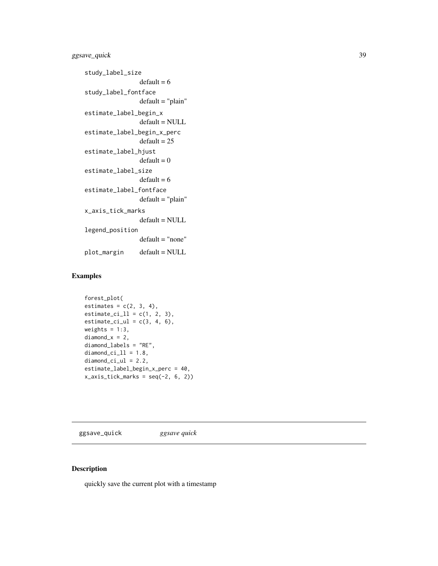# ggsave\_quick 39

```
study_label_size
                default = 6study_label_fontface
                default = "plain"estimate_label_begin_x
                default = NULL
estimate_label_begin_x_perc
                default = 25estimate_label_hjust
                default = 0estimate_label_size
                default = 6estimate_label_fontface
                default = "plain"x_axis_tick_marks
                default = NULL
legend_position
                default = "none"
plot_margin default = NULL
```
# Examples

```
forest_plot(
estimates = c(2, 3, 4),
estimate_ci_ll = c(1, 2, 3),estimate_ci_ul = c(3, 4, 6),weights = 1:3,
diamond_x = 2,
diamond_labels = "RE",
diamond\_ci_11 = 1.8,
diamond\_ci\_ul = 2.2,
estimate_label_begin_x_perc = 40,
x_axis\_tick\_marks = seq(-2, 6, 2)
```
ggsave\_quick *ggsave quick*

## Description

quickly save the current plot with a timestamp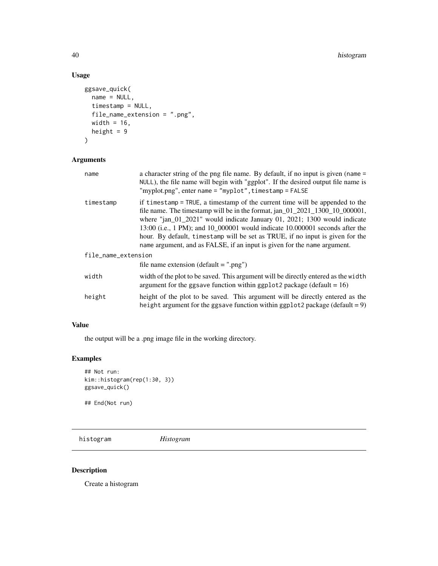# Usage

```
ggsave_quick(
 name = NULL,
 timestamp = NULL,
 file_name_extension = ".png",
 width = 16,
 height = 9)
```
# Arguments

| name                | a character string of the png file name. By default, if no input is given (name =<br>NULL), the file name will begin with "ggplot". If the desired output file name is<br>"myplot.png", enter name = "myplot", timestamp = FALSE                                                                                                                                                                                                                                                            |  |
|---------------------|---------------------------------------------------------------------------------------------------------------------------------------------------------------------------------------------------------------------------------------------------------------------------------------------------------------------------------------------------------------------------------------------------------------------------------------------------------------------------------------------|--|
| timestamp           | if timestamp = TRUE, a timestamp of the current time will be appended to the<br>file name. The timestamp will be in the format, $jan_01_2021_1300_10_000001$ ,<br>where " $jan_01_2021$ " would indicate January 01, 2021; 1300 would indicate<br>13:00 (i.e., 1 PM); and 10_000001 would indicate 10.000001 seconds after the<br>hour. By default, timestamp will be set as TRUE, if no input is given for the<br>name argument, and as FALSE, if an input is given for the name argument. |  |
| file_name_extension |                                                                                                                                                                                                                                                                                                                                                                                                                                                                                             |  |
|                     | file name extension (default $=$ ".png")                                                                                                                                                                                                                                                                                                                                                                                                                                                    |  |
| width               | width of the plot to be saved. This argument will be directly entered as the width<br>argument for the ggsave function within ggplot 2 package (default $= 16$ )                                                                                                                                                                                                                                                                                                                            |  |
| height              | height of the plot to be saved. This argument will be directly entered as the<br>height argument for the ggsave function within ggplot2 package (default = $9$ )                                                                                                                                                                                                                                                                                                                            |  |

#### Value

the output will be a .png image file in the working directory.

# Examples

```
## Not run:
kim::histogram(rep(1:30, 3))
ggsave_quick()
```
## End(Not run)

histogram *Histogram*

## Description

Create a histogram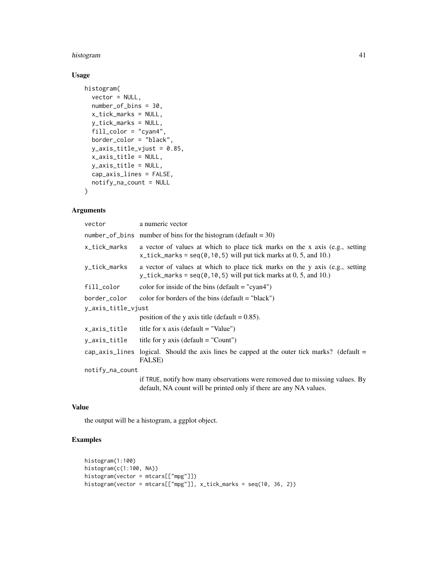#### histogram 41

# Usage

```
histogram(
  vector = NULL,
  number_of_bins = 30,
  x_tick_marks = NULL,
  y_tick_marks = NULL,
  fill_color = "cyan4",
  border_color = "black",
  y_axis_title_vjust = 0.85,
  x_axis_title = NULL,
  y_axis_title = NULL,
  cap_axis_lines = FALSE,
  notify_na_count = NULL
\mathcal{L}
```
# Arguments

| vector             | a numeric vector                                                                                                                                             |
|--------------------|--------------------------------------------------------------------------------------------------------------------------------------------------------------|
|                    | number_of_bins number of bins for the histogram (default = $30$ )                                                                                            |
| x_tick_marks       | a vector of values at which to place tick marks on the x axis (e.g., setting<br>$x_t$ ick_marks = seq(0,10,5) will put tick marks at 0, 5, and 10.)          |
| y_tick_marks       | a vector of values at which to place tick marks on the y axis (e.g., setting<br>y_tick_marks = seq( $0, 10, 5$ ) will put tick marks at $0, 5$ , and $10$ .) |
| fill_color         | color for inside of the bins (default $=$ "cyan4")                                                                                                           |
| border_color       | color for borders of the bins (default $=$ "black")                                                                                                          |
| y_axis_title_vjust |                                                                                                                                                              |
|                    | position of the y axis title (default $= 0.85$ ).                                                                                                            |
| x_axis_title       | title for x axis (default $=$ "Value")                                                                                                                       |
| y_axis_title       | title for y axis (default $=$ "Count")                                                                                                                       |
|                    | cap_axis_lines logical. Should the axis lines be capped at the outer tick marks? (default $=$<br>FALSE)                                                      |
| notify_na_count    |                                                                                                                                                              |
|                    | if TRUE, notify how many observations were removed due to missing values. By<br>default, NA count will be printed only if there are any NA values.           |

#### Value

the output will be a histogram, a ggplot object.

```
histogram(1:100)
histogram(c(1:100, NA))
histogram(vector = mtcars[["mpg"]])
histogram(vector = mtcars[["mpg"]], x_tick_marks = seq(10, 36, 2))
```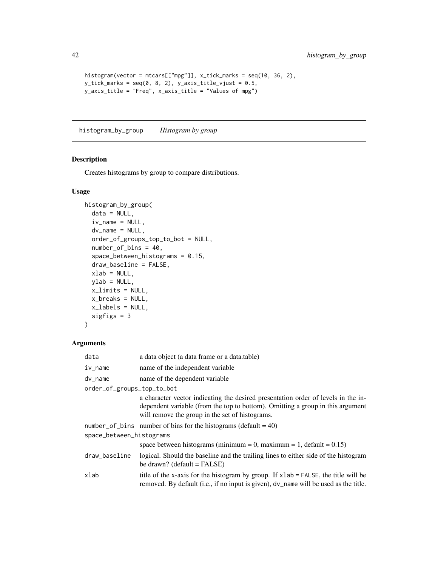```
histogram(vector = mtcars[["mpg"]], x_tick_marks = seq(10, 36, 2),
y\_tick\_marks = seq(0, 8, 2), y\_axis\_title\_vjust = 0.5,y_axis_title = "Freq", x_axis_title = "Values of mpg")
```
histogram\_by\_group *Histogram by group*

## Description

Creates histograms by group to compare distributions.

## Usage

```
histogram_by_group(
  data = NULL,iv_name = NULL,dv_name = NULL,
  order_of_groups_top_to_bot = NULL,
  number_of_bins = 40,
  space_between_histograms = 0.15,
  draw_baseline = FALSE,
  xlab = NULL,
  ylab = NULL,
  x_limits = NULL,
  x_breaks = NULL,
  x_labels = NULL,
  sigfigs = 3
\mathcal{L}
```

| data                       | a data object (a data frame or a data.table)                                                                                                                                                                           |  |
|----------------------------|------------------------------------------------------------------------------------------------------------------------------------------------------------------------------------------------------------------------|--|
| $iv_$ name                 | name of the independent variable                                                                                                                                                                                       |  |
| dv_name                    | name of the dependent variable                                                                                                                                                                                         |  |
| order_of_groups_top_to_bot |                                                                                                                                                                                                                        |  |
|                            | a character vector indicating the desired presentation order of levels in the in-<br>dependent variable (from the top to bottom). Omitting a group in this argument<br>will remove the group in the set of histograms. |  |
|                            | number_of_bins number of bins for the histograms (default = $40$ )                                                                                                                                                     |  |
| space_between_histograms   |                                                                                                                                                                                                                        |  |
|                            | space between histograms (minimum = 0, maximum = 1, default = $0.15$ )                                                                                                                                                 |  |
| draw_baseline              | logical. Should the baseline and the trailing lines to either side of the histogram<br>be drawn? (default = $FALSE$ )                                                                                                  |  |
| xlab                       | title of the x-axis for the histogram by group. If xlab = FALSE, the title will be<br>removed. By default (i.e., if no input is given), dv_name will be used as the title.                                             |  |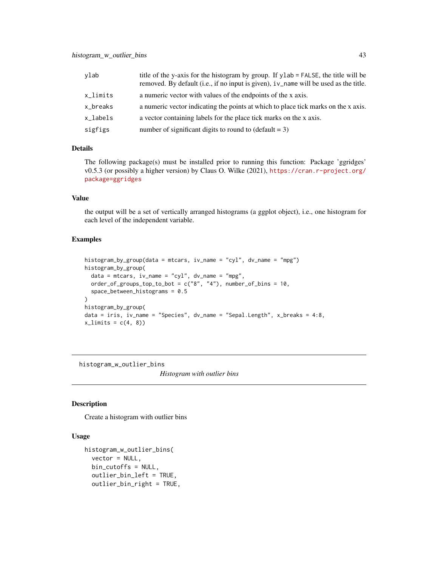| ylab     | title of the y-axis for the histogram by group. If ylab = FALSE, the title will be<br>removed. By default (i.e., if no input is given), iv_name will be used as the title. |
|----------|----------------------------------------------------------------------------------------------------------------------------------------------------------------------------|
| x_limits | a numeric vector with values of the endpoints of the x axis.                                                                                                               |
| x_breaks | a numeric vector indicating the points at which to place tick marks on the x axis.                                                                                         |
| x_labels | a vector containing labels for the place tick marks on the x axis.                                                                                                         |
| sigfigs  | number of significant digits to round to $(\text{default} = 3)$                                                                                                            |

#### Details

The following package(s) must be installed prior to running this function: Package 'ggridges' v0.5.3 (or possibly a higher version) by Claus O. Wilke (2021), [https://cran.r-project.org/](https://cran.r-project.org/package=ggridges) [package=ggridges](https://cran.r-project.org/package=ggridges)

#### Value

the output will be a set of vertically arranged histograms (a ggplot object), i.e., one histogram for each level of the independent variable.

#### Examples

```
histogram_by_group(data = mtcars, iv_name = "cyl", dv_name = "mpg")
histogram_by_group(
  data = mtcars, iv_name = "cyl", dv_name = "mpg",order_of_grows_top_to_bot = c("8", "4"), number_of_bins = 10,
  space_between_histograms = 0.5
)
histogram_by_group(
data = iris, iv_name = "Species", dv_name = "Sepal.Length", x_breaks = 4:8,
x_{\text{limits}} = c(4, 8)
```
histogram\_w\_outlier\_bins

*Histogram with outlier bins*

#### Description

Create a histogram with outlier bins

# Usage

```
histogram_w_outlier_bins(
  vector = NULL,bin_cutoffs = NULL,
  outlier_bin_left = TRUE,
  outlier_bin_right = TRUE,
```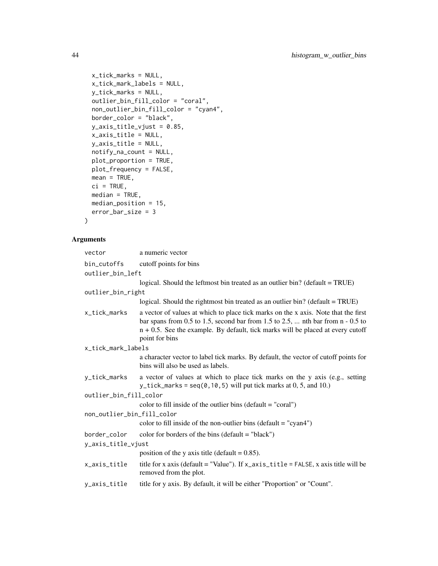```
x_tick_marks = NULL,
 x_tick_mark_labels = NULL,
 y_tick_marks = NULL,
 outlier_bin_fill_color = "coral",
 non_outlier_bin_fill_color = "cyan4",
 border_color = "black",
 y_axis_title_vjust = 0.85,
 x_axis_title = NULL,
 y_axis_title = NULL,
 notify_na_count = NULL,
 plot_proportion = TRUE,
 plot_frequency = FALSE,
 mean = TRUE,ci = TRUE,median = TRUE,median_position = 15,
 error_bar_size = 3
\mathcal{L}
```

| vector                     | a numeric vector                                                                                                                                                                                                                                                                |  |
|----------------------------|---------------------------------------------------------------------------------------------------------------------------------------------------------------------------------------------------------------------------------------------------------------------------------|--|
| bin_cutoffs                | cutoff points for bins                                                                                                                                                                                                                                                          |  |
| outlier_bin_left           |                                                                                                                                                                                                                                                                                 |  |
|                            | logical. Should the leftmost bin treated as an outlier bin? (default = TRUE)                                                                                                                                                                                                    |  |
| outlier_bin_right          |                                                                                                                                                                                                                                                                                 |  |
|                            | logical. Should the rightmost bin treated as an outlier bin? (default = TRUE)                                                                                                                                                                                                   |  |
| x_tick_marks               | a vector of values at which to place tick marks on the x axis. Note that the first<br>bar spans from 0.5 to 1.5, second bar from 1.5 to 2.5,  nth bar from $n - 0.5$ to<br>$n + 0.5$ . See the example. By default, tick marks will be placed at every cutoff<br>point for bins |  |
| x_tick_mark_labels         |                                                                                                                                                                                                                                                                                 |  |
|                            | a character vector to label tick marks. By default, the vector of cutoff points for<br>bins will also be used as labels.                                                                                                                                                        |  |
| y_tick_marks               | a vector of values at which to place tick marks on the y axis (e.g., setting<br>y_tick_marks = $seq(0, 10, 5)$ will put tick marks at 0, 5, and 10.)                                                                                                                            |  |
| outlier_bin_fill_color     |                                                                                                                                                                                                                                                                                 |  |
|                            | color to fill inside of the outlier bins (default $=$ "coral")                                                                                                                                                                                                                  |  |
| non_outlier_bin_fill_color |                                                                                                                                                                                                                                                                                 |  |
|                            | color to fill inside of the non-outlier bins (default $=$ "cyan4")                                                                                                                                                                                                              |  |
| border_color               | color for borders of the bins (default $=$ "black")                                                                                                                                                                                                                             |  |
| y_axis_title_vjust         |                                                                                                                                                                                                                                                                                 |  |
|                            | position of the y axis title (default = $0.85$ ).                                                                                                                                                                                                                               |  |
| x_axis_title               | title for x axis (default = "Value"). If $x$ _axis_title = FALSE, x axis title will be<br>removed from the plot.                                                                                                                                                                |  |
| y_axis_title               | title for y axis. By default, it will be either "Proportion" or "Count".                                                                                                                                                                                                        |  |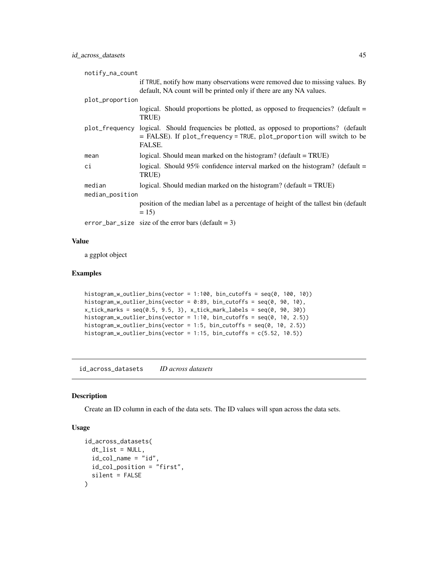| notify_na_count |                                                                                                                                                                               |
|-----------------|-------------------------------------------------------------------------------------------------------------------------------------------------------------------------------|
|                 | if TRUE, notify how many observations were removed due to missing values. By<br>default, NA count will be printed only if there are any NA values.                            |
| plot_proportion |                                                                                                                                                                               |
|                 | logical. Should proportions be plotted, as opposed to frequencies? (default =<br>TRUE)                                                                                        |
|                 | plot_frequency logical. Should frequencies be plotted, as opposed to proportions? (default<br>= FALSE). If plot_frequency = TRUE, plot_proportion will switch to be<br>FALSE. |
| mean            | logical. Should mean marked on the histogram? (default $= TRUE$ )                                                                                                             |
| сi              | logical. Should 95% confidence interval marked on the histogram? (default $=$<br>TRUE)                                                                                        |
| median          | logical. Should median marked on the histogram? (default $= TRUE$ )                                                                                                           |
| median_position |                                                                                                                                                                               |
|                 | position of the median label as a percentage of height of the tallest bin (default<br>$= 15$                                                                                  |
|                 | $error_bar\_size$ size of the error bars (default = 3)                                                                                                                        |

#### Value

a ggplot object

#### Examples

```
histogram_w_outlier_bins(vector = 1:100, bin_cutoffs = seq(0, 100, 10))
histogram_w_outlier_bins(vector = 0:89, bin_cutoffs = seq(0, 90, 10),
x\_tick\_marks = seq(0.5, 9.5, 3), x\_tick\_mark\_labels = seq(0, 90, 30))histogram_w_outlier_bins(vector = 1:10, bin_cutoffs = seq(0, 10, 2.5))
histogram_w_outlier_bins(vector = 1:5, bin_cutoffs = seq(0, 10, 2.5))
histogram_w_outlier_bins(vector = 1:15, bin_cutoffs = c(5.52, 10.5))
```
id\_across\_datasets *ID across datasets*

#### Description

Create an ID column in each of the data sets. The ID values will span across the data sets.

#### Usage

```
id_across_datasets(
  dt<sub>_</sub>list = NULL,
  id_{col\_name} = "id",id_col_position = "first",
  silent = FALSE
\mathcal{E}
```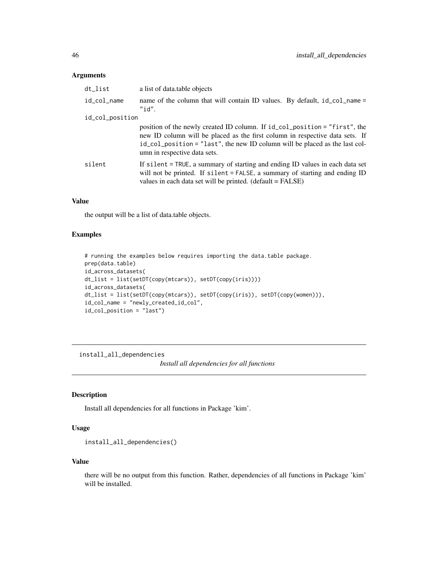#### Arguments

| dt_list         | a list of data table objects                                                                                                                                                                                                                                              |
|-----------------|---------------------------------------------------------------------------------------------------------------------------------------------------------------------------------------------------------------------------------------------------------------------------|
| id_col_name     | name of the column that will contain ID values. By default, id_col_name =<br>" $id"$ .                                                                                                                                                                                    |
| id_col_position |                                                                                                                                                                                                                                                                           |
|                 | position of the newly created ID column. If id_col_position = "first", the<br>new ID column will be placed as the first column in respective data sets. If<br>id_col_position = "last", the new ID column will be placed as the last col-<br>umn in respective data sets. |
| silent          | If silent = TRUE, a summary of starting and ending ID values in each data set<br>will not be printed. If silent = FALSE, a summary of starting and ending ID<br>values in each data set will be printed. (default = FALSE)                                                |

# Value

the output will be a list of data.table objects.

#### Examples

```
# running the examples below requires importing the data.table package.
prep(data.table)
id_across_datasets(
dt_list = list(setDT(copy(mtcars)), setDT(copy(iris))))
id_across_datasets(
dt_list = list(setDT(copy(mtcars)), setDT(copy(iris)), setDT(copy(women))),
id_col_name = "newly_created_id_col",
id_col_position = "last")
```
install\_all\_dependencies

*Install all dependencies for all functions*

## Description

Install all dependencies for all functions in Package 'kim'.

# Usage

```
install_all_dependencies()
```
#### Value

there will be no output from this function. Rather, dependencies of all functions in Package 'kim' will be installed.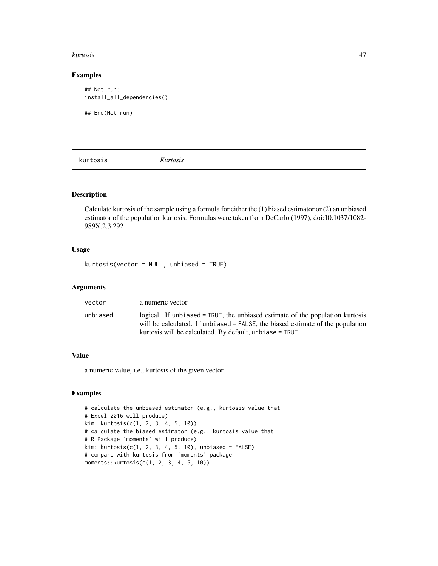#### kurtosis 47

#### Examples

## Not run: install\_all\_dependencies()

## End(Not run)

kurtosis *Kurtosis*

# Description

Calculate kurtosis of the sample using a formula for either the (1) biased estimator or (2) an unbiased estimator of the population kurtosis. Formulas were taken from DeCarlo (1997), doi:10.1037/1082- 989X.2.3.292

#### Usage

kurtosis(vector = NULL, unbiased = TRUE)

#### Arguments

| vector   | a numeric vector                                                                                                                                                                                                              |
|----------|-------------------------------------------------------------------------------------------------------------------------------------------------------------------------------------------------------------------------------|
| unbiased | logical. If unbiased = TRUE, the unbiased estimate of the population kurtosis<br>will be calculated. If unbiased = FALSE, the biased estimate of the population<br>kurtosis will be calculated. By default, unbiase $=$ TRUE. |

### Value

a numeric value, i.e., kurtosis of the given vector

```
# calculate the unbiased estimator (e.g., kurtosis value that
# Excel 2016 will produce)
kim::kurtosis(c(1, 2, 3, 4, 5, 10))
# calculate the biased estimator (e.g., kurtosis value that
# R Package 'moments' will produce)
kim::kurtosis(c(1, 2, 3, 4, 5, 10), unbiased = FALSE)# compare with kurtosis from 'moments' package
moments::kurtosis(c(1, 2, 3, 4, 5, 10))
```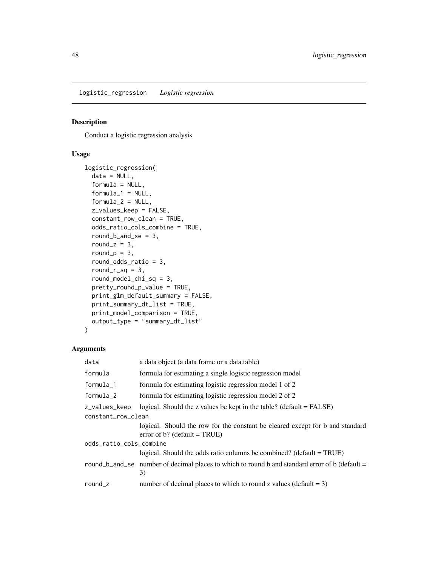logistic\_regression *Logistic regression*

## Description

Conduct a logistic regression analysis

## Usage

```
logistic_regression(
 data = NULL,formula = NULL,
  formula_1 = NULL,formula_2 = NULL,z_values_keep = FALSE,
  constant_row_clean = TRUE,
 odds_ratio_cols_combine = TRUE,
  round_b_and_se = 3,
  round_z = 3,
  round_p = 3,
  round_odds_ratio = 3,
  roundr<sub>sq</sub> = 3,
  round_model_chi_sq = 3,
 pretty_round_p_value = TRUE,
 print_glm_default_summary = FALSE,
 print_summary_dt_list = TRUE,
 print_model_comparison = TRUE,
 output_type = "summary_dt_list"
)
```

| data                    | a data object (a data frame or a data.table)                                                                     |  |
|-------------------------|------------------------------------------------------------------------------------------------------------------|--|
| formula                 | formula for estimating a single logistic regression model                                                        |  |
| formula_1               | formula for estimating logistic regression model 1 of 2                                                          |  |
| $formula_2$             | formula for estimating logistic regression model 2 of 2                                                          |  |
| z_values_keep           | logical. Should the z values be kept in the table? (default $=$ FALSE)                                           |  |
| constant_row_clean      |                                                                                                                  |  |
|                         | logical. Should the row for the constant be cleared except for b and standard<br>error of $b$ ? (default = TRUE) |  |
| odds_ratio_cols_combine |                                                                                                                  |  |
|                         | logical. Should the odds ratio columns be combined? (default $= TRUE$ )                                          |  |
|                         | round_b_and_se number of decimal places to which to round b and standard error of b (default =<br>3)             |  |
| round_ $z$              | number of decimal places to which to round z values (default $= 3$ )                                             |  |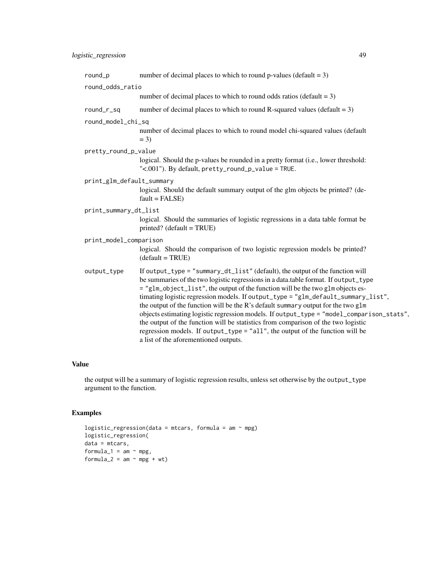| $round_p$                 | number of decimal places to which to round p-values (default = $3$ )                                                                                                                                                                                                                                                                                                                                                                                                                                                                                                                                                                                                                                                                          |
|---------------------------|-----------------------------------------------------------------------------------------------------------------------------------------------------------------------------------------------------------------------------------------------------------------------------------------------------------------------------------------------------------------------------------------------------------------------------------------------------------------------------------------------------------------------------------------------------------------------------------------------------------------------------------------------------------------------------------------------------------------------------------------------|
| round_odds_ratio          |                                                                                                                                                                                                                                                                                                                                                                                                                                                                                                                                                                                                                                                                                                                                               |
|                           | number of decimal places to which to round odds ratios (default $= 3$ )                                                                                                                                                                                                                                                                                                                                                                                                                                                                                                                                                                                                                                                                       |
| round_r_sq                | number of decimal places to which to round R-squared values (default = $3$ )                                                                                                                                                                                                                                                                                                                                                                                                                                                                                                                                                                                                                                                                  |
| round_model_chi_sq        |                                                                                                                                                                                                                                                                                                                                                                                                                                                                                                                                                                                                                                                                                                                                               |
|                           | number of decimal places to which to round model chi-squared values (default<br>$= 3$                                                                                                                                                                                                                                                                                                                                                                                                                                                                                                                                                                                                                                                         |
| pretty_round_p_value      |                                                                                                                                                                                                                                                                                                                                                                                                                                                                                                                                                                                                                                                                                                                                               |
|                           | logical. Should the p-values be rounded in a pretty format (i.e., lower threshold:<br>"<.001"). By default, pretty_round_p_value = TRUE.                                                                                                                                                                                                                                                                                                                                                                                                                                                                                                                                                                                                      |
| print_glm_default_summary |                                                                                                                                                                                                                                                                                                                                                                                                                                                                                                                                                                                                                                                                                                                                               |
|                           | logical. Should the default summary output of the glm objects be printed? (de-<br>$fault = FALSE)$                                                                                                                                                                                                                                                                                                                                                                                                                                                                                                                                                                                                                                            |
| print_summary_dt_list     |                                                                                                                                                                                                                                                                                                                                                                                                                                                                                                                                                                                                                                                                                                                                               |
|                           | logical. Should the summaries of logistic regressions in a data table format be<br>$printed$ ? (default = TRUE)                                                                                                                                                                                                                                                                                                                                                                                                                                                                                                                                                                                                                               |
| print_model_comparison    |                                                                                                                                                                                                                                                                                                                                                                                                                                                                                                                                                                                                                                                                                                                                               |
|                           | logical. Should the comparison of two logistic regression models be printed?<br>$(detault = TRUE)$                                                                                                                                                                                                                                                                                                                                                                                                                                                                                                                                                                                                                                            |
| output_type               | If output_type = "summary_dt_list" (default), the output of the function will<br>be summaries of the two logistic regressions in a data.table format. If output_type<br>= "glm_object_list", the output of the function will be the two glm objects es-<br>timating logistic regression models. If output_type = "glm_default_summary_list",<br>the output of the function will be the R's default summary output for the two glm<br>objects estimating logistic regression models. If output_type = "model_comparison_stats",<br>the output of the function will be statistics from comparison of the two logistic<br>regression models. If output_type = "all", the output of the function will be<br>a list of the aforementioned outputs. |

### Value

the output will be a summary of logistic regression results, unless set otherwise by the output\_type argument to the function.

```
logistic_regression(data = mtcars, formula = am \sim mpg)
logistic_regression(
data = mtcars,
formula_1 = am \sim mpg,
formula_2 = am \sim mpg + wt)
```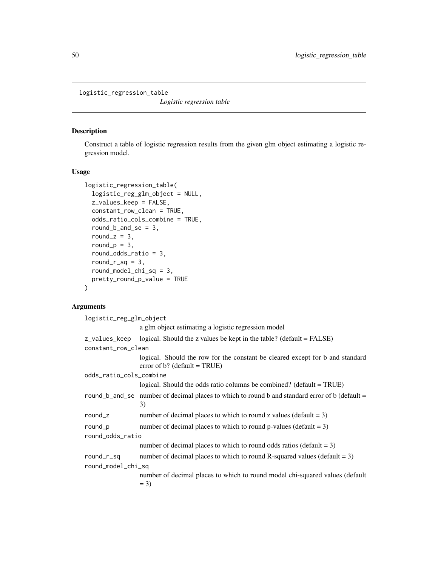logistic\_regression\_table

*Logistic regression table*

#### Description

Construct a table of logistic regression results from the given glm object estimating a logistic regression model.

## Usage

```
logistic_regression_table(
  logistic_reg_glm_object = NULL,
 z_values_keep = FALSE,
  constant_row_clean = TRUE,
 odds_ratio_cols_combine = TRUE,
  round_b_and_se = 3,
  round_z = 3,
  round_p = 3,
  round_odds_ratio = 3,
  round_r_sq = 3,
  round_model_chi_sq = 3,
 pretty_round_p_value = TRUE
\mathcal{L}
```

| logistic_reg_glm_object |                                                                                                                  |  |
|-------------------------|------------------------------------------------------------------------------------------------------------------|--|
|                         | a glm object estimating a logistic regression model                                                              |  |
| z_values_keep           | logical. Should the z values be kept in the table? (default $=$ FALSE)                                           |  |
| constant_row_clean      |                                                                                                                  |  |
|                         | logical. Should the row for the constant be cleared except for b and standard<br>error of b? (default = $TRUE$ ) |  |
| odds_ratio_cols_combine |                                                                                                                  |  |
|                         | logical. Should the odds ratio columns be combined? (default $= TRUE$ )                                          |  |
|                         | round_b_and_se number of decimal places to which to round b and standard error of b (default =<br>3)             |  |
| round_z                 | number of decimal places to which to round z values (default $= 3$ )                                             |  |
| $round_p$               | number of decimal places to which to round p-values (default $= 3$ )                                             |  |
| round_odds_ratio        |                                                                                                                  |  |
|                         | number of decimal places to which to round odds ratios (default $= 3$ )                                          |  |
| round_r_sq              | number of decimal places to which to round R-squared values (default $= 3$ )                                     |  |
| round_model_chi_sq      |                                                                                                                  |  |
|                         | number of decimal places to which to round model chi-squared values (default<br>$= 3$                            |  |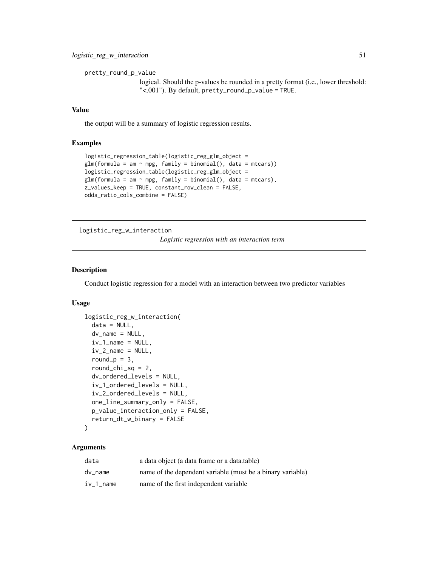```
pretty_round_p_value
```
logical. Should the p-values be rounded in a pretty format (i.e., lower threshold: "<.001"). By default, pretty\_round\_p\_value = TRUE.

## Value

the output will be a summary of logistic regression results.

#### Examples

```
logistic_regression_table(logistic_reg_glm_object =
glm(formula = am ~ mpg, family = binomial(), data = mtcars)logistic_regression_table(logistic_reg_glm_object =
glm(formula = am ~ mpg, family = binomial(), data = mtcars),z_values_keep = TRUE, constant_row_clean = FALSE,
odds_ratio_cols_combine = FALSE)
```
logistic\_reg\_w\_interaction

*Logistic regression with an interaction term*

#### Description

Conduct logistic regression for a model with an interaction between two predictor variables

#### Usage

```
logistic_reg_w_interaction(
  data = NULL,dv_name = NULL,
  iv_1_name = NULL,
  iv_2-name = NULL,
  round_p = 3,
  round_chi_sq = 2,
  dv_ordered_levels = NULL,
  iv_1_ordered_levels = NULL,
  iv_2_ordered_levels = NULL,
  one_line_summary_only = FALSE,
 p_value_interaction_only = FALSE,
  return_dt_w_binary = FALSE
```
# )

| data      | a data object (a data frame or a data table)               |
|-----------|------------------------------------------------------------|
| dy name   | name of the dependent variable (must be a binary variable) |
| iv 1 name | name of the first independent variable                     |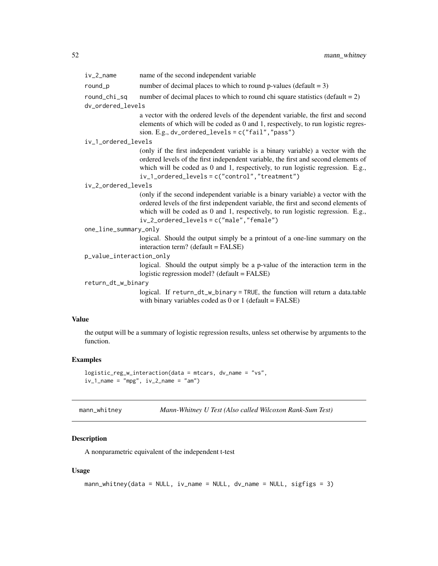| $iv_2_$ name                      | name of the second independent variable                                                                                                                                                                                                                                                                       |
|-----------------------------------|---------------------------------------------------------------------------------------------------------------------------------------------------------------------------------------------------------------------------------------------------------------------------------------------------------------|
| round_p                           | number of decimal places to which to round p-values (default = $3$ )                                                                                                                                                                                                                                          |
| round_chi_sq<br>dv_ordered_levels | number of decimal places to which to round chi square statistics (default $= 2$ )                                                                                                                                                                                                                             |
|                                   | a vector with the ordered levels of the dependent variable, the first and second<br>elements of which will be coded as 0 and 1, respectively, to run logistic regres-<br>sion. E.g., $dv$ _ordered_levels = $c("fail", "pass")$                                                                               |
| iv_1_ordered_levels               |                                                                                                                                                                                                                                                                                                               |
|                                   | (only if the first independent variable is a binary variable) a vector with the<br>ordered levels of the first independent variable, the first and second elements of<br>which will be coded as 0 and 1, respectively, to run logistic regression. E.g.,<br>$iv_1_ordered_levels = c("control", "treatment")$ |
| iv_2_ordered_levels               |                                                                                                                                                                                                                                                                                                               |
|                                   | (only if the second independent variable is a binary variable) a vector with the<br>ordered levels of the first independent variable, the first and second elements of<br>which will be coded as 0 and 1, respectively, to run logistic regression. E.g.,<br>$iv_2_ordered_level$ = $c("male", "female")$     |
| one_line_summary_only             |                                                                                                                                                                                                                                                                                                               |
|                                   | logical. Should the output simply be a printout of a one-line summary on the<br>interaction term? (default = FALSE)                                                                                                                                                                                           |
| p_value_interaction_only          |                                                                                                                                                                                                                                                                                                               |
|                                   | logical. Should the output simply be a p-value of the interaction term in the<br>logistic regression model? (default = FALSE)                                                                                                                                                                                 |
| return_dt_w_binary                |                                                                                                                                                                                                                                                                                                               |
|                                   | logical. If return_dt_w_binary = TRUE, the function will return a data.table<br>with binary variables coded as $0$ or $1$ (default = FALSE)                                                                                                                                                                   |
|                                   |                                                                                                                                                                                                                                                                                                               |

# Value

the output will be a summary of logistic regression results, unless set otherwise by arguments to the function.

## Examples

```
logistic_reg_w_interaction(data = mtcars, dv_name = "vs",
iv_1<sub>name</sub> = "mpg", iv_2<sub>name</sub> = "am")
```

| mann_whitney | Mann-Whitney U Test (Also called Wilcoxon Rank-Sum Test) |  |
|--------------|----------------------------------------------------------|--|
|--------------|----------------------------------------------------------|--|

## Description

A nonparametric equivalent of the independent t-test

## Usage

```
mann_whitney(data = NULL, iv_name = NULL, dv_name = NULL, sigfigs = 3)
```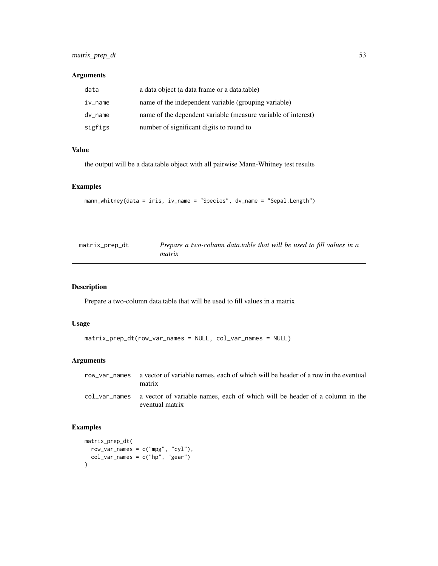## matrix\_prep\_dt 53

# Arguments

| data       | a data object (a data frame or a data.table)                  |
|------------|---------------------------------------------------------------|
| $iv_$ name | name of the independent variable (grouping variable)          |
| dv_name    | name of the dependent variable (measure variable of interest) |
| sigfigs    | number of significant digits to round to                      |

# Value

the output will be a data.table object with all pairwise Mann-Whitney test results

## Examples

```
mann_whitney(data = iris, iv_name = "Species", dv_name = "Sepal.Length")
```

| matrix_prep_dt | Prepare a two-column data.table that will be used to fill values in a<br>matrix |
|----------------|---------------------------------------------------------------------------------|
|                |                                                                                 |

## Description

Prepare a two-column data.table that will be used to fill values in a matrix

## Usage

```
matrix_prep_dt(row_var_names = NULL, col_var_names = NULL)
```
## Arguments

| row var names a vector of variable names, each of which will be header of a row in the eventual<br>matrix    |
|--------------------------------------------------------------------------------------------------------------|
| col var names a vector of variable names, each of which will be header of a column in the<br>eventual matrix |

```
matrix_prep_dt(
  row\_var\_names = c("mpg", "cyl"),col_var_names = c("hp", "gear")
\mathcal{L}
```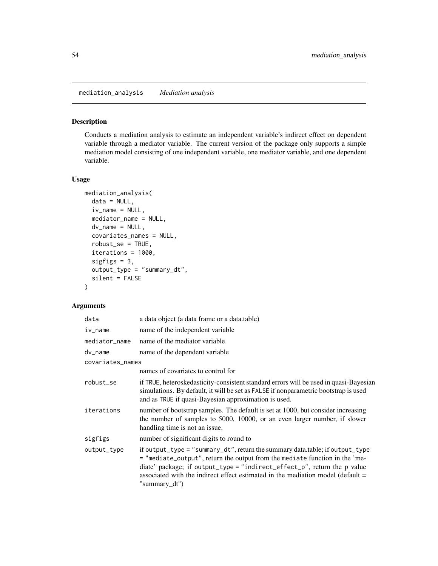mediation\_analysis *Mediation analysis*

## Description

Conducts a mediation analysis to estimate an independent variable's indirect effect on dependent variable through a mediator variable. The current version of the package only supports a simple mediation model consisting of one independent variable, one mediator variable, and one dependent variable.

#### Usage

```
mediation_analysis(
  data = NULL,
  iv_name = NULL,mediator_name = NULL,
  dv_name = NULL,covariates_names = NULL,
  robust_se = TRUE,
  iterations = 1000,
  sigfigs = 3,
  output_type = "summary_dt",
  silent = FALSE
)
```

| data             | a data object (a data frame or a data.table)                                                                                                                                                                                                                                                                                                |  |
|------------------|---------------------------------------------------------------------------------------------------------------------------------------------------------------------------------------------------------------------------------------------------------------------------------------------------------------------------------------------|--|
| iv_name          | name of the independent variable                                                                                                                                                                                                                                                                                                            |  |
| mediator_name    | name of the mediator variable                                                                                                                                                                                                                                                                                                               |  |
| dv_name          | name of the dependent variable                                                                                                                                                                                                                                                                                                              |  |
| covariates_names |                                                                                                                                                                                                                                                                                                                                             |  |
|                  | names of covariates to control for                                                                                                                                                                                                                                                                                                          |  |
| robust_se        | if TRUE, heteroskedasticity-consistent standard errors will be used in quasi-Bayesian<br>simulations. By default, it will be set as FALSE if nonparametric bootstrap is used<br>and as TRUE if quasi-Bayesian approximation is used.                                                                                                        |  |
| iterations       | number of bootstrap samples. The default is set at 1000, but consider increasing<br>the number of samples to 5000, 10000, or an even larger number, if slower<br>handling time is not an issue.                                                                                                                                             |  |
| sigfigs          | number of significant digits to round to                                                                                                                                                                                                                                                                                                    |  |
| output_type      | if output_type = "summary_dt", return the summary data.table; if output_type<br>= "mediate_output", return the output from the mediate function in the 'me-<br>diate' package; if output_type = "indirect_effect_p", return the p value<br>associated with the indirect effect estimated in the mediation model (default =<br>"summary_dt") |  |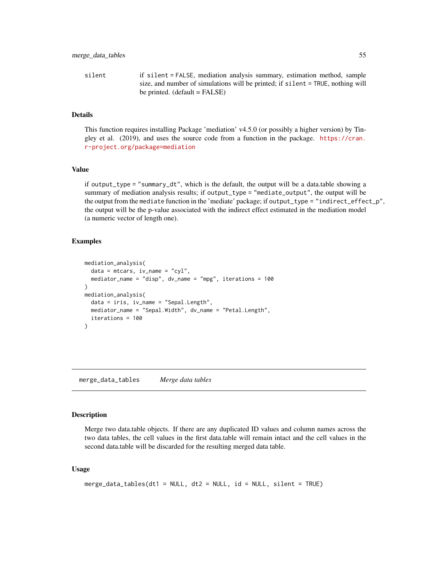silent if silent = FALSE, mediation analysis summary, estimation method, sample size, and number of simulations will be printed; if silent = TRUE, nothing will be printed.  $(default = FALSE)$ 

#### Details

This function requires installing Package 'mediation' v4.5.0 (or possibly a higher version) by Tingley et al. (2019), and uses the source code from a function in the package. [https://cran.](https://cran.r-project.org/package=mediation) [r-project.org/package=mediation](https://cran.r-project.org/package=mediation)

#### Value

if output\_type = "summary\_dt", which is the default, the output will be a data.table showing a summary of mediation analysis results; if output\_type = "mediate\_output", the output will be the output from the mediate function in the 'mediate' package; if output\_type = "indirect\_effect\_p", the output will be the p-value associated with the indirect effect estimated in the mediation model (a numeric vector of length one).

#### Examples

```
mediation_analysis(
  data = mtears, iv_name = "cyl",mediator_name = "disp", dv_name = "mpg", iterations = 100
)
mediation_analysis(
  data = iris, iv_name = "Sepal.Length",
  mediator_name = "Sepal.Width", dv_name = "Petal.Length",
  iterations = 100
)
```
merge\_data\_tables *Merge data tables*

#### **Description**

Merge two data.table objects. If there are any duplicated ID values and column names across the two data tables, the cell values in the first data.table will remain intact and the cell values in the second data.table will be discarded for the resulting merged data table.

#### Usage

```
merge_data_tables(dt1 = NULL, dt2 = NULL, id = NULL, silent = TRUE)
```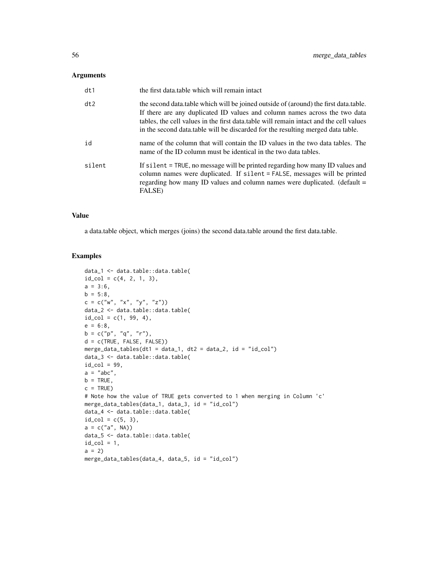#### Arguments

| dt1    | the first data, table which will remain intact                                                                                                                                                                                                                                                                                                   |
|--------|--------------------------------------------------------------------------------------------------------------------------------------------------------------------------------------------------------------------------------------------------------------------------------------------------------------------------------------------------|
| dt2    | the second data.table which will be joined outside of (around) the first data.table.<br>If there are any duplicated ID values and column names across the two data<br>tables, the cell values in the first data, table will remain intact and the cell values<br>in the second data table will be discarded for the resulting merged data table. |
| id     | name of the column that will contain the ID values in the two data tables. The<br>name of the ID column must be identical in the two data tables.                                                                                                                                                                                                |
| silent | If silent = TRUE, no message will be printed regarding how many ID values and<br>column names were duplicated. If silent = FALSE, messages will be printed<br>regarding how many ID values and column names were duplicated. (default =<br>FALSE)                                                                                                |

#### Value

a data.table object, which merges (joins) the second data.table around the first data.table.

```
data_1 <- data.table::data.table(
id_{col} = c(4, 2, 1, 3),a = 3:6,
b = 5:8,
c = c("w", "x", "y", "z")data_2 <- data.table::data.table(
id_{col} = c(1, 99, 4),e = 6:8,
b = c("p", "q", "r"),
d = c(TRUE, FALSE, FALSE))
merge_data_tables(dt1 = data_1, dt2 = data_2, id = "id_col")
data_3 <- data.table::data.table(
id\_col = 99,
a = "abc",b = TRUE,c = TRUE)
# Note how the value of TRUE gets converted to 1 when merging in Column 'c'
merge_data_tables(data_1, data_3, id = "id_col")
data_4 <- data.table::data.table(
id_{col} = c(5, 3),a = c("a", NA))data_5 <- data.table::data.table(
id\_col = 1,
a = 2merge_data_tables(data_4, data_5, id = "id_col")
```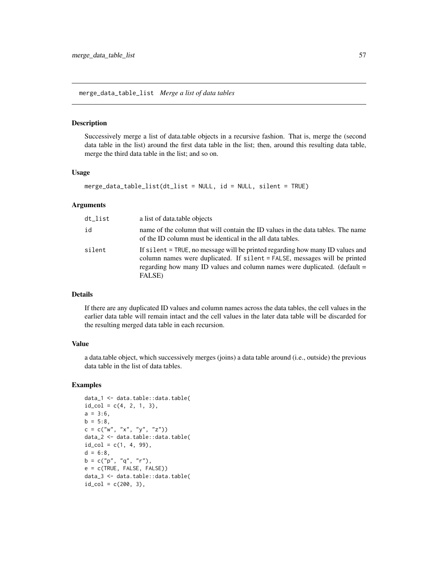#### Description

Successively merge a list of data.table objects in a recursive fashion. That is, merge the (second data table in the list) around the first data table in the list; then, around this resulting data table, merge the third data table in the list; and so on.

#### Usage

```
merge_data_table_list(dt_list = NULL, id = NULL, silent = TRUE)
```
#### Arguments

| dt_list | a list of data table objects                                                                                                                                                                                                                      |
|---------|---------------------------------------------------------------------------------------------------------------------------------------------------------------------------------------------------------------------------------------------------|
| id      | name of the column that will contain the ID values in the data tables. The name<br>of the ID column must be identical in the all data tables.                                                                                                     |
| silent  | If silent = TRUE, no message will be printed regarding how many ID values and<br>column names were duplicated. If silent = FALSE, messages will be printed<br>regarding how many ID values and column names were duplicated. (default =<br>FALSE) |

#### Details

If there are any duplicated ID values and column names across the data tables, the cell values in the earlier data table will remain intact and the cell values in the later data table will be discarded for the resulting merged data table in each recursion.

#### Value

a data.table object, which successively merges (joins) a data table around (i.e., outside) the previous data table in the list of data tables.

```
data_1 <- data.table::data.table(
id_{col} = c(4, 2, 1, 3),a = 3:6,
b = 5:8,
c = c("w", "x", "y", "z")data_2 <- data.table::data.table(
id_{col} = c(1, 4, 99),
d = 6:8,
b = c("p", "q", "r"),
e = c(TRUE, FALSE, FALSE))
data_3 <- data.table::data.table(
id_{col} = c(200, 3),
```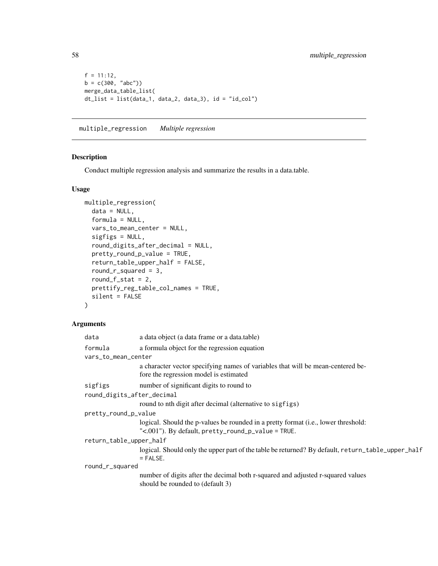```
f = 11:12,
b = c(300, 'abc'))merge_data_table_list(
dt_list = list(data_1, data_2, data_3), id = "id_col")
```
multiple\_regression *Multiple regression*

## Description

Conduct multiple regression analysis and summarize the results in a data.table.

#### Usage

```
multiple_regression(
 data = NULL,
 formula = NULL,
 vars_to_mean_center = NULL,
  sigfigs = NULL,
  round_digits_after_decimal = NULL,
  pretty_round_p_value = TRUE,
  return_table_upper_half = FALSE,
  round_r_squared = 3,
  round_f_{\text{1}}stat = 2,
 prettify_reg_table_col_names = TRUE,
  silent = FALSE
\mathcal{L}
```

| data                       | a data object (a data frame or a data.table)                                                                                             |  |
|----------------------------|------------------------------------------------------------------------------------------------------------------------------------------|--|
| formula                    | a formula object for the regression equation                                                                                             |  |
| vars_to_mean_center        |                                                                                                                                          |  |
|                            | a character vector specifying names of variables that will be mean-centered be-<br>fore the regression model is estimated                |  |
| sigfigs                    | number of significant digits to round to                                                                                                 |  |
| round_digits_after_decimal |                                                                                                                                          |  |
|                            | round to nth digit after decimal (alternative to sigfigs)                                                                                |  |
| pretty_round_p_value       |                                                                                                                                          |  |
|                            | logical. Should the p-values be rounded in a pretty format (i.e., lower threshold:<br>"<.001"). By default, pretty_round_p_value = TRUE. |  |
| return_table_upper_half    |                                                                                                                                          |  |
|                            | logical. Should only the upper part of the table be returned? By default, return_table_upper_half<br>$=$ FALSE.                          |  |
| round_r_squared            |                                                                                                                                          |  |
|                            | number of digits after the decimal both r-squared and adjusted r-squared values                                                          |  |
|                            | should be rounded to (default 3)                                                                                                         |  |
|                            |                                                                                                                                          |  |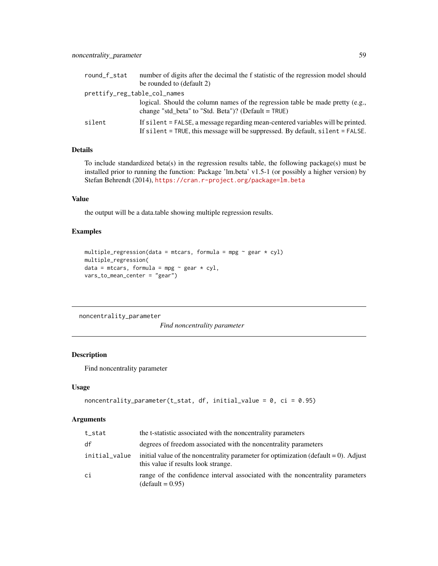| round_f_stat                 | number of digits after the decimal the f statistic of the regression model should                                                                                 |
|------------------------------|-------------------------------------------------------------------------------------------------------------------------------------------------------------------|
|                              | be rounded to (default 2)                                                                                                                                         |
| prettify_reg_table_col_names |                                                                                                                                                                   |
|                              | logical. Should the column names of the regression table be made pretty (e.g.,<br>change "std beta" to "Std. Beta")? (Default = $TRUE$ )                          |
| silent                       | If silent = FALSE, a message regarding mean-centered variables will be printed.<br>If silent = TRUE, this message will be suppressed. By default, silent = FALSE. |

# Details

To include standardized beta(s) in the regression results table, the following package(s) must be installed prior to running the function: Package 'lm.beta' v1.5-1 (or possibly a higher version) by Stefan Behrendt (2014), <https://cran.r-project.org/package=lm.beta>

#### Value

the output will be a data.table showing multiple regression results.

## Examples

```
multiple_regression(data = mtcars, formula = mpg \sim gear \star cyl)
multiple_regression(
data = mtcars, formula = mpg \sim gear * cyl,
vars_to_mean_center = "gear")
```
noncentrality\_parameter

*Find noncentrality parameter*

#### Description

Find noncentrality parameter

#### Usage

```
noncentrality\_parameter(t\_stat, df, initial_value = 0, ci = 0.95)
```

| t_stat        | the t-statistic associated with the noncentrality parameters                                                                  |
|---------------|-------------------------------------------------------------------------------------------------------------------------------|
| df            | degrees of freedom associated with the noncentrality parameters                                                               |
| initial_value | initial value of the noncentrality parameter for optimization (default $= 0$ ). Adjust<br>this value if results look strange. |
| ci            | range of the confidence interval associated with the noncentrality parameters<br>(default = $0.95$ )                          |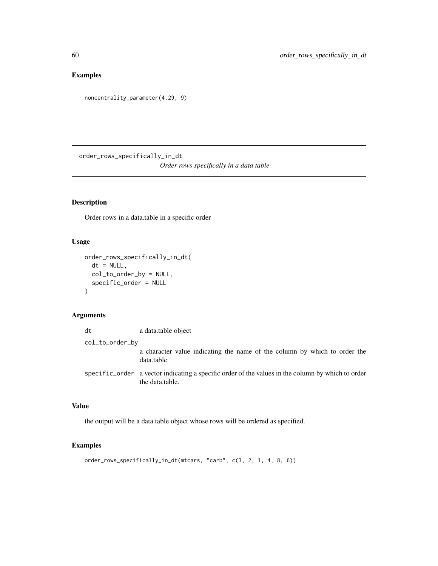# Examples

```
noncentrality_parameter(4.29, 9)
```
order\_rows\_specifically\_in\_dt *Order rows specifically in a data table*

## Description

Order rows in a data.table in a specific order

#### Usage

```
order_rows_specifically_in_dt(
 dt = NULL,col_to_order_by = NULL,
  specific_order = NULL
)
```
#### Arguments

| dt              | a data.table object                                                                                                  |
|-----------------|----------------------------------------------------------------------------------------------------------------------|
| col_to_order_by |                                                                                                                      |
|                 | a character value indicating the name of the column by which to order the<br>data.table                              |
|                 | specific order a vector indicating a specific order of the values in the column by which to order<br>the data.table. |

# Value

the output will be a data.table object whose rows will be ordered as specified.

## Examples

order\_rows\_specifically\_in\_dt(mtcars, "carb", c(3, 2, 1, 4, 8, 6))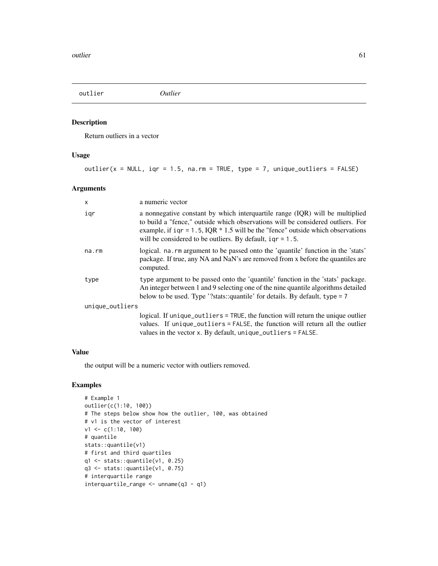## Description

Return outliers in a vector

## Usage

outlier( $x = NULL$ , iqr = 1.5, na.rm = TRUE, type = 7, unique\_outliers = FALSE)

## Arguments

| X               | a numeric vector                                                                                                                                                                                                                                                                                                        |  |
|-----------------|-------------------------------------------------------------------------------------------------------------------------------------------------------------------------------------------------------------------------------------------------------------------------------------------------------------------------|--|
| igr             | a nonnegative constant by which interguartile range (IQR) will be multiplied<br>to build a "fence," outside which observations will be considered outliers. For<br>example, if $iqr = 1.5$ , IQR $* 1.5$ will be the "fence" outside which observations<br>will be considered to be outliers. By default, $iqr = 1.5$ . |  |
| $na$ . $rm$     | logical. na. rm argument to be passed onto the 'quantile' function in the 'stats'<br>package. If true, any NA and NaN's are removed from x before the quantiles are<br>computed.                                                                                                                                        |  |
| type            | type argument to be passed onto the 'quantile' function in the 'stats' package.<br>An integer between 1 and 9 selecting one of the nine quantile algorithms detailed<br>below to be used. Type '?stats::quantile' for details. By default, type = 7                                                                     |  |
| unique_outliers |                                                                                                                                                                                                                                                                                                                         |  |
|                 | logical. If unique_outliers = TRUE, the function will return the unique outlier<br>values. If unique_outliers = FALSE, the function will return all the outlier<br>values in the vector $x$ . By default, unique_outliers = FALSE.                                                                                      |  |

# Value

the output will be a numeric vector with outliers removed.

```
# Example 1
outlier(c(1:10, 100))
# The steps below show how the outlier, 100, was obtained
# v1 is the vector of interest
v1 \leftarrow c(1:10, 100)# quantile
stats::quantile(v1)
# first and third quartiles
q1 <- stats::quantile(v1, 0.25)
q3 <- stats::quantile(v1, 0.75)
# interquartile range
interquartile_range <- unname(q3 - q1)
```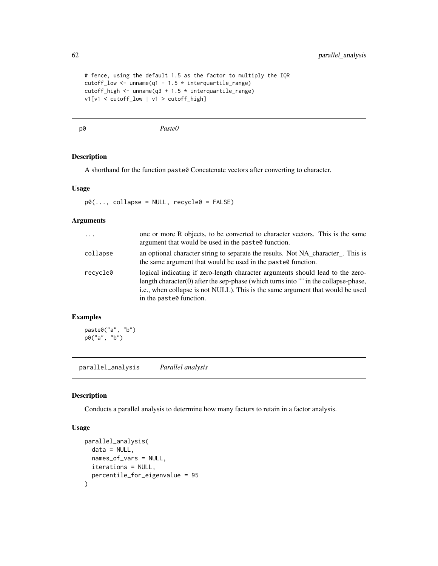```
# fence, using the default 1.5 as the factor to multiply the IQR
cutoff_low <- unname(q1 - 1.5 * interquartile_range)
cutoff_high <- unname(q3 + 1.5 * interquartile_range)
v1[v1 < cutoff_low | v1 > cutoff_high]
```
p0 *Paste0*

## Description

A shorthand for the function paste0 Concatenate vectors after converting to character.

#### Usage

 $p0$ (..., collapse = NULL, recycle0 = FALSE)

#### Arguments

| $\ddots$ | one or more R objects, to be converted to character vectors. This is the same<br>argument that would be used in the paste multion.                                                                                                                                                      |
|----------|-----------------------------------------------------------------------------------------------------------------------------------------------------------------------------------------------------------------------------------------------------------------------------------------|
| collapse | an optional character string to separate the results. Not NA character. This is<br>the same argument that would be used in the paste of function.                                                                                                                                       |
| recycle0 | logical indicating if zero-length character arguments should lead to the zero-<br>length character $(0)$ after the sep-phase (which turns into "" in the collapse-phase,<br>i.e., when collapse is not NULL). This is the same argument that would be used<br>in the paste of function. |

#### Examples

paste0("a", "b") p0("a", "b")

parallel\_analysis *Parallel analysis*

#### Description

Conducts a parallel analysis to determine how many factors to retain in a factor analysis.

#### Usage

```
parallel_analysis(
  data = NULL,names_of_vars = NULL,
  iterations = NULL,
  percentile_for_eigenvalue = 95
\mathcal{E}
```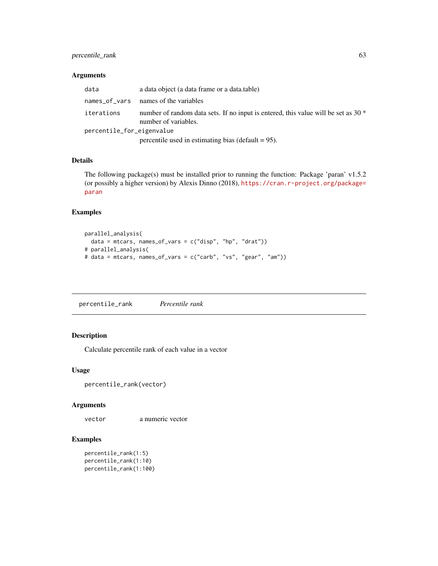## percentile\_rank 63

#### Arguments

| data                      | a data object (a data frame or a data table)                                                                 |
|---------------------------|--------------------------------------------------------------------------------------------------------------|
|                           |                                                                                                              |
| iterations                | number of random data sets. If no input is entered, this value will be set as 30 $*$<br>number of variables. |
| percentile_for_eigenvalue |                                                                                                              |
|                           | percentile used in estimating bias (default $= 95$ ).                                                        |

#### Details

The following package(s) must be installed prior to running the function: Package 'paran' v1.5.2 (or possibly a higher version) by Alexis Dinno (2018), [https://cran.r-project.org/package=](https://cran.r-project.org/package=paran) [paran](https://cran.r-project.org/package=paran)

# Examples

```
parallel_analysis(
 data = mtcars, names_of_vars = c("disp", "hp", "drat"))# parallel_analysis(
# data = mtcars, names_of_vars = c("carb", "vs", "gear", "am"))
```
percentile\_rank *Percentile rank*

#### Description

Calculate percentile rank of each value in a vector

#### Usage

```
percentile_rank(vector)
```
#### Arguments

vector a numeric vector

```
percentile_rank(1:5)
percentile_rank(1:10)
percentile_rank(1:100)
```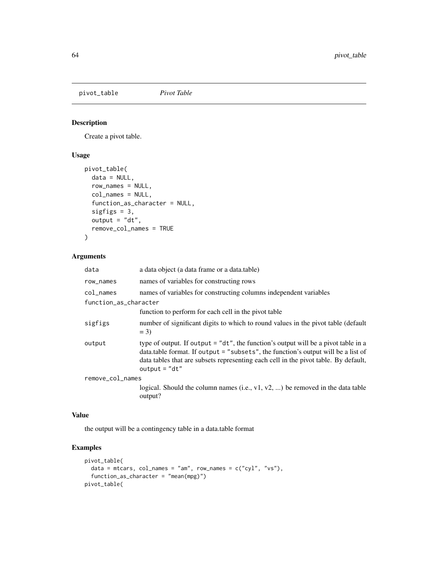pivot\_table *Pivot Table*

## Description

Create a pivot table.

## Usage

```
pivot_table(
 data = NULL,
  row_names = NULL,
 col_names = NULL,
  function_as_character = NULL,
  sigfigs = 3,
 output = "dt",remove_col_names = TRUE
\mathcal{L}
```
#### Arguments

| data                  | a data object (a data frame or a data.table)                                                                                                                                                                                                                                      |
|-----------------------|-----------------------------------------------------------------------------------------------------------------------------------------------------------------------------------------------------------------------------------------------------------------------------------|
| row_names             | names of variables for constructing rows                                                                                                                                                                                                                                          |
| col_names             | names of variables for constructing columns independent variables                                                                                                                                                                                                                 |
| function_as_character |                                                                                                                                                                                                                                                                                   |
|                       | function to perform for each cell in the pivot table                                                                                                                                                                                                                              |
| sigfigs               | number of significant digits to which to round values in the pivot table (default<br>$= 3$                                                                                                                                                                                        |
| output                | type of output. If output = "dt", the function's output will be a pivot table in a<br>data.table format. If output = "subsets", the function's output will be a list of<br>data tables that are subsets representing each cell in the pivot table. By default,<br>$output = "dt"$ |
| remove_col_names      |                                                                                                                                                                                                                                                                                   |
|                       | logical. Should the column names (i.e., $v1$ , $v2$ , ) be removed in the data table<br>output?                                                                                                                                                                                   |

## Value

the output will be a contingency table in a data.table format

```
pivot_table(
  data = mtcars, col_names = "am", row_names = c("cyl", "vs"),
  function_as_character = "mean(mpg)")
pivot_table(
```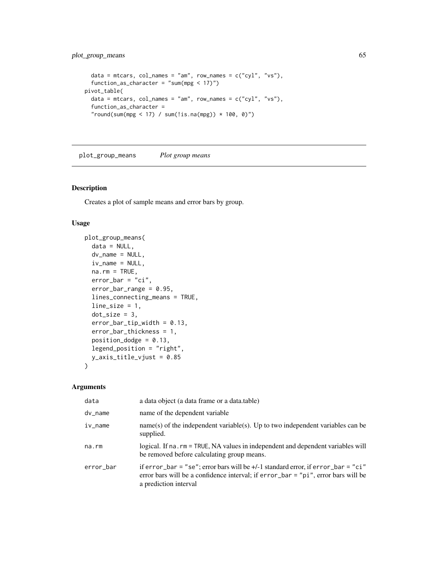```
data = mtcars, col_names = "am", row_names = c("cyl", "vs"),
  function_as_character = "sum(mpg \langle 17 \rangle")
pivot_table(
  data = mtcars, col_names = "am", row_names = c("cyl", "vs"),
  function_as_character =
  "round(sum(mpg < 17) / sum(!is.na(mpg)) * 100, 0)")
```
plot\_group\_means *Plot group means*

## Description

Creates a plot of sample means and error bars by group.

## Usage

```
plot_group_means(
  data = NULL,
  dv_name = NULL,iv_name = NULL,na.rm = TRUE,error_bar = "ci",error_bar_range = 0.95,
  lines_connecting_means = TRUE,
  line_size = 1,
  dot\_size = 3,
  error_bar_tip_width = 0.13,
  error_bar_thickness = 1,
 position_dodge = 0.13,
  legend_position = "right",
  y_axis_title_vjust = 0.85
\mathcal{L}
```

| data      | a data object (a data frame or a data.table)                                                                                                                                                       |
|-----------|----------------------------------------------------------------------------------------------------------------------------------------------------------------------------------------------------|
| dv_name   | name of the dependent variable                                                                                                                                                                     |
| $iv_name$ | $name(s)$ of the independent variable(s). Up to two independent variables can be<br>supplied.                                                                                                      |
| na.rm     | logical. If na. rm = TRUE, NA values in independent and dependent variables will<br>be removed before calculating group means.                                                                     |
| error_bar | if error_bar = "se"; error bars will be $+/-1$ standard error, if error_bar = "ci"<br>error bars will be a confidence interval; if $error_bar = "pi", error bars will be$<br>a prediction interval |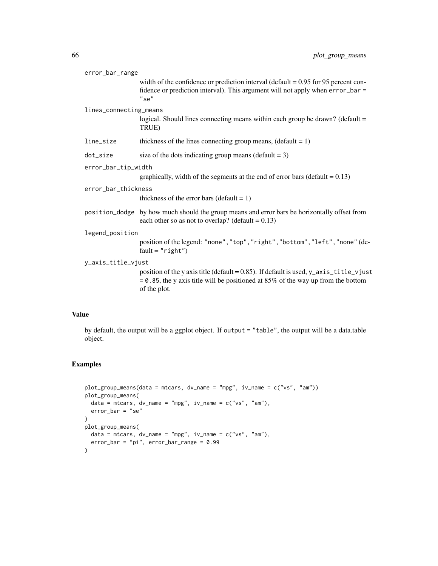| error_bar_range        |                                                                                                                                                                                              |  |
|------------------------|----------------------------------------------------------------------------------------------------------------------------------------------------------------------------------------------|--|
|                        | width of the confidence or prediction interval (default $= 0.95$ for 95 percent con-<br>fidence or prediction interval). This argument will not apply when error_bar =<br>$"$ se $"$         |  |
| lines_connecting_means |                                                                                                                                                                                              |  |
|                        | logical. Should lines connecting means within each group be drawn? (default =<br>TRUE)                                                                                                       |  |
| line_size              | thickness of the lines connecting group means, $(detault = 1)$                                                                                                                               |  |
| dot_size               | size of the dots indicating group means (default $= 3$ )                                                                                                                                     |  |
| error_bar_tip_width    |                                                                                                                                                                                              |  |
|                        | graphically, width of the segments at the end of error bars (default = $0.13$ )                                                                                                              |  |
| error_bar_thickness    |                                                                                                                                                                                              |  |
|                        | thickness of the error bars (default $= 1$ )                                                                                                                                                 |  |
|                        | position_dodge by how much should the group means and error bars be horizontally offset from<br>each other so as not to overlap? (default = $0.13$ )                                         |  |
| legend_position        |                                                                                                                                                                                              |  |
|                        | position of the legend: "none", "top", "right", "bottom", "left", "none" (de-<br>$fault="right")$                                                                                            |  |
| y_axis_title_vjust     |                                                                                                                                                                                              |  |
|                        | position of the y axis title (default = 0.85). If default is used, y_axis_title_vjust<br>$= 0.85$ , the y axis title will be positioned at 85% of the way up from the bottom<br>of the plot. |  |
|                        |                                                                                                                                                                                              |  |

# Value

by default, the output will be a ggplot object. If output = "table", the output will be a data.table object.

```
plot_group_means(data = mtcars, dv_name = "mpg", iv_name = c("vs", "am"))
plot_group_means(
  data = mtcars, dv_name = "mpg", iv_name = c("vs", "am"),
  error_bar = "se"
)
plot_group_means(
  data = mtcars, dv_name = "mpg", iv_name = c("vs", "am"),
  error_bar = "pi", error_bar_range = 0.99
)
```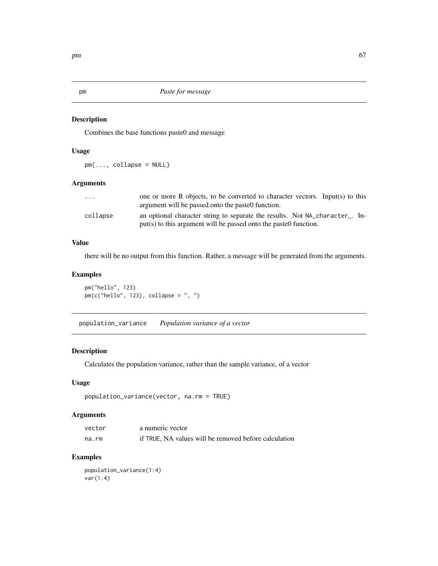#### Description

Combines the base functions paste0 and message

#### Usage

pm(..., collapse = NULL)

# Arguments

| $\cdot$ $\cdot$ $\cdot$ | one or more R objects, to be converted to character vectors. Input(s) to this |
|-------------------------|-------------------------------------------------------------------------------|
|                         | argument will be passed onto the paste function.                              |
| collapse                | an optional character string to separate the results. Not NA character in-    |
|                         | put(s) to this argument will be passed onto the paste0 function.              |

#### Value

there will be no output from this function. Rather, a message will be generated from the arguments.

# Examples

pm("hello", 123)  $pm(c("hello", 123), collapse = ", ")$ 

population\_variance *Population variance of a vector*

## Description

Calculates the population variance, rather than the sample variance, of a vector

#### Usage

```
population_variance(vector, na.rm = TRUE)
```
## Arguments

| vector | a numeric vector                                      |
|--------|-------------------------------------------------------|
| na.rm  | if TRUE, NA values will be removed before calculation |

## Examples

population\_variance(1:4) var(1:4)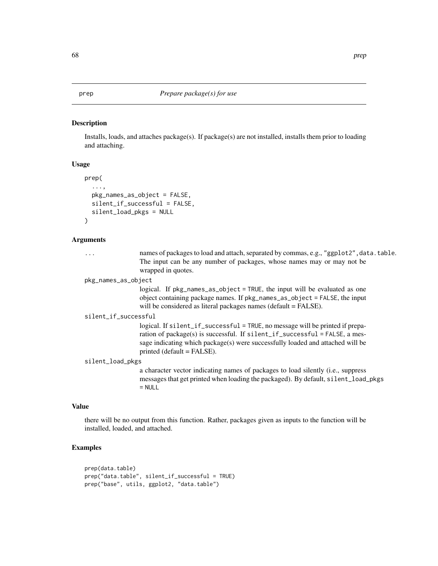#### prep *Prepare package(s) for use*

## Description

Installs, loads, and attaches package(s). If package(s) are not installed, installs them prior to loading and attaching.

## Usage

```
prep(
  ...,
  pkg_names_as_object = FALSE,
  silent_if_successful = FALSE,
  silent_load_pkgs = NULL
\mathcal{L}
```
## Arguments

|                      | names of packages to load and attach, separated by commas, e.g., "ggplot2", data.table.<br>The input can be any number of packages, whose names may or may not be<br>wrapped in quotes.                                                                                         |  |
|----------------------|---------------------------------------------------------------------------------------------------------------------------------------------------------------------------------------------------------------------------------------------------------------------------------|--|
| pkg_names_as_object  |                                                                                                                                                                                                                                                                                 |  |
|                      | logical. If pkg_names_as_object = TRUE, the input will be evaluated as one<br>object containing package names. If pkg_names_as_object = FALSE, the input<br>will be considered as literal packages names (default = FALSE).                                                     |  |
| silent_if_successful |                                                                                                                                                                                                                                                                                 |  |
|                      | logical. If $silent_i f_succeed = TRUE$ , no message will be printed if prepa-<br>ration of package(s) is successful. If silent_if_successful = FALSE, a mes-<br>sage indicating which package(s) were successfully loaded and attached will be<br>printed (default $=$ FALSE). |  |
| silent_load_pkgs     |                                                                                                                                                                                                                                                                                 |  |
|                      | a character vector indicating names of packages to load silently (i.e., suppress<br>messages that get printed when loading the packaged). By default, silent_load_pkgs<br>$=$ NULL                                                                                              |  |

#### Value

there will be no output from this function. Rather, packages given as inputs to the function will be installed, loaded, and attached.

```
prep(data.table)
prep("data.table", silent_if_successful = TRUE)
prep("base", utils, ggplot2, "data.table")
```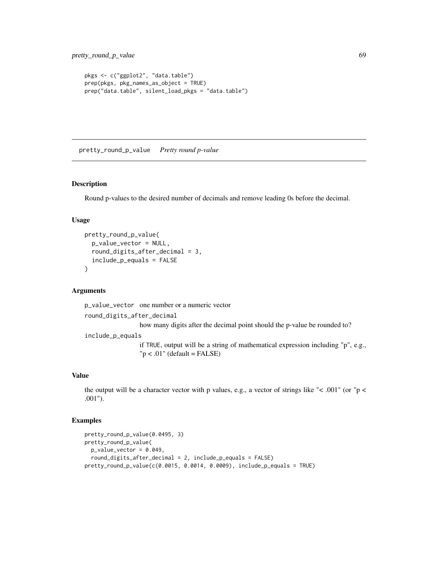```
pkgs <- c("ggplot2", "data.table")
prep(pkgs, pkg_names_as_object = TRUE)
prep("data.table", silent_load_pkgs = "data.table")
```
pretty\_round\_p\_value *Pretty round p-value*

#### Description

Round p-values to the desired number of decimals and remove leading 0s before the decimal.

#### Usage

```
pretty_round_p_value(
  p_value_vector = NULL,
  round_digits_after_decimal = 3,
  include_p_equals = FALSE
)
```
#### Arguments

p\_value\_vector one number or a numeric vector

round\_digits\_after\_decimal

how many digits after the decimal point should the p-value be rounded to?

include\_p\_equals

if TRUE, output will be a string of mathematical expression including "p", e.g.,  $"p < .01"$  (default = FALSE)

#### Value

the output will be a character vector with p values, e.g., a vector of strings like " $\lt$  .001" (or "p  $\lt$ .001").

```
pretty_round_p_value(0.0495, 3)
pretty_round_p_value(
  p_value_vector = 0.049,round_digits_after_decimal = 2, include_p_equals = FALSE)
prety\_round_p_value(c(0.0015, 0.0014, 0.0009), include_p.equals = TRUE)
```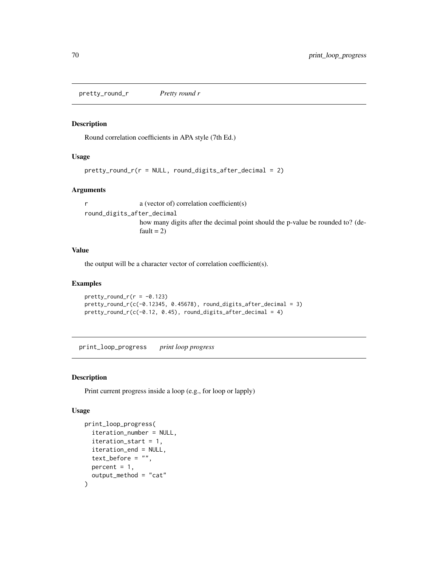pretty\_round\_r *Pretty round r*

#### Description

Round correlation coefficients in APA style (7th Ed.)

## Usage

```
prety\_round_r(r = NULL, round\_digits\_after\_decimal = 2)
```
#### Arguments

r a (vector of) correlation coefficient(s) round\_digits\_after\_decimal how many digits after the decimal point should the p-value be rounded to? (default  $= 2$ )

#### Value

the output will be a character vector of correlation coefficient(s).

#### Examples

```
prety\_round_r(r = -0.123)pretty_round_r(c(-0.12345, 0.45678), round_digits_after_decimal = 3)
prety_round_r(c(-0.12, 0.45), round_digits_after_decimal = 4)
```
print\_loop\_progress *print loop progress*

## Description

Print current progress inside a loop (e.g., for loop or lapply)

# Usage

```
print_loop_progress(
  iteration_number = NULL,
  iteration_start = 1,
  iteration_end = NULL,
  text_before = "",percent = 1,
  output_method = "cat"
)
```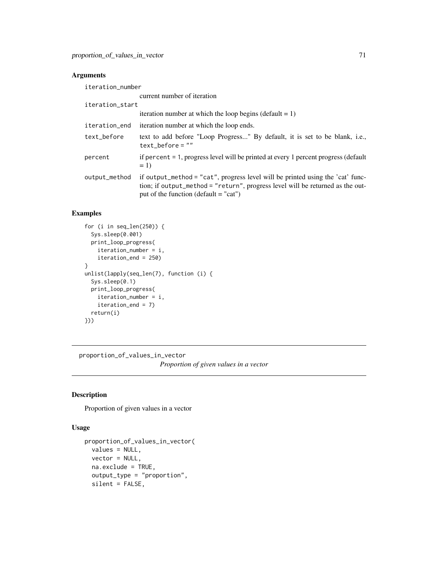# Arguments

| iteration_number |                                                                                                                                                                                                             |
|------------------|-------------------------------------------------------------------------------------------------------------------------------------------------------------------------------------------------------------|
|                  | current number of iteration                                                                                                                                                                                 |
| iteration_start  |                                                                                                                                                                                                             |
|                  | iteration number at which the loop begins (default $= 1$ )                                                                                                                                                  |
| iteration_end    | iteration number at which the loop ends.                                                                                                                                                                    |
| text_before      | text to add before "Loop Progress" By default, it is set to be blank, i.e.,<br>text before $=$ ""                                                                                                           |
| percent          | if percent = 1, progress level will be printed at every 1 percent progress (default<br>$= 1$                                                                                                                |
| output_method    | if output_method = "cat", progress level will be printed using the 'cat' func-<br>tion; if output_method = "return", progress level will be returned as the out-<br>put of the function (default $=$ "cat") |

## Examples

```
for (i in seq_len(250)) {
  Sys.sleep(0.001)
  print_loop_progress(
    iteration_number = i,
    iteration_end = 250)
}
unlist(lapply(seq_len(7), function (i) {
  Sys.sleep(0.1)
  print_loop_progress(
    iteration_number = i,
    iteration_end = 7)
  return(i)
}))
```
proportion\_of\_values\_in\_vector *Proportion of given values in a vector*

## Description

Proportion of given values in a vector

# Usage

```
proportion_of_values_in_vector(
 values = NULL,
 vector = NULL,
 na.exclude = TRUE,
 output_type = "proportion",
  silent = FALSE,
```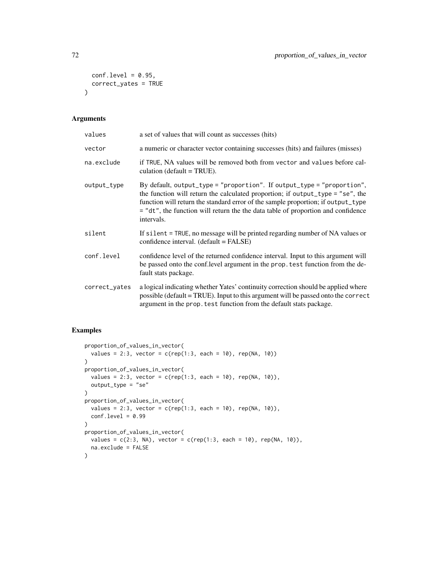```
conf. level = 0.95,
 correct_yates = TRUE
\lambda
```
# Arguments

| values        | a set of values that will count as successes (hits)                                                                                                                                                                                                                                                                                            |
|---------------|------------------------------------------------------------------------------------------------------------------------------------------------------------------------------------------------------------------------------------------------------------------------------------------------------------------------------------------------|
| vector        | a numeric or character vector containing successes (hits) and failures (misses)                                                                                                                                                                                                                                                                |
| na.exclude    | if TRUE, NA values will be removed both from vector and values before cal-<br>culation (default $= TRUE$ ).                                                                                                                                                                                                                                    |
| output_type   | By default, output_type = "proportion". If output_type = "proportion",<br>the function will return the calculated proportion; if output_type = "se", the<br>function will return the standard error of the sample proportion; if output_type<br>= "dt", the function will return the the data table of proportion and confidence<br>intervals. |
| silent        | If silent = TRUE, no message will be printed regarding number of NA values or<br>confidence interval. (default = FALSE)                                                                                                                                                                                                                        |
| conf.level    | confidence level of the returned confidence interval. Input to this argument will<br>be passed onto the conf.level argument in the prop. test function from the de-<br>fault stats package.                                                                                                                                                    |
| correct_yates | a logical indicating whether Yates' continuity correction should be applied where<br>possible (default = TRUE). Input to this argument will be passed onto the correct<br>argument in the prop. test function from the default stats package.                                                                                                  |

```
proportion_of_values_in_vector(
  values = 2:3, vector = c(rep(1:3, each = 10), rep(NA, 10))\mathcal{L}proportion_of_values_in_vector(
  values = 2:3, vector = c(rep(1:3, each = 10), rep(NA, 10)),output_type = "se"
\mathcal{L}proportion_of_values_in_vector(
  values = 2:3, vector = c(rep(1:3, each = 10), rep(NA, 10)),conf.level = 0.99)
proportion_of_values_in_vector(
  values = c(2:3, NA), vector = c(rep(1:3, each = 10), rep(NA, 10)),na.exclude = FALSE
)
```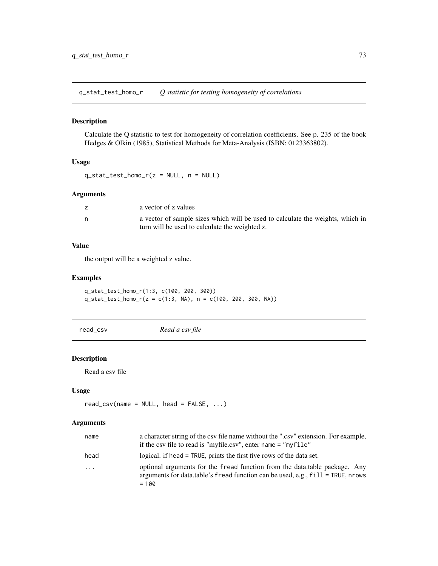q\_stat\_test\_homo\_r *Q statistic for testing homogeneity of correlations*

# Description

Calculate the Q statistic to test for homogeneity of correlation coefficients. See p. 235 of the book Hedges & Olkin (1985), Statistical Methods for Meta-Analysis (ISBN: 0123363802).

#### Usage

```
q_{stat\_test\_homo_r(z = NULL, n = NULL)}
```
#### Arguments

|   | a vector of z values                                                                                                             |
|---|----------------------------------------------------------------------------------------------------------------------------------|
| n | a vector of sample sizes which will be used to calculate the weights, which in<br>turn will be used to calculate the weighted z. |

## Value

the output will be a weighted z value.

# Examples

q\_stat\_test\_homo\_r(1:3, c(100, 200, 300)) q\_stat\_test\_homo\_r(z = c(1:3, NA), n = c(100, 200, 300, NA))

read\_csv *Read a csv file*

## Description

Read a csv file

#### Usage

```
read_csv(name = NULL, head = FALSE, ...)
```

| name                | a character string of the csy file name without the ".csy" extension. For example,<br>if the csv file to read is "myfile.csv", enter name = "myfile"                        |
|---------------------|-----------------------------------------------------------------------------------------------------------------------------------------------------------------------------|
| head                | logical, if head = TRUE, prints the first five rows of the data set.                                                                                                        |
| $\cdot \cdot \cdot$ | optional arguments for the fread function from the data, table package. Any<br>arguments for data.table's fread function can be used, e.g., $fill$ = TRUE, nrows<br>$= 100$ |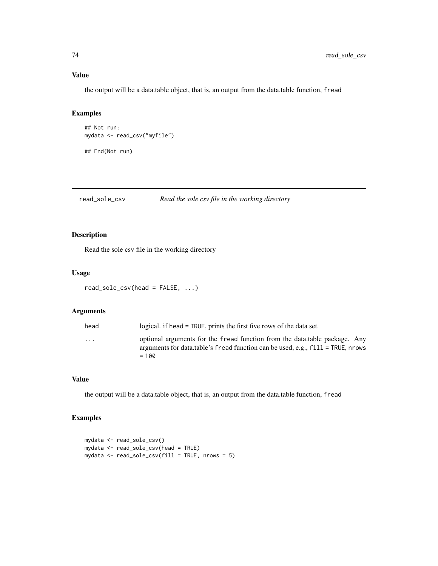# Value

the output will be a data.table object, that is, an output from the data.table function, fread

# Examples

```
## Not run:
mydata <- read_csv("myfile")
## End(Not run)
```
# read\_sole\_csv *Read the sole csv file in the working directory*

# Description

Read the sole csv file in the working directory

#### Usage

```
read_sole_csv(head = FALSE, ...)
```
## Arguments

| head                    | logical. if head = TRUE, prints the first five rows of the data set.                                                                                             |
|-------------------------|------------------------------------------------------------------------------------------------------------------------------------------------------------------|
| $\cdot$ $\cdot$ $\cdot$ | optional arguments for the fread function from the data, table package. Any<br>arguments for data.table's fread function can be used, e.g., $fill$ = TRUE, nrows |
|                         | $= 100$                                                                                                                                                          |

## Value

the output will be a data.table object, that is, an output from the data.table function, fread

```
mydata <- read_sole_csv()
mydata <- read_sole_csv(head = TRUE)
mydata <- read_sole_csv(fill = TRUE, nrows = 5)
```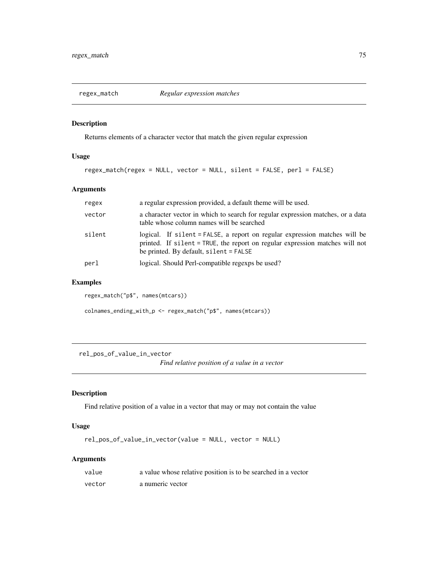# Description

Returns elements of a character vector that match the given regular expression

## Usage

```
regex_match(regex = NULL, vector = NULL, silent = FALSE, perl = FALSE)
```
## Arguments

| regex  | a regular expression provided, a default theme will be used.                                                                                                                                           |
|--------|--------------------------------------------------------------------------------------------------------------------------------------------------------------------------------------------------------|
| vector | a character vector in which to search for regular expression matches, or a data<br>table whose column names will be searched                                                                           |
| silent | logical. If silent = FALSE, a report on regular expression matches will be<br>printed. If silent = TRUE, the report on regular expression matches will not<br>be printed. By default, $silent = FALSE$ |
| perl   | logical. Should Perl-compatible regexps be used?                                                                                                                                                       |

# Examples

regex\_match("p\$", names(mtcars))

colnames\_ending\_with\_p <- regex\_match("p\$", names(mtcars))

rel\_pos\_of\_value\_in\_vector

*Find relative position of a value in a vector*

# Description

Find relative position of a value in a vector that may or may not contain the value

## Usage

```
rel_pos_of_value_in_vector(value = NULL, vector = NULL)
```

| value  | a value whose relative position is to be searched in a vector |
|--------|---------------------------------------------------------------|
| vector | a numeric vector                                              |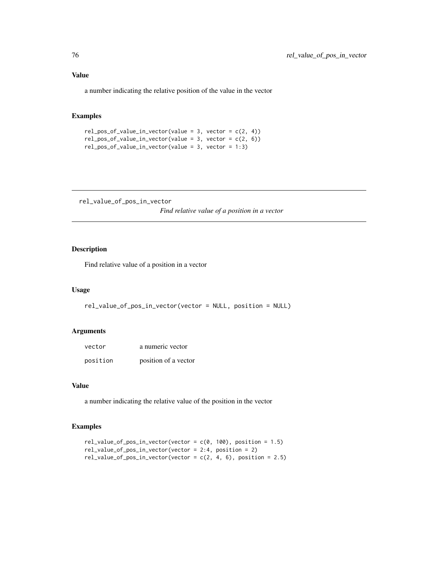# Value

a number indicating the relative position of the value in the vector

# Examples

```
rel\_pos_of\_value_in\_vector(value = 3, vector = c(2, 4))rel_pos_of_value_in_vector(value = 3, vector = c(2, 6))rel_pos_of_value_in_vector(value = 3, vector = 1:3)
```
rel\_value\_of\_pos\_in\_vector *Find relative value of a position in a vector*

## Description

Find relative value of a position in a vector

## Usage

```
rel_value_of_pos_in_vector(vector = NULL, position = NULL)
```
# Arguments

| vector   | a numeric vector     |
|----------|----------------------|
| position | position of a vector |

# Value

a number indicating the relative value of the position in the vector

```
rel_value_of_pos_in\_vector(vector = c(0, 100), position = 1.5)rel_value_of_pos_in_vector(vector = 2:4, position = 2)
rel_value_of_pos_in_vector(vector = c(2, 4, 6), position = 2.5)
```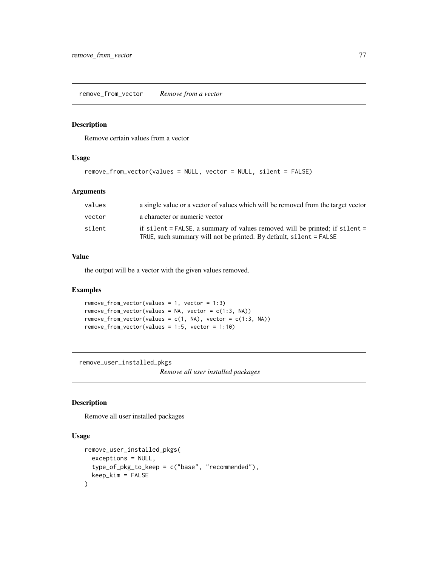remove\_from\_vector *Remove from a vector*

#### Description

Remove certain values from a vector

# Usage

```
remove_from_vector(values = NULL, vector = NULL, silent = FALSE)
```
# Arguments

| values | a single value or a vector of values which will be removed from the target vector |
|--------|-----------------------------------------------------------------------------------|
| vector | a character or numeric vector                                                     |
| silent | if silent $=$ FALSE, a summary of values removed will be printed; if silent $=$   |
|        | TRUE, such summary will not be printed. By default, silent = FALSE                |

## Value

the output will be a vector with the given values removed.

#### Examples

```
remove_from_vector(values = 1, vector = 1:3)
remove\_from\_vector(values = NA, vector = c(1:3, NA))remove\_from\_vector(values = c(1, NA), vector = c(1:3, NA))remove_from_vector(values = 1:5, vector = 1:10)
```
remove\_user\_installed\_pkgs

*Remove all user installed packages*

## Description

Remove all user installed packages

```
remove_user_installed_pkgs(
  exceptions = NULL,
  type_of_pkg_to_keep = c("base", "recommended"),
  keep_kim = FALSE
\mathcal{E}
```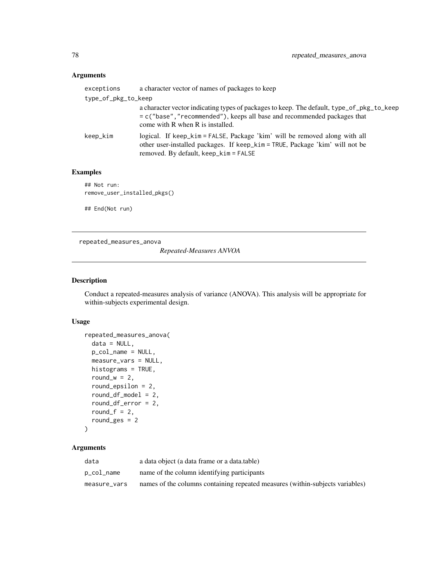# Arguments

| exceptions          | a character vector of names of packages to keep                                                                                                                                                              |
|---------------------|--------------------------------------------------------------------------------------------------------------------------------------------------------------------------------------------------------------|
| type_of_pkg_to_keep |                                                                                                                                                                                                              |
|                     | a character vector indicating types of packages to keep. The default, type_of_pkg_to_keep<br>$= c$ ("base", "recommended"), keeps all base and recommended packages that<br>come with R when R is installed. |
| keep_kim            | logical. If keep_kim = FALSE, Package 'kim' will be removed along with all<br>other user-installed packages. If keep_kim = TRUE, Package 'kim' will not be<br>removed. By default, keep_kim = FALSE          |

# Examples

## Not run: remove\_user\_installed\_pkgs()

## End(Not run)

repeated\_measures\_anova

*Repeated-Measures ANVOA*

## Description

Conduct a repeated-measures analysis of variance (ANOVA). This analysis will be appropriate for within-subjects experimental design.

# Usage

```
repeated_measures_anova(
 data = NULL,p_col_name = NULL,
 measure_vars = NULL,
 histograms = TRUE,
 round_w = 2,
 round_epsilon = 2,
  round_df_model = 2,
  round_df_error = 2,
  round_f = 2,
  round_ges = 2
\mathcal{L}
```

| data         | a data object (a data frame or a data table)                                  |
|--------------|-------------------------------------------------------------------------------|
| p_col_name   | name of the column identifying participants                                   |
| measure vars | names of the columns containing repeated measures (within-subjects variables) |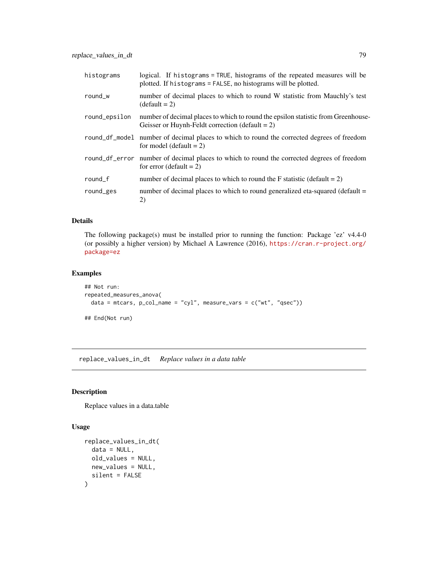| histograms    | logical. If histograms = TRUE, histograms of the repeated measures will be<br>plotted. If histograms = FALSE, no histograms will be plotted. |
|---------------|----------------------------------------------------------------------------------------------------------------------------------------------|
| round_w       | number of decimal places to which to round W statistic from Mauchly's test<br>$(detault = 2)$                                                |
| round_epsilon | number of decimal places to which to round the epsilon statistic from Greenhouse-<br>Geisser or Huynh-Feldt correction (default = $2$ )      |
|               | round_df_mode1 number of decimal places to which to round the corrected degrees of freedom<br>for model (default $= 2$ )                     |
|               | round_df_error number of decimal places to which to round the corrected degrees of freedom<br>for error (default $= 2$ )                     |
| round_f       | number of decimal places to which to round the F statistic (default $= 2$ )                                                                  |
| round_ges     | number of decimal places to which to round generalized eta-squared (default =<br>2)                                                          |

## Details

The following package(s) must be installed prior to running the function: Package 'ez' v4.4-0 (or possibly a higher version) by Michael A Lawrence (2016), [https://cran.r-project.org/](https://cran.r-project.org/package=ez) [package=ez](https://cran.r-project.org/package=ez)

# Examples

```
## Not run:
repeated_measures_anova(
  data = mtcars, p_col_name = "cyl", measure_vars = c("wt", "qsec"))
## End(Not run)
```
replace\_values\_in\_dt *Replace values in a data table*

# Description

Replace values in a data.table

```
replace_values_in_dt(
  data = NULL,old_values = NULL,
  new_values = NULL,
  silent = FALSE
\mathcal{E}
```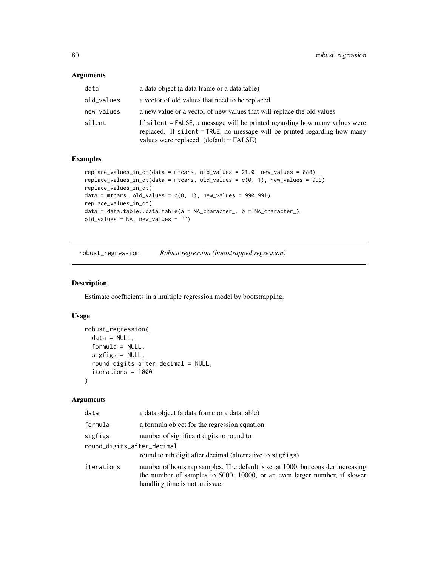#### Arguments

| data       | a data object (a data frame or a data table)                                                                                                                                                        |
|------------|-----------------------------------------------------------------------------------------------------------------------------------------------------------------------------------------------------|
| old_values | a vector of old values that need to be replaced                                                                                                                                                     |
| new_values | a new value or a vector of new values that will replace the old values                                                                                                                              |
| silent     | If silent = FALSE, a message will be printed regarding how many values were<br>replaced. If silent = TRUE, no message will be printed regarding how many<br>values were replaced. (default = FALSE) |

## Examples

```
replace_values_in_dt(data = mtcars, old_values = 21.0, new_values = 888)
replace_value indt(data = mtrans, old_values = c(0, 1), new_values = 999)replace_values_in_dt(
data = mtcars, old_values = c(0, 1), new_values = 990:991)replace_values_in_dt(
data = data.table::data.table(a = NA_character_, b = NA_character_),
old_values = NA, new_values = "")
```
robust\_regression *Robust regression (bootstrapped regression)*

## Description

Estimate coefficients in a multiple regression model by bootstrapping.

# Usage

```
robust_regression(
  data = NULL,
  formula = NULL,
  sigfigs = NULL,
  round_digits_after_decimal = NULL,
  iterations = 1000
)
```

| data                       | a data object (a data frame or a data table)                                                                                                                                                    |
|----------------------------|-------------------------------------------------------------------------------------------------------------------------------------------------------------------------------------------------|
| formula                    | a formula object for the regression equation                                                                                                                                                    |
| sigfigs                    | number of significant digits to round to                                                                                                                                                        |
| round_digits_after_decimal |                                                                                                                                                                                                 |
|                            | round to nth digit after decimal (alternative to sigfigs)                                                                                                                                       |
| iterations                 | number of bootstrap samples. The default is set at 1000, but consider increasing<br>the number of samples to 5000, 10000, or an even larger number, if slower<br>handling time is not an issue. |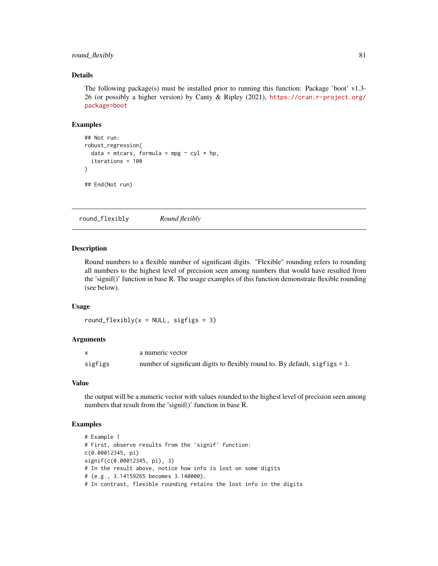# round\_flexibly 81

## Details

The following package(s) must be installed prior to running this function: Package 'boot'  $v1.3$ -26 (or possibly a higher version) by Canty & Ripley (2021), [https://cran.r-project.org/](https://cran.r-project.org/package=boot) [package=boot](https://cran.r-project.org/package=boot)

#### Examples

```
## Not run:
robust_regression(
  data = mtcars, formula = mpg \sim cyl \star hp,
  iterations = 100
\mathcal{L}## End(Not run)
```
round\_flexibly *Round flexibly*

#### **Description**

Round numbers to a flexible number of significant digits. "Flexible" rounding refers to rounding all numbers to the highest level of precision seen among numbers that would have resulted from the 'signif()' function in base R. The usage examples of this function demonstrate flexible rounding (see below).

#### Usage

```
round_flexibly(x = NULL, sigfigs = 3)
```
#### Arguments

|         | a numeric vector                                                            |
|---------|-----------------------------------------------------------------------------|
| sigfigs | number of significant digits to flexibly round to. By default, sigfigs = 3. |

#### Value

the output will be a numeric vector with values rounded to the highest level of precision seen among numbers that result from the 'signif()' function in base R.

```
# Example 1
# First, observe results from the 'signif' function:
c(0.00012345, pi)
signif(c(0.00012345, pi), 3)
# In the result above, notice how info is lost on some digits
# (e.g., 3.14159265 becomes 3.140000).
# In contrast, flexible rounding retains the lost info in the digits
```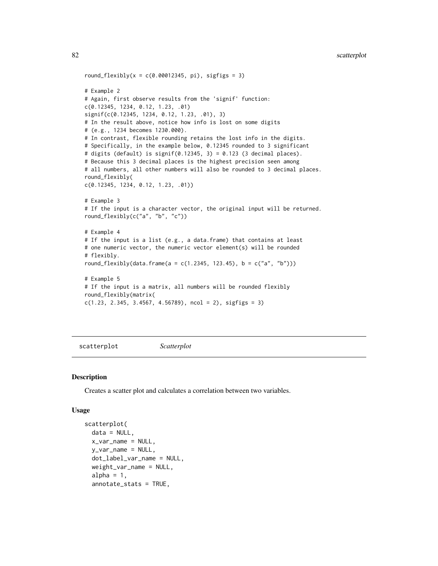```
82 scatterplot and the set of the set of the set of the set of the set of the set of the set of the set of the
```

```
round_flexibly(x = c(0.00012345, pi), sigfigs = 3)
# Example 2
# Again, first observe results from the 'signif' function:
c(0.12345, 1234, 0.12, 1.23, .01)
signif(c(0.12345, 1234, 0.12, 1.23, .01), 3)
# In the result above, notice how info is lost on some digits
# (e.g., 1234 becomes 1230.000).
# In contrast, flexible rounding retains the lost info in the digits.
# Specifically, in the example below, 0.12345 rounded to 3 significant
# digits (default) is signif(0.12345, 3) = 0.123 (3 decimal places).
# Because this 3 decimal places is the highest precision seen among
# all numbers, all other numbers will also be rounded to 3 decimal places.
round_flexibly(
c(0.12345, 1234, 0.12, 1.23, .01))
# Example 3
# If the input is a character vector, the original input will be returned.
round_flexibly(c("a", "b", "c"))
# Example 4
# If the input is a list (e.g., a data.frame) that contains at least
# one numeric vector, the numeric vector element(s) will be rounded
# flexibly.
round_flexibly(data.frame(a = c(1.2345, 123.45), b = c("a", "b")))
# Example 5
# If the input is a matrix, all numbers will be rounded flexibly
round_flexibly(matrix(
c(1.23, 2.345, 3.4567, 4.56789), ncol = 2), sigfigs = 3)
```
scatterplot *Scatterplot*

### Description

Creates a scatter plot and calculates a correlation between two variables.

```
scatterplot(
  data = NULL,
  x_v = \text{var}_name = \text{NULL}y_var_name = NULL,
  dot_label_var_name = NULL,
  weight_var_name = NULL,
  alpha = 1,
  annotate_stats = TRUE,
```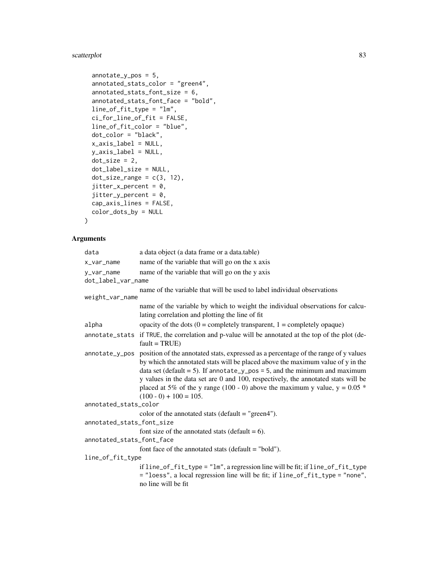# scatterplot 83

```
annotate_y_pos = 5,
  annotated_stats_color = "green4",
 annotated_stats_font_size = 6,
 annotated_stats_font_face = "bold",
 line_of_fit_type = "lm",
  ci_for_line_of_fit = FALSE,
 line_of_fit_color = "blue",
 dot_color = "black",
 x_axis_label = NULL,
 y_axis_label = NULL,
 dot\_size = 2,
 dot_label_size = NULL,
 dot\_size\_range = c(3, 12),
 jitter_x_{percent} = 0,
 jitter_y_percent = 0,
 cap_axis_lines = FALSE,
 color_dots_by = NULL
\mathcal{L}
```

| data                      | a data object (a data frame or a data.table)                                                                                                                                                                                                                                                                                                                                                                                                           |
|---------------------------|--------------------------------------------------------------------------------------------------------------------------------------------------------------------------------------------------------------------------------------------------------------------------------------------------------------------------------------------------------------------------------------------------------------------------------------------------------|
| x_var_name                | name of the variable that will go on the x axis                                                                                                                                                                                                                                                                                                                                                                                                        |
| y_var_name                | name of the variable that will go on the y axis                                                                                                                                                                                                                                                                                                                                                                                                        |
| dot_label_var_name        |                                                                                                                                                                                                                                                                                                                                                                                                                                                        |
|                           | name of the variable that will be used to label individual observations                                                                                                                                                                                                                                                                                                                                                                                |
| weight_var_name           |                                                                                                                                                                                                                                                                                                                                                                                                                                                        |
|                           | name of the variable by which to weight the individual observations for calcu-<br>lating correlation and plotting the line of fit                                                                                                                                                                                                                                                                                                                      |
| alpha                     | opacity of the dots $(0 = \text{completely transparent}, 1 = \text{completely opaque})$                                                                                                                                                                                                                                                                                                                                                                |
|                           | annotate_stats if TRUE, the correlation and p-value will be annotated at the top of the plot (de-<br>$fault = TRUE)$                                                                                                                                                                                                                                                                                                                                   |
| annotate_y_pos            | position of the annotated stats, expressed as a percentage of the range of y values<br>by which the annotated stats will be placed above the maximum value of y in the<br>data set (default = 5). If annotate_y_pos = 5, and the minimum and maximum<br>y values in the data set are 0 and 100, respectively, the annotated stats will be<br>placed at 5% of the y range (100 - 0) above the maximum y value, $y = 0.05$ *<br>$(100 - 0) + 100 = 105.$ |
| annotated_stats_color     |                                                                                                                                                                                                                                                                                                                                                                                                                                                        |
|                           | color of the annotated stats (default $=$ "green4").                                                                                                                                                                                                                                                                                                                                                                                                   |
| annotated_stats_font_size |                                                                                                                                                                                                                                                                                                                                                                                                                                                        |
|                           | font size of the annotated stats (default $= 6$ ).                                                                                                                                                                                                                                                                                                                                                                                                     |
| annotated_stats_font_face |                                                                                                                                                                                                                                                                                                                                                                                                                                                        |
|                           | font face of the annotated stats ( $default = "bold"$ ).                                                                                                                                                                                                                                                                                                                                                                                               |
| line_of_fit_type          |                                                                                                                                                                                                                                                                                                                                                                                                                                                        |
|                           | if line_of_fit_type = "lm", a regression line will be fit; if line_of_fit_type<br>= "loess", a local regression line will be fit; if line_of_fit_type = "none",<br>no line will be fit                                                                                                                                                                                                                                                                 |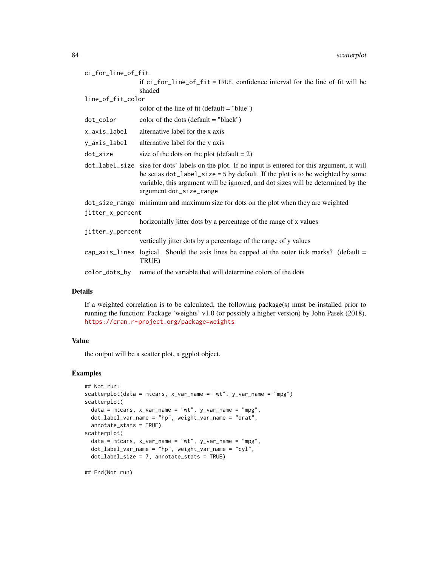|                  | ci_for_line_of_fit |                                                                                                                                                                                                                                                                                                      |
|------------------|--------------------|------------------------------------------------------------------------------------------------------------------------------------------------------------------------------------------------------------------------------------------------------------------------------------------------------|
|                  |                    | if ci_for_line_of_fit = TRUE, confidence interval for the line of fit will be<br>shaded                                                                                                                                                                                                              |
|                  | line_of_fit_color  |                                                                                                                                                                                                                                                                                                      |
|                  |                    | color of the line of fit (default $=$ "blue")                                                                                                                                                                                                                                                        |
|                  | dot_color          | color of the dots (default $=$ "black")                                                                                                                                                                                                                                                              |
|                  | x_axis_label       | alternative label for the x axis                                                                                                                                                                                                                                                                     |
|                  | y_axis_label       | alternative label for the y axis                                                                                                                                                                                                                                                                     |
|                  | dot_size           | size of the dots on the plot (default $= 2$ )                                                                                                                                                                                                                                                        |
|                  |                    | dot_label_size size for dots' labels on the plot. If no input is entered for this argument, it will<br>be set as dot_label_size = 5 by default. If the plot is to be weighted by some<br>variable, this argument will be ignored, and dot sizes will be determined by the<br>argument dot_size_range |
|                  |                    | dot_size_range minimum and maximum size for dots on the plot when they are weighted                                                                                                                                                                                                                  |
| jitter_x_percent |                    |                                                                                                                                                                                                                                                                                                      |
|                  |                    | horizontally jitter dots by a percentage of the range of x values                                                                                                                                                                                                                                    |
| jitter_y_percent |                    |                                                                                                                                                                                                                                                                                                      |
|                  |                    | vertically jitter dots by a percentage of the range of y values                                                                                                                                                                                                                                      |
|                  |                    | cap_axis_lines logical. Should the axis lines be capped at the outer tick marks? (default $=$<br>TRUE)                                                                                                                                                                                               |
|                  | color_dots_by      | name of the variable that will determine colors of the dots                                                                                                                                                                                                                                          |

# Details

If a weighted correlation is to be calculated, the following package(s) must be installed prior to running the function: Package 'weights' v1.0 (or possibly a higher version) by John Pasek (2018), <https://cran.r-project.org/package=weights>

# Value

the output will be a scatter plot, a ggplot object.

## Examples

```
## Not run:
scatterplot(data = mtcars, x_var_name = "wt", y_var_name = "mpg")scatterplot(
 data = mtcars, x_var_name = "wt", y_var_name = "mpg",dot_label_var_name = "hp", weight_var_name = "drat",
  annotate_stats = TRUE)
scatterplot(
  data = mtrans, x_var_name = "wt", y_var_name = "mpg",dot\_label\_var\_name = "hp", weight\_var\_name = "cyl",dot_label_size = 7, annotate_stats = TRUE)
```
## End(Not run)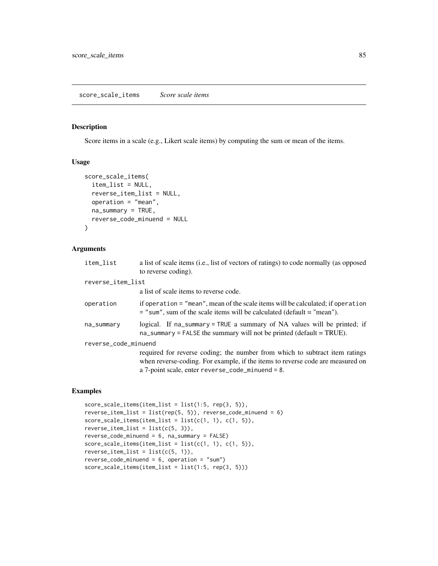#### Description

Score items in a scale (e.g., Likert scale items) by computing the sum or mean of the items.

#### Usage

```
score_scale_items(
  item_list = NULL,
  reverse_item_list = NULL,
 operation = "mean",
 na_summary = TRUE,
  reverse_code_minuend = NULL
)
```
# Arguments

| item list            | a list of scale items (i.e., list of vectors of ratings) to code normally (as opposed<br>to reverse coding).                                                                                                          |
|----------------------|-----------------------------------------------------------------------------------------------------------------------------------------------------------------------------------------------------------------------|
| reverse_item_list    |                                                                                                                                                                                                                       |
|                      | a list of scale items to reverse code.                                                                                                                                                                                |
| operation            | if operation = "mean", mean of the scale items will be calculated; if operation<br>$=$ "sum", sum of the scale items will be calculated (default $=$ "mean").                                                         |
| na_summary           | logical. If na_summary = TRUE a summary of NA values will be printed; if<br>$na$ _summary = FALSE the summary will not be printed (default = TRUE).                                                                   |
| reverse_code_minuend |                                                                                                                                                                                                                       |
|                      | required for reverse coding; the number from which to subtract item ratings<br>when reverse-coding. For example, if the items to reverse code are measured on<br>a 7-point scale, enter $reverse\_code\_minute = 8$ . |

```
score_scale_items(item_list = list(1:5, rep(3, 5)),
reverse_item_list = list(rep(5, 5)), reverse_code_minuend = 6)
score\_scale\_items(item\_list = list(c(1, 1), c(1, 5)),reverse\_item\_list = list(c(5, 3)),reverse_code_minuend = 6, na_summary = FALSE)
score\_scale\_items(item\_list = list(c(1, 1), c(1, 5)),reverse\_item\_list = list(c(5, 1)),reverse_code_minuend = 6, operation = "sum")
score_scale_items(item_list = list(1:5, rep(3, 5)))
```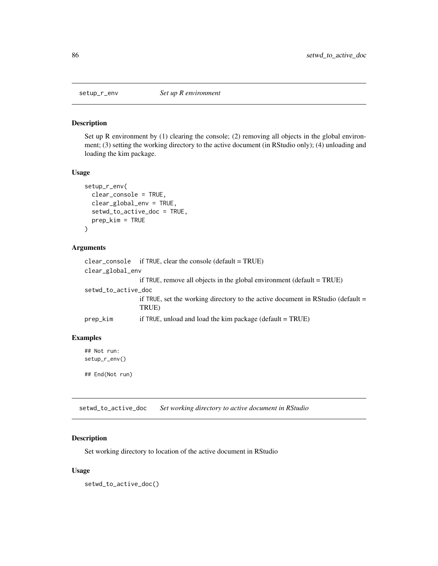#### Description

Set up R environment by (1) clearing the console; (2) removing all objects in the global environment; (3) setting the working directory to the active document (in RStudio only); (4) unloading and loading the kim package.

## Usage

```
setup_r_env(
  clear_console = TRUE,
  clear_global_env = TRUE,
  setwd_to_active_doc = TRUE,
  prep_kim = TRUE
\mathcal{E}
```
# Arguments

```
clear_console if TRUE, clear the console (default = TRUE)
clear_global_env
                 if TRUE, remove all objects in the global environment (default = TRUE)
setwd_to_active_doc
                 if TRUE, set the working directory to the active document in RStudio (default =
                 TRUE)
prep_kim if TRUE, unload and load the kim package (default = TRUE)
```
## Examples

## Not run: setup\_r\_env()

## End(Not run)

setwd\_to\_active\_doc *Set working directory to active document in RStudio*

# Description

Set working directory to location of the active document in RStudio

#### Usage

setwd\_to\_active\_doc()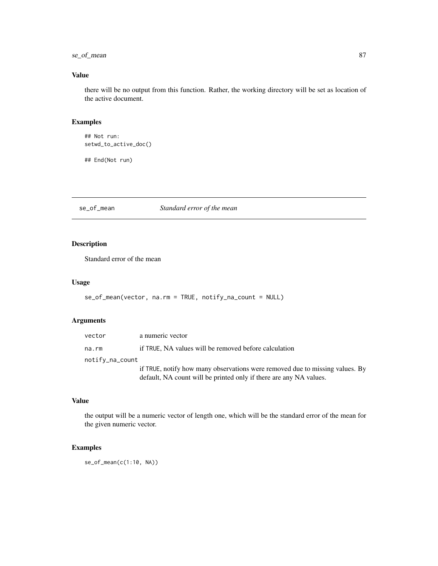# se\_of\_mean 87

# Value

there will be no output from this function. Rather, the working directory will be set as location of the active document.

# Examples

```
## Not run:
setwd_to_active_doc()
```
## End(Not run)

se\_of\_mean *Standard error of the mean*

# Description

Standard error of the mean

## Usage

```
se_of_mean(vector, na.rm = TRUE, notify_na_count = NULL)
```
# Arguments

| vector          | a numeric vector                                                             |
|-----------------|------------------------------------------------------------------------------|
| na.rm           | if TRUE, NA values will be removed before calculation                        |
| notify_na_count |                                                                              |
|                 | if TRUE, notify how many observations were removed due to missing values. By |
|                 | default, NA count will be printed only if there are any NA values.           |

# Value

the output will be a numeric vector of length one, which will be the standard error of the mean for the given numeric vector.

# Examples

se\_of\_mean(c(1:10, NA))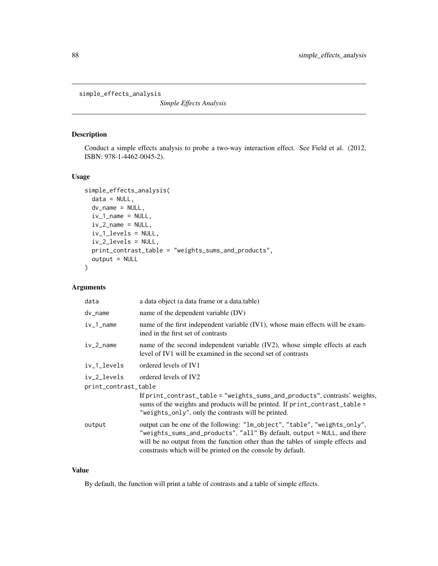simple\_effects\_analysis

*Simple Effects Analysis*

## Description

Conduct a simple effects analysis to probe a two-way interaction effect. See Field et al. (2012, ISBN: 978-1-4462-0045-2).

## Usage

```
simple_effects_analysis(
  data = NULL,dv_name = NULL,
  iv_1_name = NULL,
  iv_2-name = NULL,
  iv_1_levels = NULL,
  iv_2_levels = NULL,
 print_contrast_table = "weights_sums_and_products",
  output = NULL\mathcal{E}
```
# Arguments

| a data object (a data frame or a data.table)                                                                                                                                                                                                                                                           |  |  |
|--------------------------------------------------------------------------------------------------------------------------------------------------------------------------------------------------------------------------------------------------------------------------------------------------------|--|--|
| name of the dependent variable (DV)                                                                                                                                                                                                                                                                    |  |  |
| name of the first independent variable (IV1), whose main effects will be exam-<br>ined in the first set of contrasts                                                                                                                                                                                   |  |  |
| name of the second independent variable (IV2), whose simple effects at each<br>level of IV1 will be examined in the second set of contrasts                                                                                                                                                            |  |  |
| ordered levels of IV1                                                                                                                                                                                                                                                                                  |  |  |
| ordered levels of IV2                                                                                                                                                                                                                                                                                  |  |  |
| print_contrast_table                                                                                                                                                                                                                                                                                   |  |  |
| If print_contrast_table = "weights_sums_and_products", contrasts' weights,<br>sums of the weights and products will be printed. If print_contrast_table =<br>"weights_only", only the contrasts will be printed.                                                                                       |  |  |
| output can be one of the following: "lm_object", "table", "weights_only",<br>"weights_sums_and_products", "all" By default, output = NULL, and there<br>will be no output from the function other than the tables of simple effects and<br>constrasts which will be printed on the console by default. |  |  |
|                                                                                                                                                                                                                                                                                                        |  |  |

#### Value

By default, the function will print a table of contrasts and a table of simple effects.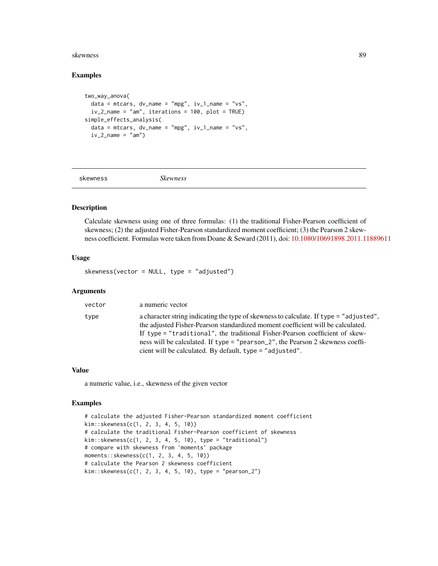#### skewness 89

## Examples

```
two_way_anova(
 data = mtcars, dv_name = "mpg", iv_1_name = "vs",
 iv_2-name = "am", iterations = 100, plot = TRUE)
simple_effects_analysis(
 data = mtcars, dv_name = "mpg", iv_1_name = "vs",
 iv_2_name = "am")
```
skewness *Skewness*

# Description

Calculate skewness using one of three formulas: (1) the traditional Fisher-Pearson coefficient of skewness; (2) the adjusted Fisher-Pearson standardized moment coefficient; (3) the Pearson 2 skewness coefficient. Formulas were taken from Doane & Seward (2011), doi: [10.1080/10691898.2011.11889611](https://doi.org/10.1080/10691898.2011.11889611)

## Usage

skewness(vector = NULL, type = "adjusted")

## Arguments

| vector | a numeric vector                                                                                                                                                                                                                                          |
|--------|-----------------------------------------------------------------------------------------------------------------------------------------------------------------------------------------------------------------------------------------------------------|
| type   | a character string indicating the type of skewness to calculate. If type = "adjusted",<br>the adjusted Fisher-Pearson standardized moment coefficient will be calculated.<br>If type = "traditional", the traditional Fisher-Pearson coefficient of skew- |
|        | ness will be calculated. If type = "pearson_2", the Pearson 2 skewness coeffi-                                                                                                                                                                            |
|        | cient will be calculated. By default, type = "adjusted".                                                                                                                                                                                                  |

## Value

a numeric value, i.e., skewness of the given vector

```
# calculate the adjusted Fisher-Pearson standardized moment coefficient
kim::skewness(c(1, 2, 3, 4, 5, 10))
# calculate the traditional Fisher-Pearson coefficient of skewness
kim::skewness(c(1, 2, 3, 4, 5, 10), type = "traditional")
# compare with skewness from 'moments' package
moments::skewness(c(1, 2, 3, 4, 5, 10))
# calculate the Pearson 2 skewness coefficient
kim::skewness(c(1, 2, 3, 4, 5, 10), type = "pearson_2")
```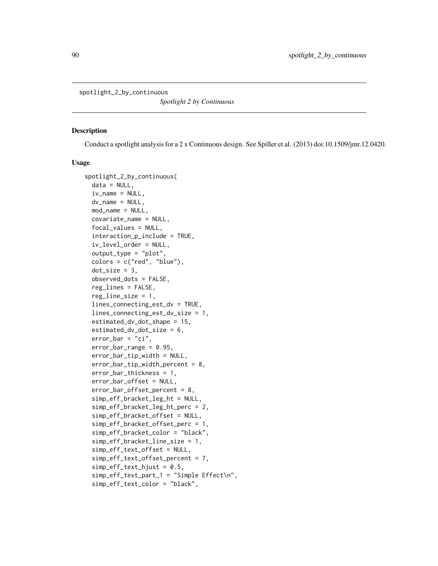spotlight\_2\_by\_continuous

*Spotlight 2 by Continuous*

#### Description

Conduct a spotlight analysis for a 2 x Continuous design. See Spiller et al. (2013) doi:10.1509/jmr.12.0420.

```
spotlight_2_by_continuous(
  data = NULL,iv_name = NULL,dv_name = NULL,mod_name = NULL,
  covariate_name = NULL,
  focal_values = NULL,
  interaction_p_include = TRUE,
  iv_level_order = NULL,
  output_type = "plot",
  colors = c("red", "blue"),dot\_size = 3,
  observed_dots = FALSE,
  reg_lines = FALSE,
  reg\_line\_size = 1,
  lines_connecting_est_dv = TRUE,
  lines_connecting_est_dv_size = 1,
  estimated_dv_dot_shape = 15,
  estimated_dv_dot_size = 6,
  error\_bar = "ci",error_bar_range = 0.95,
  error_bar_tip_width = NULL,
  error_bar_tip_width_percent = 8,
  error_bar_thickness = 1,
  error_bar_offset = NULL,
  error_bar_offset_percent = 8,
  simp_eff_bracket_leg_ht = NULL,
  simp_eff_bracket_leg_ht_perc = 2,
  simp_eff_bracket_offset = NULL,
  simp_eff_bracket_offset_perc = 1,
  simp_eff_bracket_color = "black",
  simp_eff_bracket_line_size = 1,
  simp_eff_text_offset = NULL,
  simp_eff_text_offset_percent = 7,
  simp_eff_text_hjust = 0.5,
  simp_eff_text_part_1 = "Simple Effect\n",
  simp_eff_text_color = "black",
```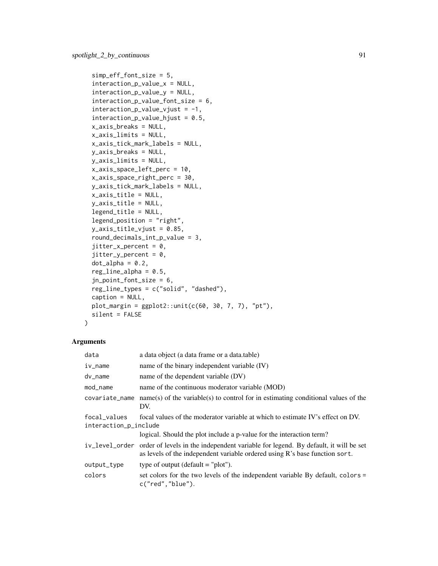```
simp_eff_font_size = 5,
  interaction_p_value_x = NULL,
  interaction_p_value_y = NULL,
  interaction_p_value_font_size = 6,
  interaction_p_value_vjust = -1,
  interaction_p_value_hjust = 0.5,
  x_axis_breaks = NULL,
  x_axis_limits = NULL,
 x_axis_tick_mark_labels = NULL,
 y_axis_breaks = NULL,
 y_axis_limits = NULL,
  x_axis_space_left_perc = 10,
 x_axis_space_right_perc = 30,
 y_axis_tick_mark_labels = NULL,
 x_axis_title = NULL,
 y_axis_title = NULL,
  legend_title = NULL,
  legend_position = "right",
 y<sup>2</sup>xis<sup>1</sup>title_vjust = 0.85,
  round_decimals_int_p_value = 3,
  jitter_x_{percent} = 0,
  jitter_y_{percent} = 0,
  dot\_alpha = 0.2,
  reg\_line\_alpha = 0.5,
  jn_point_font_size = 6,
  reg_line_types = c("solid", "dashed"),
  caption = NULL,
 plot_margin = ggplot2::unit(c(60, 30, 7, 7), "pt"),
 silent = FALSE
\mathcal{L}
```

| data                                  | a data object (a data frame or a data.table)                                                                                                                                     |
|---------------------------------------|----------------------------------------------------------------------------------------------------------------------------------------------------------------------------------|
| iv_name                               | name of the binary independent variable (IV)                                                                                                                                     |
| dv_name                               | name of the dependent variable (DV)                                                                                                                                              |
| mod_name                              | name of the continuous moderator variable (MOD)                                                                                                                                  |
| covariate_name                        | $name(s)$ of the variable(s) to control for in estimating conditional values of the<br>DV.                                                                                       |
| focal values<br>interaction_p_include | focal values of the moderator variable at which to estimate IV's effect on DV.                                                                                                   |
|                                       | logical. Should the plot include a p-value for the interaction term?                                                                                                             |
|                                       | iv_level_order order of levels in the independent variable for legend. By default, it will be set<br>as levels of the independent variable ordered using R's base function sort. |
| output_type                           | type of output (default $=$ "plot").                                                                                                                                             |
| colors                                | set colors for the two levels of the independent variable By default, colors =<br>c("red", "blue").                                                                              |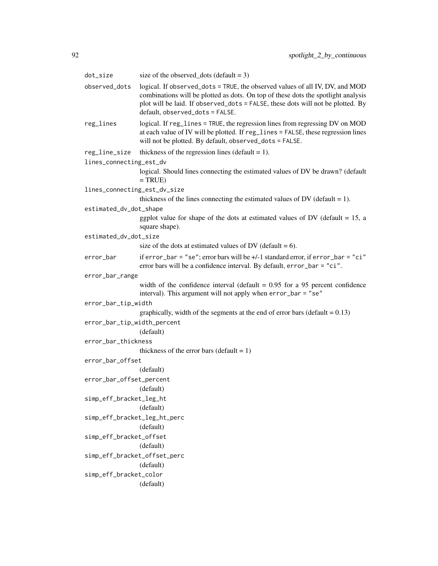| dot_size                     | size of the observed_dots (default = $3$ )                                                                                                                                                                                                                                              |
|------------------------------|-----------------------------------------------------------------------------------------------------------------------------------------------------------------------------------------------------------------------------------------------------------------------------------------|
| observed_dots                | logical. If observed_dots = TRUE, the observed values of all IV, DV, and MOD<br>combinations will be plotted as dots. On top of these dots the spotlight analysis<br>plot will be laid. If observed_dots = FALSE, these dots will not be plotted. By<br>default, observed_dots = FALSE. |
| reg_lines                    | logical. If reg_lines = TRUE, the regression lines from regressing DV on MOD<br>at each value of IV will be plotted. If reg_lines = FALSE, these regression lines<br>will not be plotted. By default, observed_dots = FALSE.                                                            |
| reg_line_size                | thickness of the regression lines (default $= 1$ ).                                                                                                                                                                                                                                     |
| lines_connecting_est_dv      |                                                                                                                                                                                                                                                                                         |
|                              | logical. Should lines connecting the estimated values of DV be drawn? (default<br>$= TRUE$                                                                                                                                                                                              |
| lines_connecting_est_dv_size |                                                                                                                                                                                                                                                                                         |
|                              | thickness of the lines connecting the estimated values of DV (default $= 1$ ).                                                                                                                                                                                                          |
| estimated_dv_dot_shape       |                                                                                                                                                                                                                                                                                         |
|                              | ggplot value for shape of the dots at estimated values of DV (default $= 15$ , a<br>square shape).                                                                                                                                                                                      |
| estimated_dv_dot_size        |                                                                                                                                                                                                                                                                                         |
|                              | size of the dots at estimated values of DV (default = 6).                                                                                                                                                                                                                               |
| error_bar                    | if error_bar = "se"; error bars will be +/-1 standard error, if error_bar = "ci"<br>error bars will be a confidence interval. By default, error_bar = "ci".                                                                                                                             |
| error_bar_range              |                                                                                                                                                                                                                                                                                         |
|                              | width of the confidence interval (default $= 0.95$ for a 95 percent confidence<br>interval). This argument will not apply when error_bar = "se"                                                                                                                                         |
| error_bar_tip_width          |                                                                                                                                                                                                                                                                                         |
|                              | graphically, width of the segments at the end of error bars (default = $0.13$ )                                                                                                                                                                                                         |
| error_bar_tip_width_percent  |                                                                                                                                                                                                                                                                                         |
|                              | (default)                                                                                                                                                                                                                                                                               |
| error_bar_thickness          |                                                                                                                                                                                                                                                                                         |
|                              | thickness of the error bars (default = $1$ )                                                                                                                                                                                                                                            |
| error_bar_offset             |                                                                                                                                                                                                                                                                                         |
|                              | (default)                                                                                                                                                                                                                                                                               |
| error_bar_offset_percent     |                                                                                                                                                                                                                                                                                         |
|                              | (default)                                                                                                                                                                                                                                                                               |
| simp_eff_bracket_leg_ht      |                                                                                                                                                                                                                                                                                         |
|                              | (default)                                                                                                                                                                                                                                                                               |
| simp_eff_bracket_leg_ht_perc | (default)                                                                                                                                                                                                                                                                               |
| simp_eff_bracket_offset      |                                                                                                                                                                                                                                                                                         |
|                              | (default)                                                                                                                                                                                                                                                                               |
| simp_eff_bracket_offset_perc |                                                                                                                                                                                                                                                                                         |
|                              | (default)                                                                                                                                                                                                                                                                               |
| simp_eff_bracket_color       |                                                                                                                                                                                                                                                                                         |
|                              | (default)                                                                                                                                                                                                                                                                               |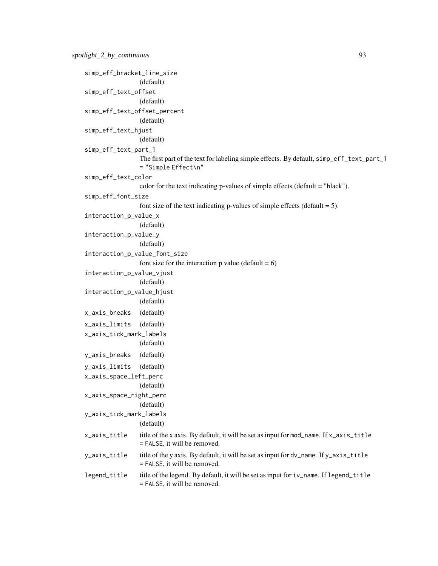```
simp_eff_bracket_line_size
                  (default)
simp_eff_text_offset
                  (default)
simp_eff_text_offset_percent
                  (default)
simp_eff_text_hjust
                  (default)
simp_eff_text_part_1
                 The first part of the text for labeling simple effects. By default, simp_eff_text_part_1
                  = "Simple Effect\n"
simp_eff_text_color
                  color for the text indicating p-values of simple effects (default = "black").
simp_eff_font_size
                 font size of the text indicating p-values of simple effects (default = 5).
interaction_p_value_x
                  (default)
interaction_p_value_y
                  (default)
interaction_p_value_font_size
                 font size for the interaction p value (default = 6)
interaction_p_value_vjust
                  (default)
interaction_p_value_hjust
                  (default)
x_axis_breaks (default)
x_axis_limits (default)
x_axis_tick_mark_labels
                  (default)
y_axis_breaks (default)
y_axis_limits (default)
x_axis_space_left_perc
                  (default)
x_axis_space_right_perc
                  (default)
y_axis_tick_mark_labels
                 (default)
x_axis_title title of the x axis. By default, it will be set as input for mod_name. If x_axis_title
                 = FALSE, it will be removed.
y_axis_title title of the y axis. By default, it will be set as input for dv_name. If y_axis_title
                 = FALSE, it will be removed.
legend_title title of the legend. By default, it will be set as input for iv_name. If legend_title
                  = FALSE, it will be removed.
```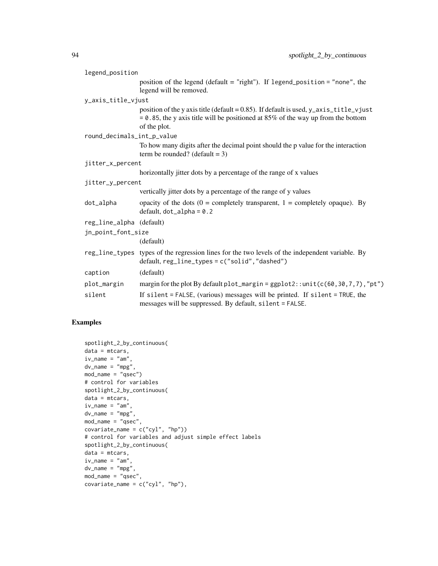| legend_position            |                                                                                                                                                                                              |  |
|----------------------------|----------------------------------------------------------------------------------------------------------------------------------------------------------------------------------------------|--|
|                            | position of the legend (default = "right"). If legend_position = "none", the<br>legend will be removed.                                                                                      |  |
| y_axis_title_vjust         |                                                                                                                                                                                              |  |
|                            | position of the y axis title (default = 0.85). If default is used, y_axis_title_vjust<br>$= 0.85$ , the y axis title will be positioned at 85% of the way up from the bottom<br>of the plot. |  |
| round_decimals_int_p_value |                                                                                                                                                                                              |  |
|                            | To how many digits after the decimal point should the p value for the interaction<br>term be rounded? (default = 3)                                                                          |  |
| jitter_x_percent           |                                                                                                                                                                                              |  |
|                            | horizontally jitter dots by a percentage of the range of x values                                                                                                                            |  |
| jitter_y_percent           |                                                                                                                                                                                              |  |
|                            | vertically jitter dots by a percentage of the range of y values                                                                                                                              |  |
| dot_alpha                  | opacity of the dots ( $0 =$ completely transparent, $1 =$ completely opaque). By<br>default, $dot_a$ lpha = 0.2                                                                              |  |
| reg_line_alpha (default)   |                                                                                                                                                                                              |  |
| jn_point_font_size         |                                                                                                                                                                                              |  |
|                            | (default)                                                                                                                                                                                    |  |
|                            | reg_line_types types of the regression lines for the two levels of the independent variable. By<br>$default, reg\_line\_types = c("solid", "dashed")$                                        |  |
| caption                    | (default)                                                                                                                                                                                    |  |
| plot_margin                | margin for the plot By default plot_margin = $ggplot2$ : : unit( $c(60, 30, 7, 7)$ , "pt")                                                                                                   |  |
| silent                     | If silent = FALSE, (various) messages will be printed. If silent = TRUE, the<br>messages will be suppressed. By default, silent = FALSE.                                                     |  |

```
spotlight_2_by_continuous(
data = mtcars,
iv_name = "am",dv<sub>name</sub> = "mpg",
mod_name = "qsec")
# control for variables
spotlight_2_by_continuous(
data = mtcars,
iv_name = "am",dv_name = "mpg",
mod_name = "qsec",
covariate_name = c("cyl", "hp")# control for variables and adjust simple effect labels
spotlight_2_by_continuous(
data = mtcars,
iv_name = "am",dv<sub>name</sub> = "mpg",
mod_name = "qsec",
covariate_name = c("cyl", "hp"),
```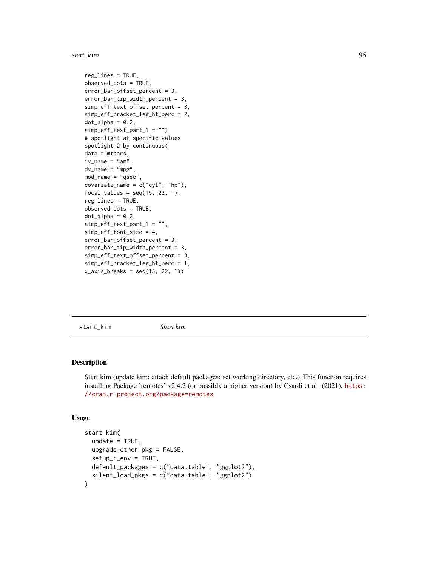#### start\_kim 95

```
reg_lines = TRUE,
observed_dots = TRUE,
error_bar_offset_percent = 3,
error_bar_tip_width_percent = 3,
simp_eff_text_offset_percent = 3,
simp_eff_bracket_leg_ht_perc = 2,
dot\_alpha = 0.2,
simp_eff_text_part_1 = "")
# spotlight at specific values
spotlight_2_by_continuous(
data = mtcars,
iv_name = "am"dv_name = "mpg"mod_name = "qsec",
covariate_name = c("cyl", "hp"),
focal_values = seq(15, 22, 1),reg_lines = TRUE,
observed_dots = TRUE,
dot\_alpha = 0.2,
simp_eff_text_part_1 = "",
simp_eff_font_size = 4,
error_bar_offset_percent = 3,
error_bar_tip_width_percent = 3,
simp_eff_text_offset_percent = 3,
simp_eff_bracket_leg_ht_perc = 1,
x_axis_breaks = seq(15, 22, 1))
```
start\_kim *Start kim*

#### Description

Start kim (update kim; attach default packages; set working directory, etc.) This function requires installing Package 'remotes' v2.4.2 (or possibly a higher version) by Csardi et al. (2021), [https:](https://cran.r-project.org/package=remotes) [//cran.r-project.org/package=remotes](https://cran.r-project.org/package=remotes)

```
start_kim(
 update = TRUE,upgrade_other_pkg = FALSE,
  setup_r_en_v = TRUE,default_packages = c("data.table", "ggplot2"),
 silent_load_pkgs = c("data.table", "ggplot2")
)
```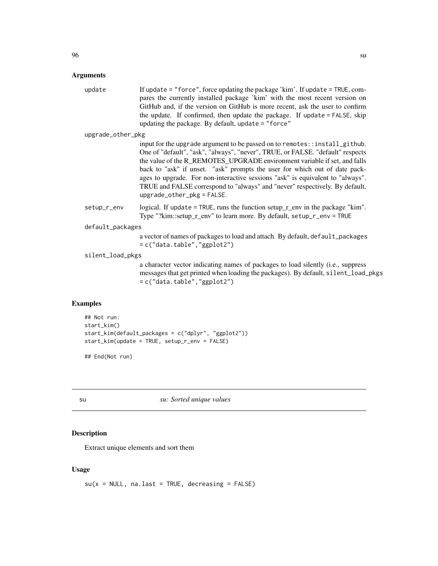#### Arguments

| update            | If update $=$ "force", force updating the package 'kim'. If update $=$ TRUE, com- |
|-------------------|-----------------------------------------------------------------------------------|
|                   | pares the currently installed package 'kim' with the most recent version on       |
|                   | GitHub and, if the version on GitHub is more recent, ask the user to confirm      |
|                   | the update. If confirmed, then update the package. If update = FALSE, skip        |
|                   | updating the package. By default, update $=$ "force"                              |
| upgrade_other_pkg |                                                                                   |
|                   |                                                                                   |

input for the upgrade argument to be passed on to remotes::install\_github. One of "default", "ask", "always", "never", TRUE, or FALSE. "default" respects the value of the R\_REMOTES\_UPGRADE environment variable if set, and falls back to "ask" if unset. "ask" prompts the user for which out of date packages to upgrade. For non-interactive sessions "ask" is equivalent to "always". TRUE and FALSE correspond to "always" and "never" respectively. By default, upgrade\_other\_pkg = FALSE.

setup\_r\_env logical. If update = TRUE, runs the function setup\_r\_env in the package "kim". Type "?kim::setup\_r\_env" to learn more. By default, setup\_r\_env = TRUE

default\_packages

```
a vector of names of packages to load and attach. By default, default_packages
= c("data.table","ggplot2")
```
silent\_load\_pkgs

a character vector indicating names of packages to load silently (i.e., suppress messages that get printed when loading the packages). By default, silent\_load\_pkgs = c("data.table","ggplot2")

#### Examples

```
## Not run:
start_kim()
start_kim(default_packages = c("dplyr", "ggplot2"))
start_kim(update = TRUE, setup_r_env = FALSE)
```
## End(Not run)

su *su: Sorted unique values*

#### Description

Extract unique elements and sort them

#### Usage

 $su(x = NULL, na-last = TRUE, decreasing = FALSE)$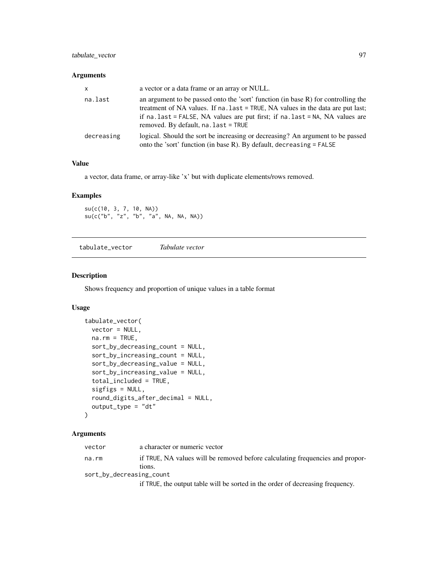# tabulate\_vector 97

## Arguments

| x          | a vector or a data frame or an array or NULL.                                                                                                                                                                                                                                                             |
|------------|-----------------------------------------------------------------------------------------------------------------------------------------------------------------------------------------------------------------------------------------------------------------------------------------------------------|
| na.last    | an argument to be passed onto the 'sort' function (in base $R$ ) for controlling the<br>treatment of NA values. If na. last = TRUE, NA values in the data are put last;<br>if $na$ . last = FALSE, NA values are put first; if $na$ . last = NA, NA values are<br>removed. By default, $na$ . last = TRUE |
| decreasing | logical. Should the sort be increasing or decreasing? An argument to be passed<br>onto the 'sort' function (in base R). By default, decreasing = FALSE                                                                                                                                                    |

## Value

a vector, data frame, or array-like 'x' but with duplicate elements/rows removed.

#### Examples

su(c(10, 3, 7, 10, NA)) su(c("b", "z", "b", "a", NA, NA, NA))

tabulate\_vector *Tabulate vector*

## Description

Shows frequency and proportion of unique values in a table format

## Usage

```
tabulate_vector(
 vector = NULL,
 na.rm = TRUE,sort_by_decreasing_count = NULL,
  sort_by_increasing_count = NULL,
  sort_by_decreasing_value = NULL,
  sort_by_increasing_value = NULL,
  total_included = TRUE,
  sigfigs = NULL,
  round_digits_after_decimal = NULL,
  output_type = "dt"
\lambda
```
#### Arguments

| vector | a character or numeric vector                                                 |
|--------|-------------------------------------------------------------------------------|
| na.rm  | if TRUE, NA values will be removed before calculating frequencies and propor- |
|        | tions.                                                                        |
|        | sort_by_decreasing_count                                                      |

if TRUE, the output table will be sorted in the order of decreasing frequency.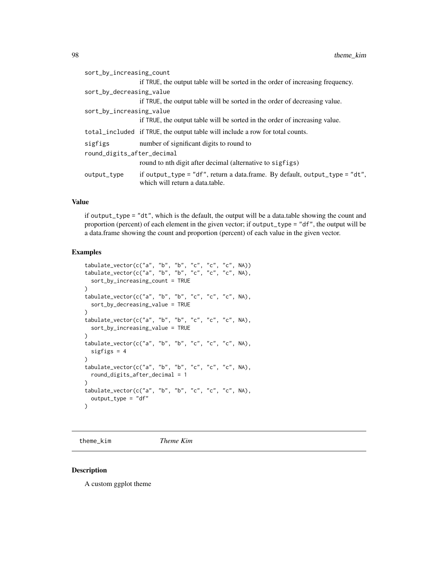| sort_by_increasing_count   |                                                                                                                |
|----------------------------|----------------------------------------------------------------------------------------------------------------|
|                            | if TRUE, the output table will be sorted in the order of increasing frequency.                                 |
| sort_by_decreasing_value   |                                                                                                                |
|                            | if TRUE, the output table will be sorted in the order of decreasing value.                                     |
| sort_by_increasing_value   |                                                                                                                |
|                            | if TRUE, the output table will be sorted in the order of increasing value.                                     |
|                            | total_included if TRUE, the output table will include a row for total counts.                                  |
| sigfigs                    | number of significant digits to round to                                                                       |
| round_digits_after_decimal |                                                                                                                |
|                            | round to nth digit after decimal (alternative to sigfigs)                                                      |
| output_type                | if output_type = "df", return a data.frame. By default, output_type = "dt",<br>which will return a data table. |
|                            |                                                                                                                |

# Value

if output\_type = "dt", which is the default, the output will be a data.table showing the count and proportion (percent) of each element in the given vector; if output\_type = "df", the output will be a data.frame showing the count and proportion (percent) of each value in the given vector.

#### Examples

```
tabulate_vector(c("a", "b", "b", "c", "c", "c", NA))
tabulate_vector(c("a", "b", "b", "c", "c", "c", NA),
  sort_by_increasing_count = TRUE
\lambdatabulate_vector(c("a", "b", "b", "c", "c", "c", NA),
  sort_by_decreasing_value = TRUE
\lambdatabulate_vector(c("a", "b", "b", "c", "c", "c", NA),
  sort_by_increasing_value = TRUE
)
tabulate_vector(c("a", "b", "b", "c", "c", "c", NA),
  sigfigs = 4)
tabulate_vector(c("a", "b", "b", "c", "c", "c", NA),
  round_digits_after_decimal = 1
)
tabulate_vector(c("a", "b", "b", "c", "c", "c", NA),
  output_type = "df"
)
```
theme\_kim *Theme Kim*

#### Description

A custom ggplot theme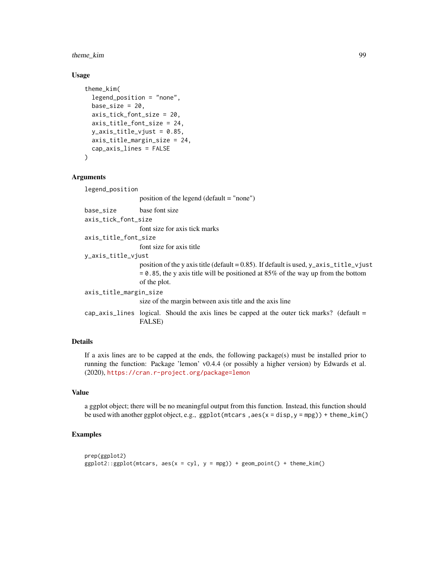## theme\_kim 99

#### Usage

```
theme_kim(
  legend_position = "none",
  base_size = 20,
  axis_tick_font_size = 20,
  axis_title_font_size = 24,
 y_axis_title_vjust = 0.85,
  axis_title_margin_size = 24,
  cap_axis_lines = FALSE
)
```
## Arguments

legend\_position

position of the legend (default = "none") base\_size base font size axis\_tick\_font\_size font size for axis tick marks axis\_title\_font\_size font size for axis title y\_axis\_title\_vjust position of the y axis title (default =  $0.85$ ). If default is used, y\_axis\_title\_vjust  $= 0.85$ , the y axis title will be positioned at 85% of the way up from the bottom of the plot. axis\_title\_margin\_size size of the margin between axis title and the axis line cap\_axis\_lines logical. Should the axis lines be capped at the outer tick marks? (default  $=$ FALSE)

## Details

If a axis lines are to be capped at the ends, the following package(s) must be installed prior to running the function: Package 'lemon' v0.4.4 (or possibly a higher version) by Edwards et al. (2020), <https://cran.r-project.org/package=lemon>

#### Value

a ggplot object; there will be no meaningful output from this function. Instead, this function should be used with another ggplot object, e.g., ggplot(mtcars,  $\text{aes}(x = \text{disp}, y = \text{mpg})$ ) + theme\_kim()

```
prep(ggplot2)
ggplot2::ggplot(mtcars, aes(x = cyl, y = mpg)) + geom\_point() + them/sim()
```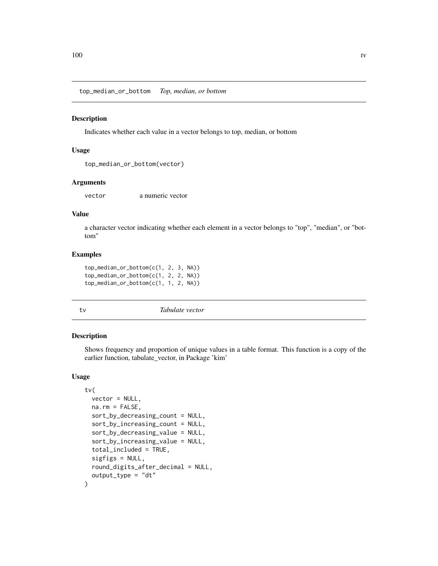top\_median\_or\_bottom *Top, median, or bottom*

#### Description

Indicates whether each value in a vector belongs to top, median, or bottom

## Usage

```
top_median_or_bottom(vector)
```
### Arguments

vector a numeric vector

## Value

a character vector indicating whether each element in a vector belongs to "top", "median", or "bottom"

#### Examples

```
top_median_or_bottom(c(1, 2, 3, NA))
top_median_or_bottom(c(1, 2, 2, NA))
top_median_or_bottom(c(1, 1, 2, NA))
```
tv *Tabulate vector*

#### Description

Shows frequency and proportion of unique values in a table format. This function is a copy of the earlier function, tabulate\_vector, in Package 'kim'

```
tv(
  vector = NULL,
 na.rm = FALSE,sort_by_decreasing_count = NULL,
  sort_by_increasing_count = NULL,
  sort_by_decreasing_value = NULL,
  sort_by_increasing_value = NULL,
  total_included = TRUE,
  sigfigs = NULL,
  round_digits_after_decimal = NULL,
  output_type = "dt"
)
```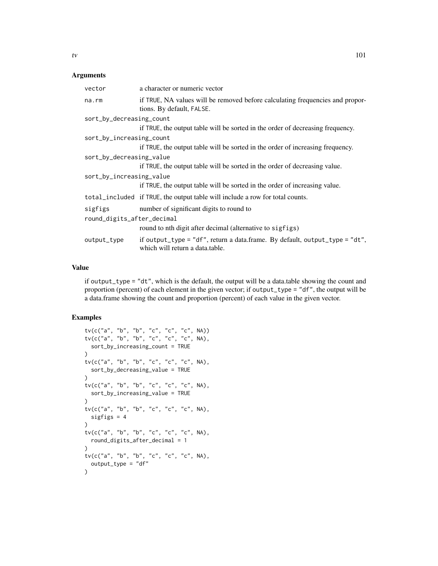#### Arguments

| a character or numeric vector                                                                                  |
|----------------------------------------------------------------------------------------------------------------|
| if TRUE, NA values will be removed before calculating frequencies and propor-<br>tions. By default, FALSE.     |
| sort_by_decreasing_count                                                                                       |
| if TRUE, the output table will be sorted in the order of decreasing frequency.                                 |
| sort_by_increasing_count                                                                                       |
| if TRUE, the output table will be sorted in the order of increasing frequency.                                 |
| sort_by_decreasing_value                                                                                       |
| if TRUE, the output table will be sorted in the order of decreasing value.                                     |
| sort_by_increasing_value                                                                                       |
| if TRUE, the output table will be sorted in the order of increasing value.                                     |
| total_included if TRUE, the output table will include a row for total counts.                                  |
| number of significant digits to round to                                                                       |
| round_digits_after_decimal                                                                                     |
| round to nth digit after decimal (alternative to sigfigs)                                                      |
| if output_type = "df", return a data.frame. By default, output_type = "dt",<br>which will return a data.table. |
|                                                                                                                |

## Value

if output\_type = "dt", which is the default, the output will be a data.table showing the count and proportion (percent) of each element in the given vector; if output\_type = "df", the output will be a data.frame showing the count and proportion (percent) of each value in the given vector.

```
tv(c("a", "b", "b", "c", "c", "c", NA))
tv(c("a", "b", "b", "c", "c", "c", NA),
  sort_by_increasing_count = TRUE
)
tv(c("a", "b", "b", "c", "c", "c", NA),
 sort_by_decreasing_value = TRUE
\lambdatv(c("a", "b", "b", "c", "c", "c", NA),
  sort_by_increasing_value = TRUE
)
tv(c("a", "b", "b", "c", "c", "c", NA),
  sigfigs = 4
)
tv(c("a", "b", "b", "c", "c", "c", NA),
 round_digits_after_decimal = 1
\mathcal{L}tv(c("a", "b", "b", "c", "c", "c", NA),
 output_type = "df"
\mathcal{L}
```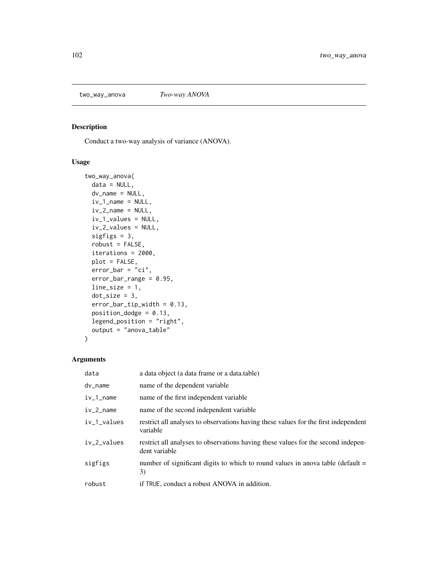## Description

Conduct a two-way analysis of variance (ANOVA).

# Usage

```
two_way_anova(
 data = NULL,
 dv_name = NULL,
 iv_1_name = NULL,
  iv_2_name = NULL,
  iv_1_values = NULL,
  iv_2_values = NULL,
  sigfigs = 3,
 robust = FALSE,iterations = 2000,
 plot = FALSE,
 error_bar = "ci",error_bar_range = 0.95,
 line_size = 1,
 dot\_size = 3,
 error_bar_tip_width = 0.13,
 position\_dodge = 0.13,
 legend_position = "right",
 output = "anova_table"
)
```

| data                 | a data object (a data frame or a data table)                                                       |
|----------------------|----------------------------------------------------------------------------------------------------|
| dv_name              | name of the dependent variable                                                                     |
| $iv_1$ _name         | name of the first independent variable                                                             |
| $iv_2$ _name         | name of the second independent variable                                                            |
| $iv_1_$ values       | restrict all analyses to observations having these values for the first independent<br>variable    |
| $iv_2_\text{values}$ | restrict all analyses to observations having these values for the second indepen-<br>dent variable |
| sigfigs              | number of significant digits to which to round values in anova table (default $=$<br>3)            |
| robust               | if TRUE, conduct a robust ANOVA in addition.                                                       |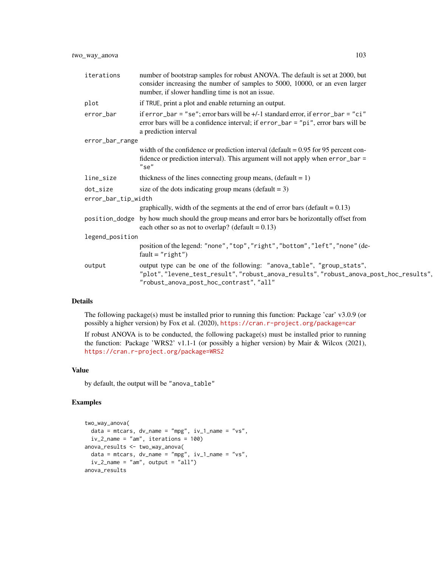| iterations                      | number of bootstrap samples for robust ANOVA. The default is set at 2000, but<br>consider increasing the number of samples to 5000, 10000, or an even larger<br>number, if slower handling time is not an issue. |  |
|---------------------------------|------------------------------------------------------------------------------------------------------------------------------------------------------------------------------------------------------------------|--|
| plot                            | if TRUE, print a plot and enable returning an output.                                                                                                                                                            |  |
| error_bar                       | if error_bar = "se"; error bars will be +/-1 standard error, if error_bar = "ci"<br>error bars will be a confidence interval; if error_bar = "pi", error bars will be<br>a prediction interval                   |  |
| error_bar_range                 |                                                                                                                                                                                                                  |  |
|                                 | width of the confidence or prediction interval (default = $0.95$ for 95 percent con-<br>fidence or prediction interval). This argument will not apply when error_bar =<br>"se"                                   |  |
| line_size                       | thickness of the lines connecting group means, $(\text{default} = 1)$                                                                                                                                            |  |
| dot_size<br>error_bar_tip_width | size of the dots indicating group means (default $= 3$ )                                                                                                                                                         |  |
|                                 | graphically, width of the segments at the end of error bars (default = $0.13$ )                                                                                                                                  |  |
|                                 | position_dodge by how much should the group means and error bars be horizontally offset from<br>each other so as not to overlap? (default = $0.13$ )                                                             |  |
| legend_position                 |                                                                                                                                                                                                                  |  |
|                                 | position of the legend: "none", "top", "right", "bottom", "left", "none" (de-<br>$fault="right")$                                                                                                                |  |
| output                          | output type can be one of the following: "anova_table", "group_stats",<br>"plot", "levene_test_result", "robust_anova_results", "robust_anova_post_hoc_results",<br>"robust_anova_post_hoc_contrast", "all"      |  |

## Details

The following package(s) must be installed prior to running this function: Package 'car' v3.0.9 (or possibly a higher version) by Fox et al. (2020), <https://cran.r-project.org/package=car>

If robust ANOVA is to be conducted, the following package(s) must be installed prior to running the function: Package 'WRS2' v1.1-1 (or possibly a higher version) by Mair & Wilcox (2021), <https://cran.r-project.org/package=WRS2>

## Value

by default, the output will be "anova\_table"

```
two_way_anova(
 data = mtcars, dv_{\text{name}} = "mpg", iv_{\text{1_name}} = "vs",iv_2<sub>name</sub> = "am", iterations = 100)
anova_results <- two_way_anova(
 data = mtcars, dv_name = "mpg", iv_1_name = "vs",
  iv_2-name = "am", output = "all")
anova_results
```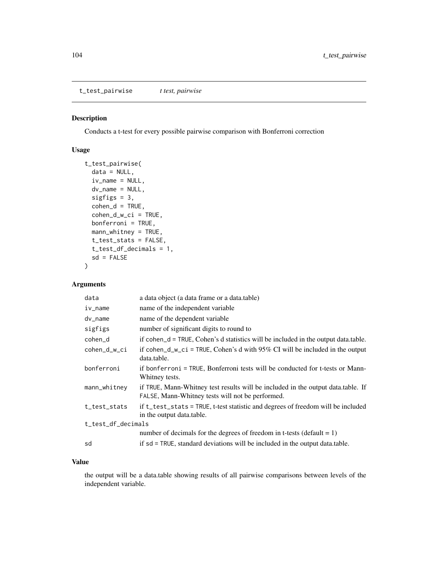t\_test\_pairwise *t test, pairwise*

# Description

Conducts a t-test for every possible pairwise comparison with Bonferroni correction

# Usage

```
t_test_pairwise(
  data = NULL,
  iv_name = NULL,dv_name = NULL,sigfigs = 3,
  \text{cohen}_d = \text{TRUE},
  cohen_d_w_ci = TRUE,bonferroni = TRUE,
  mann_whitney = TRUE,
  t_test_stats = FALSE,
  t_test_df_decimals = 1,
  sd = FALSE\mathcal{L}
```
## Arguments

| a data object (a data frame or a data.table)                                                                                         |
|--------------------------------------------------------------------------------------------------------------------------------------|
| name of the independent variable                                                                                                     |
| name of the dependent variable                                                                                                       |
| number of significant digits to round to                                                                                             |
| if $cohen_d = TRUE$ , $Cohen's$ d statistics will be included in the output data.table.                                              |
| if cohen_d_w_ci = TRUE, Cohen's d with $95\%$ CI will be included in the output<br>data.table.                                       |
| if bonferroni = TRUE, Bonferroni tests will be conducted for t-tests or Mann-<br>Whitney tests.                                      |
| if TRUE, Mann-Whitney test results will be included in the output data.table. If<br>FALSE, Mann-Whitney tests will not be performed. |
| if t_test_stats = TRUE, t-test statistic and degrees of freedom will be included<br>in the output data.table.                        |
| t_test_df_decimals                                                                                                                   |
| number of decimals for the degrees of freedom in t-tests (default = $1$ )                                                            |
| if sd = TRUE, standard deviations will be included in the output data.table.                                                         |
|                                                                                                                                      |

## Value

the output will be a data.table showing results of all pairwise comparisons between levels of the independent variable.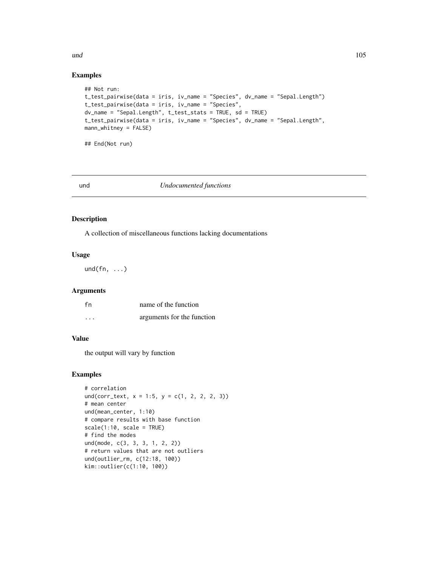# Examples

```
## Not run:
t_test_pairwise(data = iris, iv_name = "Species", dv_name = "Sepal.Length")
t_test_pairwise(data = iris, iv_name = "Species",
dv_name = "Sepal.Length", t_test_stats = TRUE, sd = TRUE)
t_test_pairwise(data = iris, iv_name = "Species", dv_name = "Sepal.Length",
mann_whitney = FALSE)
```
## End(Not run)

#### und *Undocumented functions*

#### Description

A collection of miscellaneous functions lacking documentations

## Usage

 $und(fn, \ldots)$ 

# Arguments

| fn       | name of the function       |
|----------|----------------------------|
| $\cdots$ | arguments for the function |

# Value

the output will vary by function

```
# correlation
und(corr_text, x = 1:5, y = c(1, 2, 2, 3))
# mean center
und(mean_center, 1:10)
# compare results with base function
scale(1:10, scale = TRUE)
# find the modes
und(mode, c(3, 3, 3, 1, 2, 2))
# return values that are not outliers
und(outlier_rm, c(12:18, 100))
kim::outlier(c(1:10, 100))
```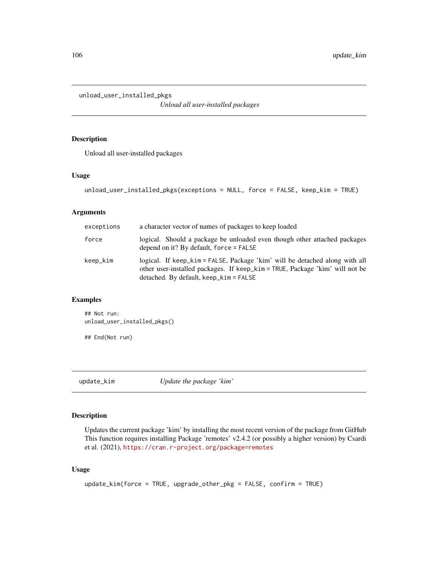unload\_user\_installed\_pkgs

*Unload all user-installed packages*

## Description

Unload all user-installed packages

#### Usage

```
unload_user_installed_pkgs(exceptions = NULL, force = FALSE, keep_kim = TRUE)
```
# Arguments

| exceptions | a character vector of names of packages to keep loaded                                                                                                                                                  |
|------------|---------------------------------------------------------------------------------------------------------------------------------------------------------------------------------------------------------|
| force      | logical. Should a package be unloaded even though other attached packages<br>depend on it? By default, force $=$ FALSE                                                                                  |
| keep_kim   | logical. If keep_kim = FALSE, Package 'kim' will be detached along with all<br>other user-installed packages. If keep_kim = TRUE, Package 'kim' will not be<br>$detached. By default, keep_kim = FALSE$ |

# Examples

## Not run: unload\_user\_installed\_pkgs()

## End(Not run)

update\_kim *Update the package 'kim'*

# Description

Updates the current package 'kim' by installing the most recent version of the package from GitHub This function requires installing Package 'remotes' v2.4.2 (or possibly a higher version) by Csardi et al. (2021), <https://cran.r-project.org/package=remotes>

```
update_kim(force = TRUE, upgrade_other_pkg = FALSE, confirm = TRUE)
```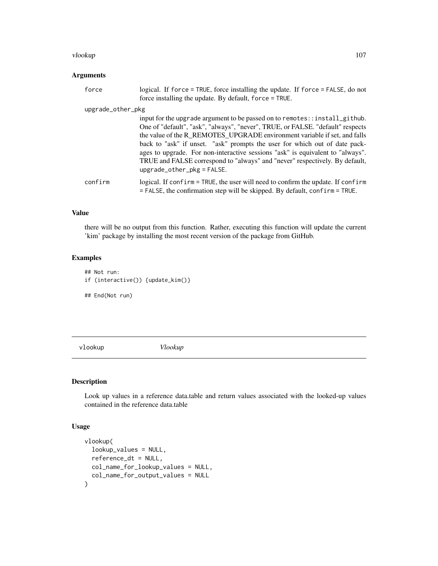#### vlookup 107

# Arguments

| force             | logical. If force = TRUE, force installing the update. If force = FALSE, do not<br>force installing the update. By default, force = TRUE.                                                                                                                                                                                                                                                                                                                                                                                 |
|-------------------|---------------------------------------------------------------------------------------------------------------------------------------------------------------------------------------------------------------------------------------------------------------------------------------------------------------------------------------------------------------------------------------------------------------------------------------------------------------------------------------------------------------------------|
| upgrade_other_pkg |                                                                                                                                                                                                                                                                                                                                                                                                                                                                                                                           |
|                   | input for the upgrade argument to be passed on to remotes::install_github.<br>One of "default", "ask", "always", "never", TRUE, or FALSE. "default" respects<br>the value of the R_REMOTES_UPGRADE environment variable if set, and falls<br>back to "ask" if unset. "ask" prompts the user for which out of date pack-<br>ages to upgrade. For non-interactive sessions "ask" is equivalent to "always".<br>TRUE and FALSE correspond to "always" and "never" respectively. By default,<br>$upsrad$ e_other_pkg = FALSE. |
| confirm           | logical. If confirm = TRUE, the user will need to confirm the update. If confirm<br>$=$ FALSE, the confirmation step will be skipped. By default, confirm = TRUE.                                                                                                                                                                                                                                                                                                                                                         |

# Value

there will be no output from this function. Rather, executing this function will update the current 'kim' package by installing the most recent version of the package from GitHub.

# Examples

```
## Not run:
if (interactive()) {update_kim()}
## End(Not run)
```
vlookup *Vlookup*

# Description

Look up values in a reference data.table and return values associated with the looked-up values contained in the reference data.table

```
vlookup(
  lookup_values = NULL,
  reference_dt = NULL,
  col_name_for_lookup_values = NULL,
  col_name_for_output_values = NULL
\mathcal{E}
```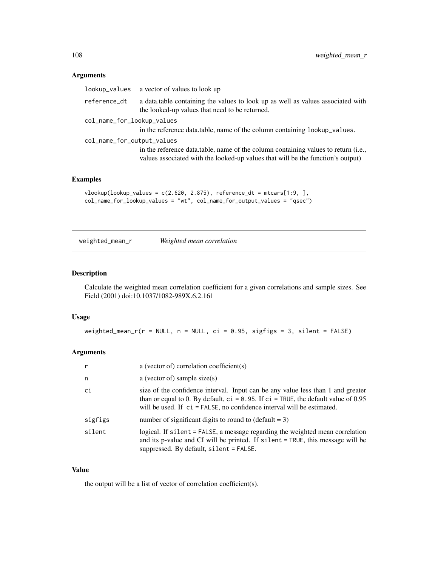## Arguments

| lookup_values              | a vector of values to look up                                                                                                                                         |
|----------------------------|-----------------------------------------------------------------------------------------------------------------------------------------------------------------------|
| reference_dt               | a data.table containing the values to look up as well as values associated with<br>the looked-up values that need to be returned.                                     |
| col_name_for_lookup_values | in the reference data.table, name of the column containing lookup_values.                                                                                             |
| col_name_for_output_values | in the reference data.table, name of the column containing values to return (i.e.,<br>values associated with the looked-up values that will be the function's output) |

#### Examples

```
vlookup(lookup_values = c(2.620, 2.875), reference_dt = mtcars[1:9, ],
col_name_for_lookup_values = "wt", col_name_for_output_values = "qsec")
```

```
weighted_mean_r Weighted mean correlation
```
#### Description

Calculate the weighted mean correlation coefficient for a given correlations and sample sizes. See Field (2001) doi:10.1037/1082-989X.6.2.161

#### Usage

weighted\_mean\_r(r = NULL, n = NULL, ci = 0.95, sigfigs = 3, silent = FALSE)

## Arguments

| r       | a (vector of) correlation coefficient(s)                                                                                                                                                                                                              |
|---------|-------------------------------------------------------------------------------------------------------------------------------------------------------------------------------------------------------------------------------------------------------|
| n       | a (vector of) sample size $(s)$                                                                                                                                                                                                                       |
| ci      | size of the confidence interval. Input can be any value less than 1 and greater<br>than or equal to 0. By default, $ci = 0.95$ . If $ci = TRUE$ , the default value of 0.95<br>will be used. If ci = FALSE, no confidence interval will be estimated. |
| sigfigs | number of significant digits to round to $(default = 3)$                                                                                                                                                                                              |
| silent  | logical. If silent = FALSE, a message regarding the weighted mean correlation<br>and its p-value and CI will be printed. If silent = TRUE, this message will be<br>suppressed. By default, silent = FALSE.                                            |

#### Value

the output will be a list of vector of correlation coefficient(s).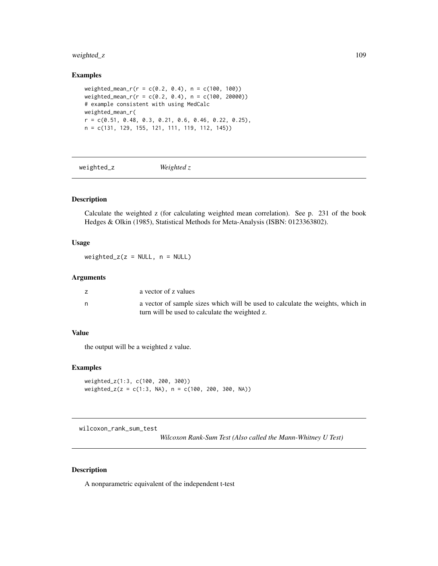# <span id="page-108-0"></span>weighted\_z 109

# Examples

```
weighted_mean_r(r = c(0.2, 0.4), n = c(100, 100))
weighted_mean_r(r = c(0.2, 0.4), n = c(100, 20000))# example consistent with using MedCalc
weighted_mean_r(
r = c(0.51, 0.48, 0.3, 0.21, 0.6, 0.46, 0.22, 0.25),n = c(131, 129, 155, 121, 111, 119, 112, 145))
```
weighted\_z *Weighted z*

# Description

Calculate the weighted z (for calculating weighted mean correlation). See p. 231 of the book Hedges & Olkin (1985), Statistical Methods for Meta-Analysis (ISBN: 0123363802).

#### Usage

weighted\_ $z(z = NULL, n = NULL)$ 

#### Arguments

| a vector of z values                                                                                                             |
|----------------------------------------------------------------------------------------------------------------------------------|
| a vector of sample sizes which will be used to calculate the weights, which in<br>turn will be used to calculate the weighted z. |

#### Value

the output will be a weighted z value.

#### Examples

```
weighted_z(1:3, c(100, 200, 300))
weighted_z(z = c(1:3, NA), n = c(100, 200, 300, NA))
```
wilcoxon\_rank\_sum\_test

*Wilcoxon Rank-Sum Test (Also called the Mann-Whitney U Test)*

#### Description

A nonparametric equivalent of the independent t-test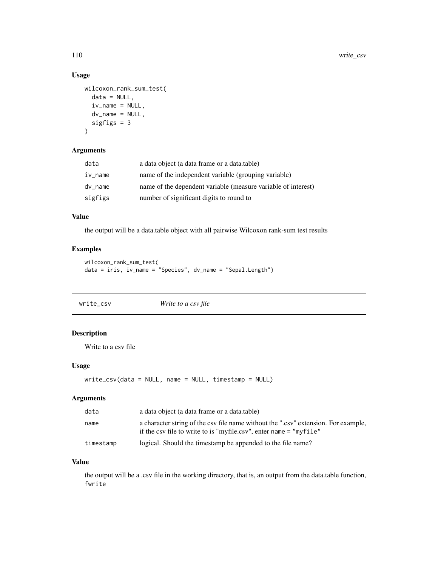# Usage

```
wilcoxon_rank_sum_test(
  data = NULL,iv_name = NULL,dv_name = NULL,
  sigfigs = 3
\mathcal{L}
```
## Arguments

| data    | a data object (a data frame or a data table)                  |
|---------|---------------------------------------------------------------|
| iv_name | name of the independent variable (grouping variable)          |
| dy name | name of the dependent variable (measure variable of interest) |
| sigfigs | number of significant digits to round to                      |

# Value

the output will be a data.table object with all pairwise Wilcoxon rank-sum test results

#### Examples

```
wilcoxon_rank_sum_test(
data = iris, iv_name = "Species", dv_name = "Sepal.Length")
```

| write_csv | Write to a csv file |
|-----------|---------------------|
|           |                     |

# Description

Write to a csv file

# Usage

write\_csv(data = NULL, name = NULL, timestamp = NULL)

#### Arguments

| data      | a data object (a data frame or a data table)                                                                                                               |
|-----------|------------------------------------------------------------------------------------------------------------------------------------------------------------|
| name      | a character string of the csy file name without the ".csy" extension. For example,<br>if the csy file to write to is "myfile.csy", enter name $=$ "myfile" |
| timestamp | logical. Should the timestamp be appended to the file name?                                                                                                |

#### Value

the output will be a .csv file in the working directory, that is, an output from the data.table function, fwrite

<span id="page-109-0"></span>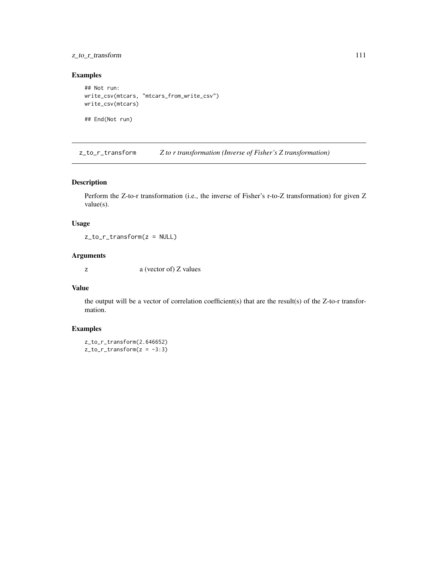# <span id="page-110-0"></span>z\_to\_r\_transform 111

## Examples

```
## Not run:
write_csv(mtcars, "mtcars_from_write_csv")
write_csv(mtcars)
```
## End(Not run)

z\_to\_r\_transform *Z to r transformation (Inverse of Fisher's Z transformation)*

#### Description

Perform the Z-to-r transformation (i.e., the inverse of Fisher's r-to-Z transformation) for given Z value(s).

# Usage

z\_to\_r\_transform(z = NULL)

# Arguments

z a (vector of) Z values

#### Value

the output will be a vector of correlation coefficient(s) that are the result(s) of the  $Z$ -to-r transformation.

# Examples

z\_to\_r\_transform(2.646652)  $z_to_r_t$ transform $(z = -3:3)$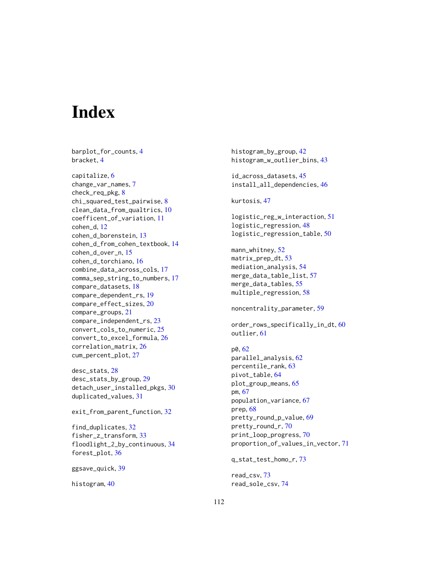# **Index**

barplot\_for\_counts, [4](#page-3-0) bracket, [4](#page-3-0) capitalize, [6](#page-5-0) change\_var\_names, [7](#page-6-0) check\_req\_pkg, [8](#page-7-0) chi\_squared\_test\_pairwise, [8](#page-7-0) clean\_data\_from\_qualtrics, [10](#page-9-0) coefficent\_of\_variation, [11](#page-10-0) cohen\_d, [12](#page-11-0) cohen\_d\_borenstein, [13](#page-12-0) cohen\_d\_from\_cohen\_textbook, [14](#page-13-0) cohen\_d\_over\_n, [15](#page-14-0) cohen\_d\_torchiano, [16](#page-15-0) combine\_data\_across\_cols, [17](#page-16-0) comma\_sep\_string\_to\_numbers, [17](#page-16-0) compare\_datasets, [18](#page-17-0) compare\_dependent\_rs, [19](#page-18-0) compare\_effect\_sizes, [20](#page-19-0) compare\_groups, [21](#page-20-0) compare\_independent\_rs, [23](#page-22-0) convert\_cols\_to\_numeric, [25](#page-24-0) convert\_to\_excel\_formula, [26](#page-25-0) correlation\_matrix, [26](#page-25-0) cum\_percent\_plot, [27](#page-26-0)

desc\_stats, [28](#page-27-0) desc\_stats\_by\_group, [29](#page-28-0) detach\_user\_installed\_pkgs, [30](#page-29-0) duplicated\_values, [31](#page-30-0)

exit\_from\_parent\_function, [32](#page-31-0)

find\_duplicates, [32](#page-31-0) fisher\_z\_transform, [33](#page-32-0) floodlight\_2\_by\_continuous, [34](#page-33-0) forest\_plot, [36](#page-35-0)

ggsave\_quick, [39](#page-38-0)

histogram, [40](#page-39-0)

histogram\_by\_group, [42](#page-41-0) histogram\_w\_outlier\_bins, [43](#page-42-0) id\_across\_datasets, [45](#page-44-0) install\_all\_dependencies, [46](#page-45-0) kurtosis, [47](#page-46-0) logistic\_reg\_w\_interaction, [51](#page-50-0) logistic\_regression, [48](#page-47-0) logistic\_regression\_table, [50](#page-49-0) mann\_whitney, [52](#page-51-0) matrix\_prep\_dt, [53](#page-52-0) mediation\_analysis, [54](#page-53-0) merge\_data\_table\_list, [57](#page-56-0) merge\_data\_tables, [55](#page-54-0) multiple\_regression, [58](#page-57-0) noncentrality\_parameter, [59](#page-58-0) order\_rows\_specifically\_in\_dt, [60](#page-59-0) outlier, [61](#page-60-0) p0, [62](#page-61-0) parallel\_analysis, [62](#page-61-0) percentile\_rank, [63](#page-62-0) pivot\_table, [64](#page-63-0) plot\_group\_means, [65](#page-64-0) pm, [67](#page-66-0) population\_variance, [67](#page-66-0) prep, [68](#page-67-0) pretty\_round\_p\_value, [69](#page-68-0) pretty\_round\_r, [70](#page-69-0) print\_loop\_progress, [70](#page-69-0) proportion\_of\_values\_in\_vector, [71](#page-70-0) q\_stat\_test\_homo\_r, [73](#page-72-0)

read\_csv, [73](#page-72-0) read\_sole\_csv, [74](#page-73-0)